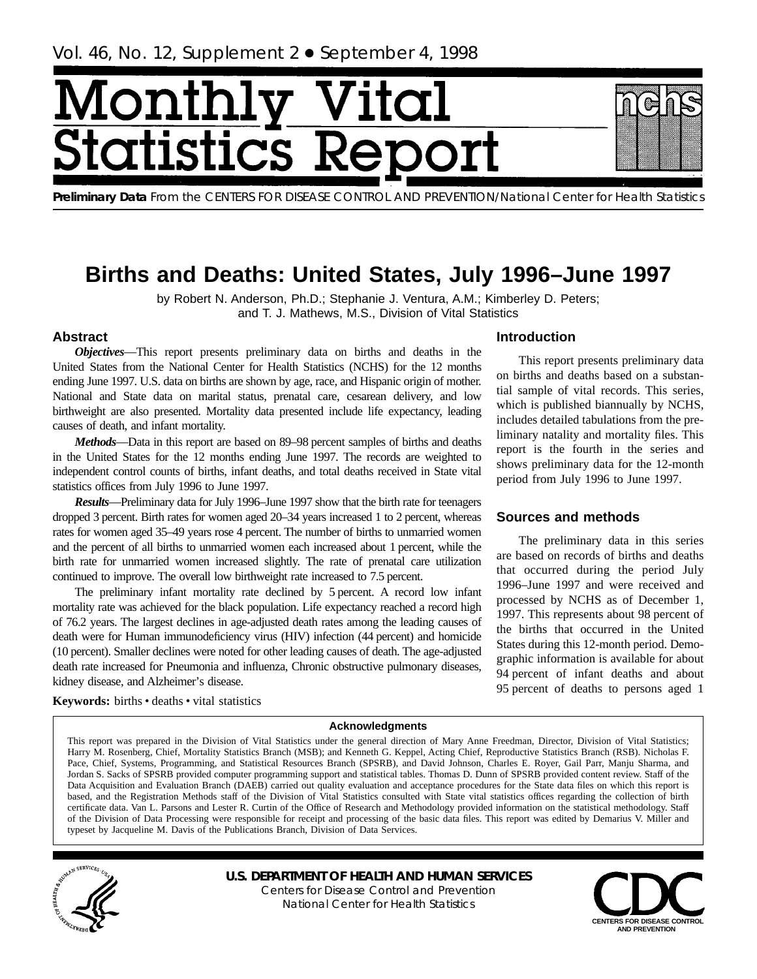# <span id="page-0-0"></span>Monthl **itatist** tics R

**Preliminary Data** From the CENTERS FOR DISEASE CONTROL AND PREVENTION/National Center for Health Statistics

## **Births and Deaths: United States, July 1996–June 1997**

by Robert N. Anderson, Ph.D.; Stephanie J. Ventura, A.M.; Kimberley D. Peters; and T. J. Mathews, M.S., Division of Vital Statistics

## **Abstract**

*Objectives*—This report presents preliminary data on births and deaths in the United States from the National Center for Health Statistics (NCHS) for the 12 months ending June 1997. U.S. data on births are shown by age, race, and Hispanic origin of mother. National and State data on marital status, prenatal care, cesarean delivery, and low birthweight are also presented. Mortality data presented include life expectancy, leading causes of death, and infant mortality.

*Methods*—Data in this report are based on 89–98 percent samples of births and deaths in the United States for the 12 months ending June 1997. The records are weighted to independent control counts of births, infant deaths, and total deaths received in State vital statistics offices from July 1996 to June 1997.

*Results*—Preliminary data for July 1996–June 1997 show that the birth rate for teenagers dropped 3 percent. Birth rates for women aged 20–34 years increased 1 to 2 percent, whereas rates for women aged 35–49 years rose 4 percent. The number of births to unmarried women and the percent of all births to unmarried women each increased about 1 percent, while the birth rate for unmarried women increased slightly. The rate of prenatal care utilization continued to improve. The overall low birthweight rate increased to 7.5 percent.

The preliminary infant mortality rate declined by 5 percent. A record low infant mortality rate was achieved for the black population. Life expectancy reached a record high of 76.2 years. The largest declines in age-adjusted death rates among the leading causes of death were for Human immunodeficiency virus (HIV) infection (44 percent) and homicide (10 percent). Smaller declines were noted for other leading causes of death. The age-adjusted death rate increased for Pneumonia and influenza, Chronic obstructive pulmonary diseases, kidney disease, and Alzheimer's disease.

## **Introduction**

This report presents preliminary data on births and deaths based on a substantial sample of vital records. This series, which is published biannually by NCHS, includes detailed tabulations from the preliminary natality and mortality files. This report is the fourth in the series and shows preliminary data for the 12-month period from July 1996 to June 1997.

## **Sources and methods**

The preliminary data in this series are based on records of births and deaths that occurred during the period July 1996–June 1997 and were received and processed by NCHS as of December 1, 1997. This represents about 98 percent of the births that occurred in the United States during this 12-month period. Demographic information is available for about 94 percent of infant deaths and about 95 percent of deaths to persons aged 1

Keywords: births · deaths · vital statistics

## **Acknowledgments**

This report was prepared in the Division of Vital Statistics under the general direction of Mary Anne Freedman, Director, Division of Vital Statistics; Harry M. Rosenberg, Chief, Mortality Statistics Branch (MSB); and Kenneth G. Keppel, Acting Chief, Reproductive Statistics Branch (RSB). Nicholas F. Pace, Chief, Systems, Programming, and Statistical Resources Branch (SPSRB), and David Johnson, Charles E. Royer, Gail Parr, Manju Sharma, and Jordan S. Sacks of SPSRB provided computer programming support and statistical tables. Thomas D. Dunn of SPSRB provided content review. Staff of the Data Acquisition and Evaluation Branch (DAEB) carried out quality evaluation and acceptance procedures for the State data files on which this report is based, and the Registration Methods staff of the Division of Vital Statistics consulted with State vital statistics offices regarding the collection of birth certificate data. Van L. Parsons and Lester R. Curtin of the Office of Research and Methodology provided information on the statistical methodology. Staff of the Division of Data Processing were responsible for receipt and processing of the basic data files. This report was edited by Demarius V. Miller and typeset by Jacqueline M. Davis of the Publications Branch, Division of Data Services.



**U.S. DEPARTMENT OF HEALTH AND HUMAN SERVICES** Centers for Disease Control and Prevention National Center for Health Statistics

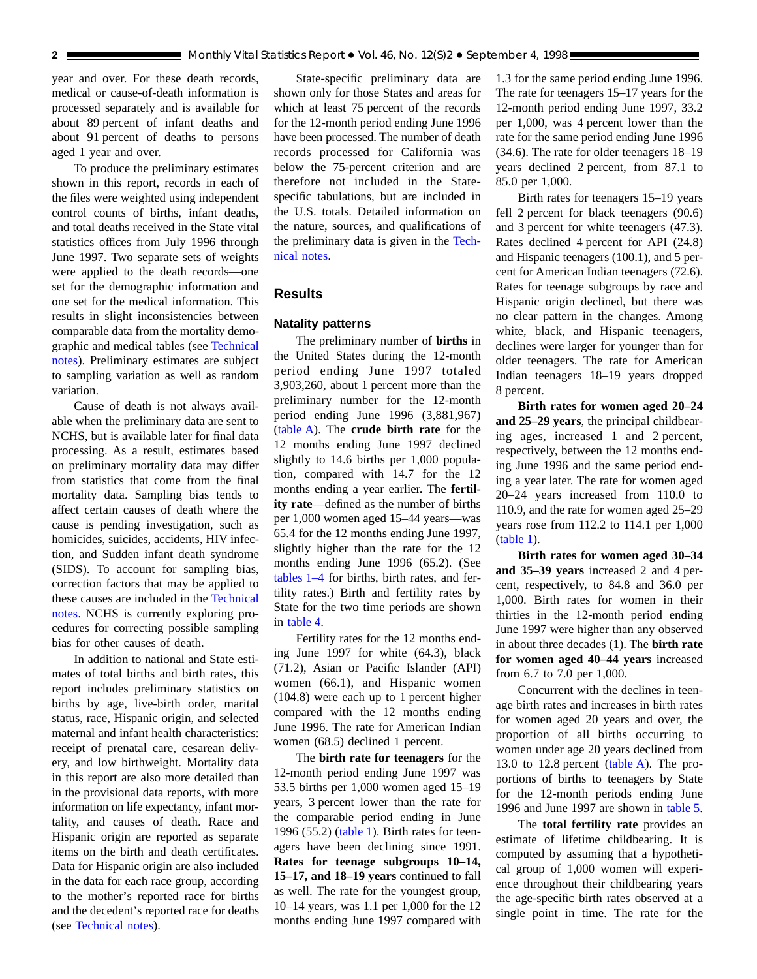<span id="page-1-0"></span>year and over. For these death records, medical or cause-of-death information is processed separately and is available for about 89 percent of infant deaths and about 91 percent of deaths to persons aged 1 year and over.

To produce the preliminary estimates shown in this report, records in each of the files were weighted using independent control counts of births, infant deaths, and total deaths received in the State vital statistics offices from July 1996 through June 1997. Two separate sets of weights were applied to the death records—one set for the demographic information and one set for the medical information. This results in slight inconsistencies between comparable data from the mortality demographic and medical tables (see [Technical](#page-34-0) [notes\).](#page-34-0) Preliminary estimates are subject to sampling variation as well as random variation.

Cause of death is not always available when the preliminary data are sent to NCHS, but is available later for final data processing. As a result, estimates based on preliminary mortality data may differ from statistics that come from the final mortality data. Sampling bias tends to affect certain causes of death where the cause is pending investigation, such as homicides, suicides, accidents, HIV infection, and Sudden infant death syndrome (SIDS). To account for sampling bias, correction factors that may be applied to these causes are included in the [Technical](#page-34-0) [notes.](#page-34-0) NCHS is currently exploring procedures for correcting possible sampling bias for other causes of death.

In addition to national and State estimates of total births and birth rates, this report includes preliminary statistics on births by age, live-birth order, marital status, race, Hispanic origin, and selected maternal and infant health characteristics: receipt of prenatal care, cesarean delivery, and low birthweight. Mortality data in this report are also more detailed than in the provisional data reports, with more information on life expectancy, infant mortality, and causes of death. Race and Hispanic origin are reported as separate items on the birth and death certificates. Data for Hispanic origin are also included in the data for each race group, according to the mother's reported race for births and the decedent's reported race for deaths (see [Technical notes\).](#page-34-0)

State-specific preliminary data are shown only for those States and areas for which at least 75 percent of the records for the 12-month period ending June 1996 have been processed. The number of death records processed for California was below the 75-percent criterion and are therefore not included in the Statespecific tabulations, but are included in the U.S. totals. Detailed information on the nature, sources, and qualifications of the preliminary data is given in the [Tech](#page-34-0)[nical notes.](#page-34-0)

## **Results**

## **Natality patterns**

The preliminary number of **births** in the United States during the 12-month period ending June 1997 totaled 3,903,260, about 1 percent more than the preliminary number for the 12-month period ending June 1996 (3,881,967) [\(table A\).](#page-2-0) The **crude birth rate** for the 12 months ending June 1997 declined slightly to 14.6 births per 1,000 population, compared with 14.7 for the 12 months ending a year earlier. The **fertility rate**—defined as the number of births per 1,000 women aged 15–44 years—was 65.4 for the 12 months ending June 1997, slightly higher than the rate for the 12 months ending June 1996 (65.2). (See [tables 1–4](#page-7-0) for births, birth rates, and fertility rates.) Birth and fertility rates by State for the two time periods are shown in [table 4.](#page-11-0)

Fertility rates for the 12 months ending June 1997 for white (64.3), black (71.2), Asian or Pacific Islander (API) women (66.1), and Hispanic women (104.8) were each up to 1 percent higher compared with the 12 months ending June 1996. The rate for American Indian women (68.5) declined 1 percent.

The **birth rate for teenagers** for the 12-month period ending June 1997 was 53.5 births per 1,000 women aged 15–19 years, 3 percent lower than the rate for the comparable period ending in June 1996 (55.[2\) \(table 1\). B](#page-7-0)irth rates for teenagers have been declining since 1991. **Rates for teenage subgroups 10–14, 15–17, and 18–19 years** continued to fall as well. The rate for the youngest group, 10–14 years, was 1.1 per 1,000 for the 12 months ending June 1997 compared with

1.3 for the same period ending June 1996. The rate for teenagers 15–17 years for the 12-month period ending June 1997, 33.2 per 1,000, was 4 percent lower than the rate for the same period ending June 1996 (34.6). The rate for older teenagers 18–19 years declined 2 percent, from 87.1 to 85.0 per 1,000.

Birth rates for teenagers 15–19 years fell 2 percent for black teenagers (90.6) and 3 percent for white teenagers (47.3). Rates declined 4 percent for API (24.8) and Hispanic teenagers (100.1), and 5 percent for American Indian teenagers (72.6). Rates for teenage subgroups by race and Hispanic origin declined, but there was no clear pattern in the changes. Among white, black, and Hispanic teenagers, declines were larger for younger than for older teenagers. The rate for American Indian teenagers 18–19 years dropped 8 percent.

**Birth rates for women aged 20–24 and 25–29 years**, the principal childbearing ages, increased 1 and 2 percent, respectively, between the 12 months ending June 1996 and the same period ending a year later. The rate for women aged 20–24 years increased from 110.0 to 110.9, and the rate for women aged 25–29 years rose from 112.2 to 114.1 per 1,000 [\(table 1\).](#page-7-0)

**Birth rates for women aged 30–34 and 35–39 years** increased 2 and 4 percent, respectively, to 84.8 and 36.0 per 1,000. Birth rates for women in their thirties in the 12-month period ending June 1997 were higher than any observed in about three decades (1). The **birth rate for women aged 40–44 years** increased from 6.7 to 7.0 per 1,000.

Concurrent with the declines in teenage birth rates and increases in birth rates for women aged 20 years and over, the proportion of all births occurring to women under age 20 years declined from 13.0 to 12.8 percent  $(table A)$ . The proportions of births to teenagers by State for the 12-month periods ending June 1996 and June 1997 are shown in [table 5.](#page-12-0)

The **total fertility rate** provides an estimate of lifetime childbearing. It is computed by assuming that a hypothetical group of 1,000 women will experience throughout their childbearing years the age-specific birth rates observed at a single point in time. The rate for the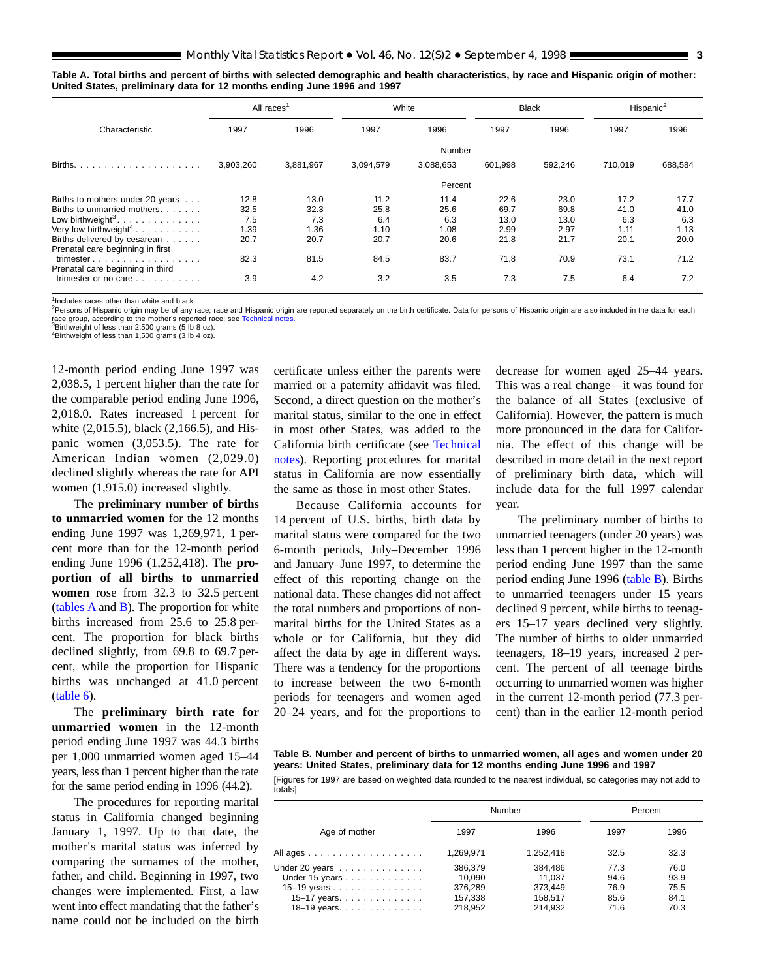<span id="page-2-0"></span>

|  |  | Table A. Total births and percent of births with selected demographic and health characteristics, by race and Hispanic origin of mother: |  |  |
|--|--|------------------------------------------------------------------------------------------------------------------------------------------|--|--|
|  |  | United States, preliminary data for 12 months ending June 1996 and 1997                                                                  |  |  |

|                                                                                                                                                                                                                                                                                                                                                                      | All races <sup>1</sup>                             |                                                    |                                                    | White                                              |                                                     | <b>Black</b>                                        |                                                    | Hispanic <sup>2</sup>                              |
|----------------------------------------------------------------------------------------------------------------------------------------------------------------------------------------------------------------------------------------------------------------------------------------------------------------------------------------------------------------------|----------------------------------------------------|----------------------------------------------------|----------------------------------------------------|----------------------------------------------------|-----------------------------------------------------|-----------------------------------------------------|----------------------------------------------------|----------------------------------------------------|
| Characteristic                                                                                                                                                                                                                                                                                                                                                       | 1997                                               | 1996                                               | 1997                                               | 1996                                               | 1997                                                | 1996                                                | 1997                                               | 1996                                               |
|                                                                                                                                                                                                                                                                                                                                                                      |                                                    |                                                    |                                                    | Number                                             |                                                     |                                                     |                                                    |                                                    |
| Births.                                                                                                                                                                                                                                                                                                                                                              | 3,903,260                                          | 3,881,967                                          | 3,094,579                                          | 3,088,653                                          | 601,998                                             | 592,246                                             | 710,019                                            | 688,584                                            |
|                                                                                                                                                                                                                                                                                                                                                                      |                                                    |                                                    |                                                    | Percent                                            |                                                     |                                                     |                                                    |                                                    |
| Births to mothers under 20 years<br>Births to unmarried mothers.<br>Low birthweight <sup>3</sup> .<br>Very low birthweight <sup>4</sup><br>Births delivered by cesarean<br>Prenatal care beginning in first<br>trimester $\dots$ , $\dots$ , $\dots$ , $\dots$ , $\dots$ , $\dots$<br>Prenatal care beginning in third<br>trimester or no care $\ldots$ , $\ldots$ , | 12.8<br>32.5<br>7.5<br>1.39<br>20.7<br>82.3<br>3.9 | 13.0<br>32.3<br>7.3<br>1.36<br>20.7<br>81.5<br>4.2 | 11.2<br>25.8<br>6.4<br>1.10<br>20.7<br>84.5<br>3.2 | 11.4<br>25.6<br>6.3<br>1.08<br>20.6<br>83.7<br>3.5 | 22.6<br>69.7<br>13.0<br>2.99<br>21.8<br>71.8<br>7.3 | 23.0<br>69.8<br>13.0<br>2.97<br>21.7<br>70.9<br>7.5 | 17.2<br>41.0<br>6.3<br>1.11<br>20.1<br>73.1<br>6.4 | 17.7<br>41.0<br>6.3<br>1.13<br>20.0<br>71.2<br>7.2 |

<sup>1</sup>Includes races other than white and black.

<sup>2</sup>Persons of Hispanic origin may be of any race; rac[e and Hispanic origin ar](#page-34-0)e reported separately on the birth certificate. Data for persons of Hispanic origin are also included in the data for each race group, according to the mother's reported race; see Technical notes.<br><sup>3</sup>Birthweight of less than 2,500 grams (5 lb 8 oz).

<sup>4</sup>Birthweight of less than 1,500 grams (3 lb 4 oz).

12-month period ending June 1997 was 2,038.5, 1 percent higher than the rate for the comparable period ending June 1996, 2,018.0. Rates increased 1 percent for white (2,015.5), black (2,166.5), and Hispanic women (3,053.5). The rate for American Indian women (2,029.0) declined slightly whereas the rate for API women (1,915.0) increased slightly.

The **preliminary number of births to unmarried women** for the 12 months ending June 1997 was 1,269,971, 1 percent more than for the 12-month period ending June 1996 (1,252,418). The **proportion of all births to unmarried women** rose from 32.3 to 32.5 percent  $(tables A and B)$ . The proportion for white births increased from 25.6 to 25.8 percent. The proportion for black births declined slightly, from 69.8 to 69.7 percent, while the proportion for Hispanic births was unchanged at 41.0 percent [\(table 6\).](#page-13-0)

The **preliminary birth rate for unmarried women** in the 12-month period ending June 1997 was 44.3 births per 1,000 unmarried women aged 15–44 years, less than 1 percent higher than the rate for the same period ending in 1996 (44.2).

The procedures for reporting marital status in California changed beginning January 1, 1997. Up to that date, the mother's marital status was inferred by comparing the surnames of the mother, father, and child. Beginning in 1997, two changes were implemented. First, a law went into effect mandating that the father's name could not be included on the birth certificate unless either the parents were married or a paternity affidavit was filed. Second, a direct question on the mother's marital status, similar to the one in effect in most other States, was added to the California birth certificate (see [Technical](#page-34-0) [notes\).](#page-34-0) Reporting procedures for marital status in California are now essentially the same as those in most other States.

Because California accounts for 14 percent of U.S. births, birth data by marital status were compared for the two 6-month periods, July–December 1996 and January–June 1997, to determine the effect of this reporting change on the national data. These changes did not affect the total numbers and proportions of nonmarital births for the United States as a whole or for California, but they did affect the data by age in different ways. There was a tendency for the proportions to increase between the two 6-month periods for teenagers and women aged 20–24 years, and for the proportions to

decrease for women aged 25–44 years. This was a real change—it was found for the balance of all States (exclusive of California). However, the pattern is much more pronounced in the data for California. The effect of this change will be described in more detail in the next report of preliminary birth data, which will include data for the full 1997 calendar year.

The preliminary number of births to unmarried teenagers (under 20 years) was less than 1 percent higher in the 12-month period ending June 1997 than the same period ending June 1996 (table B). Births to unmarried teenagers under 15 years declined 9 percent, while births to teenagers 15–17 years declined very slightly. The number of births to older unmarried teenagers, 18–19 years, increased 2 percent. The percent of all teenage births occurring to unmarried women was higher in the current 12-month period (77.3 percent) than in the earlier 12-month period

**Table B. Number and percent of births to unmarried women, all ages and women under 20 years: United States, preliminary data for 12 months ending June 1996 and 1997**

[Figures for 1997 are based on weighted data rounded to the nearest individual, so categories may not add to totals]

|                                                                                                   |                                                    | Number                                             | Percent                              |                                      |  |
|---------------------------------------------------------------------------------------------------|----------------------------------------------------|----------------------------------------------------|--------------------------------------|--------------------------------------|--|
| Age of mother                                                                                     | 1997                                               | 1996                                               | 1997                                 | 1996                                 |  |
| All ages                                                                                          | 1.269.971                                          | 1.252.418                                          | 32.5                                 | 32.3                                 |  |
| Under 20 years<br>Under 15 years<br>15–19 years<br>15–17 years. $\ldots$<br>18–19 years. $\ldots$ | 386,379<br>10.090<br>376.289<br>157,338<br>218.952 | 384.486<br>11.037<br>373.449<br>158.517<br>214.932 | 77.3<br>94.6<br>76.9<br>85.6<br>71.6 | 76.0<br>93.9<br>75.5<br>84.1<br>70.3 |  |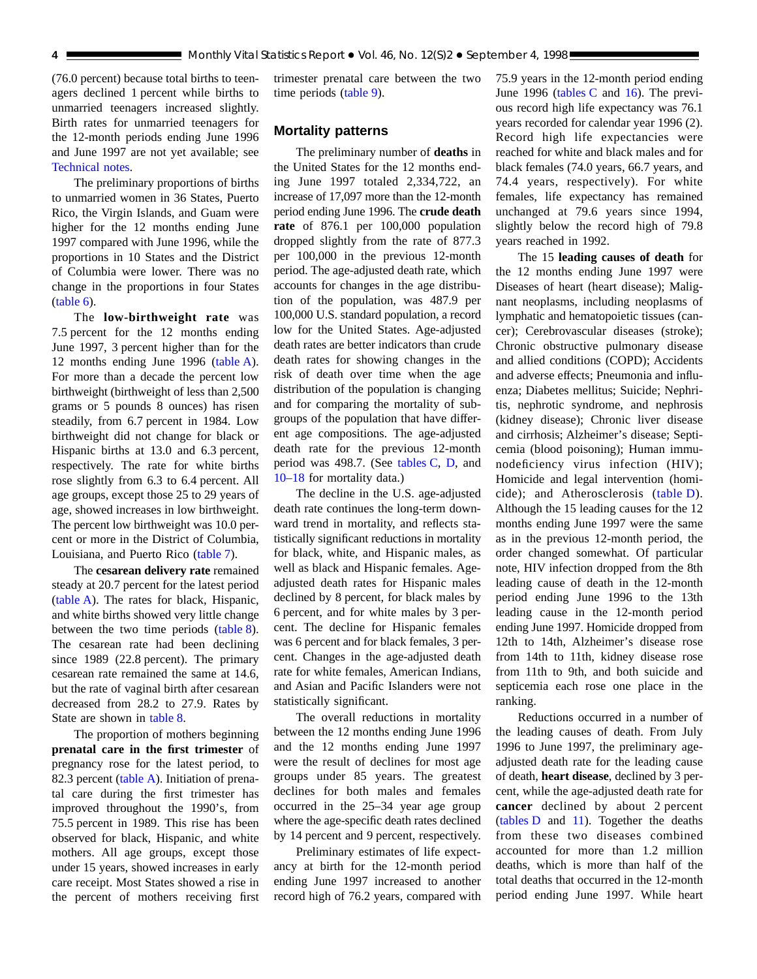(76.0 percent) because total births to teenagers declined 1 percent while births to unmarried teenagers increased slightly. Birth rates for unmarried teenagers for the 12-month periods ending June 1996 and June 1997 are not yet available; see [Technical notes.](#page-34-0)

The preliminary proportions of births to unmarried women in 36 States, Puerto Rico, the Virgin Islands, and Guam were higher for the 12 months ending June 1997 compared with June 1996, while the proportions in 10 States and the District of Columbia were lower. There was no change in the proportions in four States [\(table 6\).](#page-13-0)

The **low-birthweight rate** was 7.5 percent for the 12 months ending June 1997, 3 percent higher than for the 12 months ending June 199[6 \(table A\).](#page-2-0) For more than a decade the percent low birthweight (birthweight of less than 2,500 grams or 5 pounds 8 ounces) has risen steadily, from 6.7 percent in 1984. Low birthweight did not change for black or Hispanic births at 13.0 and 6.3 percent, respectively. The rate for white births rose slightly from 6.3 to 6.4 percent. All age groups, except those 25 to 29 years of age, showed increases in low birthweight. The percent low birthweight was 10.0 percent or more in the District of Columbia, Louisiana, and Puerto Ri[co \(table 7\).](#page-14-0)

The **cesarean delivery rate** remained steady at 20.7 percent for the latest period [\(table A\). T](#page-2-0)he rates for black, Hispanic, and white births showed very little change between the two time perio[ds \(table 8\).](#page-15-0) The cesarean rate had been declining since 1989 (22.8 percent). The primary cesarean rate remained the same at 14.6, but the rate of vaginal birth after cesarean decreased from 28.2 to 27.9. Rates by State are shown in [table 8.](#page-15-0)

The proportion of mothers beginning **prenatal care in the first trimester** of pregnancy rose for the latest period, to 82.3 perce[nt \(table A\). In](#page-2-0)itiation of prenatal care during the first trimester has improved throughout the 1990's, from 75.5 percent in 1989. This rise has been observed for black, Hispanic, and white mothers. All age groups, except those under 15 years, showed increases in early care receipt. Most States showed a rise in the percent of mothers receiving first

trimester prenatal care between the two time perio[ds \(table 9\).](#page-16-0)

## **Mortality patterns**

The preliminary number of **deaths** in the United States for the 12 months ending June 1997 totaled 2,334,722, an increase of 17,097 more than the 12-month period ending June 1996. The **crude death rate** of 876.1 per 100,000 population dropped slightly from the rate of 877.3 per 100,000 in the previous 12-month period. The age-adjusted death rate, which accounts for changes in the age distribution of the population, was 487.9 per 100,000 U.S. standard population, a record low for the United States. Age-adjusted death rates are better indicators than crude death rates for showing changes in the risk of death over time when the age distribution of the population is changing and for comparing the mortality of subgroups of the population that have different age compositions. The age-adjusted death rate for the previous 12-month period was 498.7. (See [tables C,](#page-4-0) [D, and](#page-4-0) [10–18](#page-17-0) for mortality data.)

The decline in the U.S. age-adjusted death rate continues the long-term downward trend in mortality, and reflects statistically significant reductions in mortality for black, white, and Hispanic males, as well as black and Hispanic females. Ageadjusted death rates for Hispanic males declined by 8 percent, for black males by 6 percent, and for white males by 3 percent. The decline for Hispanic females was 6 percent and for black females, 3 percent. Changes in the age-adjusted death rate for white females, American Indians, and Asian and Pacific Islanders were not statistically significant.

The overall reductions in mortality between the 12 months ending June 1996 and the 12 months ending June 1997 were the result of declines for most age groups under 85 years. The greatest declines for both males and females occurred in the 25–34 year age group where the age-specific death rates declined by 14 percent and 9 percent, respectively.

Preliminary estimates of life expectancy at birth for the 12-month period ending June 1997 increased to another record high of 76.2 years, compared with 75.9 years in the 12-month period ending June 1996 (tables  $C$  and [16\). T](#page-30-0)he previous record high life expectancy was 76.1 years recorded for calendar year 1996 (2). Record high life expectancies were reached for white and black males and for black females (74.0 years, 66.7 years, and 74.4 years, respectively). For white females, life expectancy has remained unchanged at 79.6 years since 1994, slightly below the record high of 79.8 years reached in 1992.

The 15 **leading causes of death** for the 12 months ending June 1997 were Diseases of heart (heart disease); Malignant neoplasms, including neoplasms of lymphatic and hematopoietic tissues (cancer); Cerebrovascular diseases (stroke); Chronic obstructive pulmonary disease and allied conditions (COPD); Accidents and adverse effects; Pneumonia and influenza; Diabetes mellitus; Suicide; Nephritis, nephrotic syndrome, and nephrosis (kidney disease); Chronic liver disease and cirrhosis; Alzheimer's disease; Septicemia (blood poisoning); Human immunodeficiency virus infection (HIV); Homicide and legal intervention (homicide); and Atherosclerosis [\(table D\).](#page-4-0) Although the 15 leading causes for the 12 months ending June 1997 were the same as in the previous 12-month period, the order changed somewhat. Of particular note, HIV infection dropped from the 8th leading cause of death in the 12-month period ending June 1996 to the 13th leading cause in the 12-month period ending June 1997. Homicide dropped from 12th to 14th, Alzheimer's disease rose from 14th to 11th, kidney disease rose from 11th to 9th, and both suicide and septicemia each rose one place in the ranking.

Reductions occurred in a number of the leading causes of death. From July 1996 to June 1997, the preliminary ageadjusted death rate for the leading cause of death, **heart disease**, declined by 3 percent, while the age-adjusted death rate for **cancer** declined by about 2 percent  $(tables D and 11)$  $(tables D and 11)$ . Together the deaths from these two diseases combined accounted for more than 1.2 million deaths, which is more than half of the total deaths that occurred in the 12-month period ending June 1997. While heart

<span id="page-3-0"></span>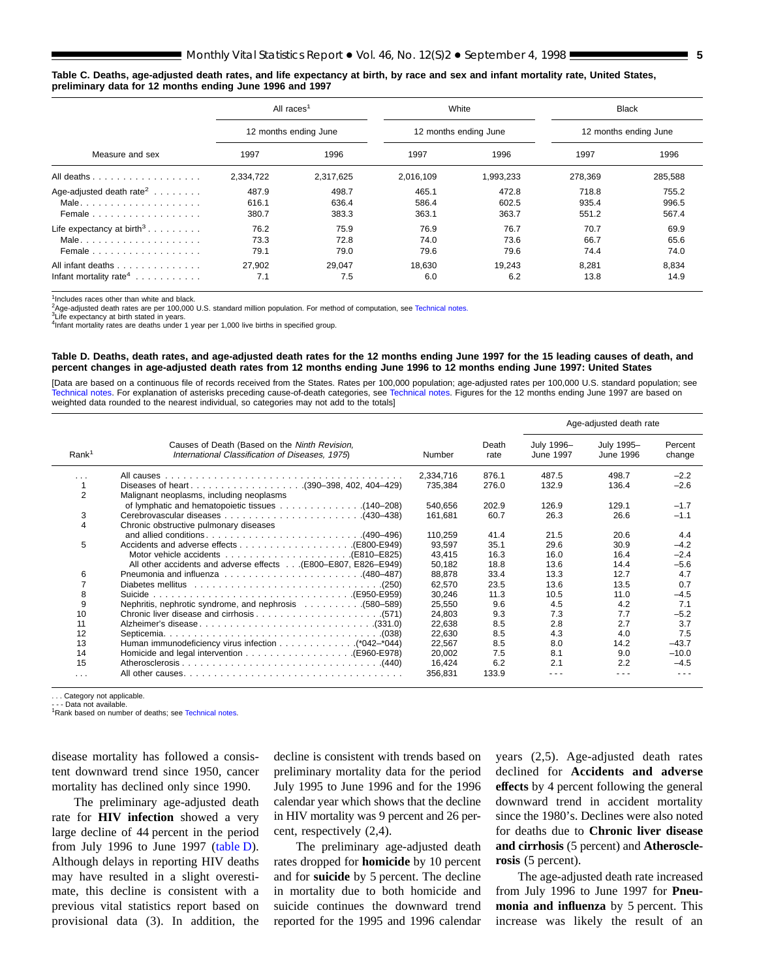#### <span id="page-4-0"></span>**Table C. Deaths, age-adjusted death rates, and life expectancy at birth, by race and sex and infant mortality rate, United States, preliminary data for 12 months ending June 1996 and 1997**

|                                                         | All races <sup>1</sup>  |                         |                         | White                   |                         | <b>Black</b>            |
|---------------------------------------------------------|-------------------------|-------------------------|-------------------------|-------------------------|-------------------------|-------------------------|
|                                                         |                         | 12 months ending June   |                         | 12 months ending June   | 12 months ending June   |                         |
| Measure and sex                                         | 1997                    | 1996                    | 1997                    | 1996                    | 1997                    | 1996                    |
| All deaths                                              | 2,334,722               | 2,317,625               | 2,016,109               | 1,993,233               | 278,369                 | 285,588                 |
| Age-adjusted death rate <sup>2</sup><br>Female          | 487.9<br>616.1<br>380.7 | 498.7<br>636.4<br>383.3 | 465.1<br>586.4<br>363.1 | 472.8<br>602.5<br>363.7 | 718.8<br>935.4<br>551.2 | 755.2<br>996.5<br>567.4 |
| Life expectancy at birth <sup>3</sup><br>Female         | 76.2<br>73.3<br>79.1    | 75.9<br>72.8<br>79.0    | 76.9<br>74.0<br>79.6    | 76.7<br>73.6<br>79.6    | 70.7<br>66.7<br>74.4    | 69.9<br>65.6<br>74.0    |
| All infant deaths<br>Infant mortality rate <sup>4</sup> | 27.902<br>7.1           | 29,047<br>7.5           | 18,630<br>6.0           | 19,243<br>6.2           | 8,281<br>13.8           | 8,834<br>14.9           |

 $1$ Includes races other than white and black

 ${}^{2}$ Age-adjusted death rates are per 100,000 U.S. standard million population. For method of computation, see [Technical notes.](#page-34-0)<br><sup>3</sup>Life expectancy at birth stated in years.

<sup>4</sup>Infant mortality rates are deaths under 1 year per 1,000 live births in specified group.

#### **Table D. Deaths, death rates, and age-adjusted death rates for the 12 months ending June 1997 for the 15 leading causes of death, and percent changes in age-adjusted death rates from 12 months ending June 1996 to 12 months ending June 1997: United States**

[Data are based on a continuous file of records received from the States. Rates per 100,000 population; age-adjusted rates per 100,000 U.S. standard population; see [Technical notes. F](#page-34-0)or explanation of asterisks preceding cause-of-death categories, see [Technical notes. Figu](#page-34-0)res for the 12 months ending June 1997 are based on weighted data rounded to the nearest individual, so categories may not add to the totals]

|                   |                                                                                                  |           |               |                         | Age-adjusted death rate |                   |
|-------------------|--------------------------------------------------------------------------------------------------|-----------|---------------|-------------------------|-------------------------|-------------------|
| Rank <sup>1</sup> | Causes of Death (Based on the Ninth Revision,<br>International Classification of Diseases, 1975) | Number    | Death<br>rate | July 1996-<br>June 1997 | July 1995-<br>June 1996 | Percent<br>change |
| .                 |                                                                                                  | 2,334,716 | 876.1         | 487.5                   | 498.7                   | $-2.2$            |
|                   |                                                                                                  | 735,384   | 276.0         | 132.9                   | 136.4                   | $-2.6$            |
| $\overline{2}$    | Malignant neoplasms, including neoplasms                                                         |           |               |                         |                         |                   |
|                   |                                                                                                  | 540,656   | 202.9         | 126.9                   | 129.1                   | $-1.7$            |
| 3                 |                                                                                                  | 161,681   | 60.7          | 26.3                    | 26.6                    | $-1.1$            |
|                   | Chronic obstructive pulmonary diseases                                                           |           |               |                         |                         |                   |
|                   |                                                                                                  | 110.259   | 41.4          | 21.5                    | 20.6                    | 4.4               |
| 5                 |                                                                                                  | 93,597    | 35.1          | 29.6                    | 30.9                    | $-4.2$            |
|                   |                                                                                                  | 43,415    | 16.3          | 16.0                    | 16.4                    | $-2.4$            |
|                   | All other accidents and adverse effects (E800–E807, E826–E949)                                   | 50,182    | 18.8          | 13.6                    | 14.4                    | $-5.6$            |
| 6                 |                                                                                                  | 88,878    | 33.4          | 13.3                    | 12.7                    | 4.7               |
|                   |                                                                                                  | 62,570    | 23.5          | 13.6                    | 13.5                    | 0.7               |
| 8                 |                                                                                                  | 30,246    | 11.3          | 10.5                    | 11.0                    | $-4.5$            |
| 9                 |                                                                                                  | 25,550    | 9.6           | 4.5                     | 4.2                     | 7.1               |
| 10                |                                                                                                  | 24,803    | 9.3           | 7.3                     | 7.7                     | $-5.2$            |
| 11                |                                                                                                  | 22,638    | 8.5           | 2.8                     | 2.7                     | 3.7               |
| 12                |                                                                                                  | 22.630    | 8.5           | 4.3                     | 4.0                     | 7.5               |
| 13                | Human immunodeficiency virus infection 4042-*044)                                                | 22,567    | 8.5           | 8.0                     | 14.2                    | $-43.7$           |
| 14                |                                                                                                  | 20,002    | 7.5           | 8.1                     | 9.0                     | $-10.0$           |
| 15                |                                                                                                  | 16,424    | 6.2           | 2.1                     | 2.2                     | $-4.5$            |
| $\cdots$          |                                                                                                  | 356,831   | 133.9         |                         |                         |                   |

. . . Category not applicable. - Data not available.

<sup>1</sup>Rank based on number of deaths; see [Technical notes.](#page-34-0)

disease mortality has followed a consistent downward trend since 1950, cancer mortality has declined only since 1990.

The preliminary age-adjusted death rate for **HIV infection** showed a very large decline of 44 percent in the period from July 1996 to June 1997 (table D). Although delays in reporting HIV deaths may have resulted in a slight overestimate, this decline is consistent with a previous vital statistics report based on provisional data (3). In addition, the decline is consistent with trends based on preliminary mortality data for the period July 1995 to June 1996 and for the 1996 calendar year which shows that the decline in HIV mortality was 9 percent and 26 percent, respectively (2,4).

The preliminary age-adjusted death rates dropped for **homicide** by 10 percent and for **suicide** by 5 percent. The decline in mortality due to both homicide and suicide continues the downward trend reported for the 1995 and 1996 calendar years (2,5). Age-adjusted death rates declined for **Accidents and adverse effects** by 4 percent following the general downward trend in accident mortality since the 1980's. Declines were also noted for deaths due to **Chronic liver disease and cirrhosis** (5 percent) and **Atherosclerosis** (5 percent).

The age-adjusted death rate increased from July 1996 to June 1997 for **Pneumonia and influenza** by 5 percent. This increase was likely the result of an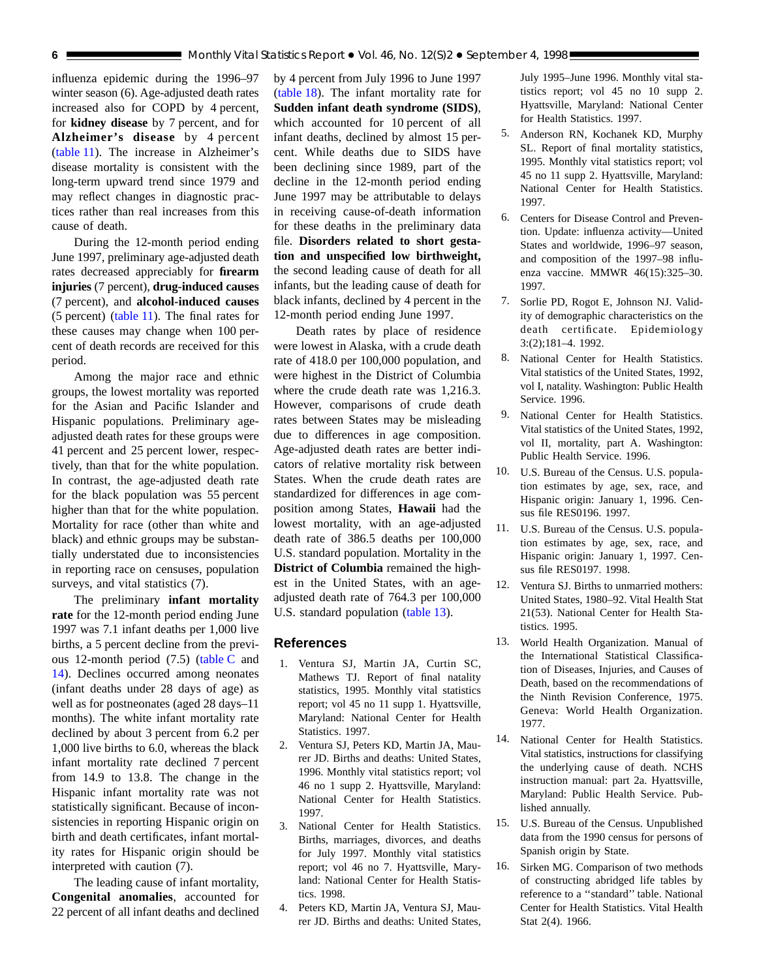<span id="page-5-0"></span>influenza epidemic during the 1996–97 winter season (6). Age-adjusted death rates increased also for COPD by 4 percent, for **kidney disease** by 7 percent, and for **Alzheimer's disease** by 4 percent [\(table 11\). T](#page-23-0)he increase in Alzheimer's disease mortality is consistent with the long-term upward trend since 1979 and may reflect changes in diagnostic practices rather than real increases from this cause of death.

During the 12-month period ending June 1997, preliminary age-adjusted death rates decreased appreciably for **firearm injuries** (7 percent), **drug-induced causes** (7 percent), and **alcohol-induced causes** (5 percent[\) \(table 11\). T](#page-23-0)he final rates for these causes may change when 100 percent of death records are received for this period.

Among the major race and ethnic groups, the lowest mortality was reported for the Asian and Pacific Islander and Hispanic populations. Preliminary ageadjusted death rates for these groups were 41 percent and 25 percent lower, respectively, than that for the white population. In contrast, the age-adjusted death rate for the black population was 55 percent higher than that for the white population. Mortality for race (other than white and black) and ethnic groups may be substantially understated due to inconsistencies in reporting race on censuses, population surveys, and vital statistics (7).

The preliminary **infant mortality rate** for the 12-month period ending June 1997 was 7.1 infant deaths per 1,000 live births, a 5 percent decline from the previous 12-month period (7[.5\) \(table C](#page-4-0) and [14\).](#page-27-0) Declines occurred among neonates (infant deaths under 28 days of age) as well as for postneonates (aged 28 days–11 months). The white infant mortality rate declined by about 3 percent from 6.2 per 1,000 live births to 6.0, whereas the black infant mortality rate declined 7 percent from 14.9 to 13.8. The change in the Hispanic infant mortality rate was not statistically significant. Because of inconsistencies in reporting Hispanic origin on birth and death certificates, infant mortality rates for Hispanic origin should be interpreted with caution (7).

The leading cause of infant mortality, **Congenital anomalies**, accounted for 22 percent of all infant deaths and declined

by 4 percent from July 1996 to June 1997 [\(table 18\). T](#page-33-0)he infant mortality rate for **Sudden infant death syndrome (SIDS)**, which accounted for 10 percent of all infant deaths, declined by almost 15 percent. While deaths due to SIDS have been declining since 1989, part of the decline in the 12-month period ending June 1997 may be attributable to delays in receiving cause-of-death information for these deaths in the preliminary data file. **Disorders related to short gestation and unspecified low birthweight,** the second leading cause of death for all infants, but the leading cause of death for black infants, declined by 4 percent in the 12-month period ending June 1997.

Death rates by place of residence were lowest in Alaska, with a crude death rate of 418.0 per 100,000 population, and were highest in the District of Columbia where the crude death rate was 1,216.3. However, comparisons of crude death rates between States may be misleading due to differences in age composition. Age-adjusted death rates are better indicators of relative mortality risk between States. When the crude death rates are standardized for differences in age composition among States, **Hawaii** had the lowest mortality, with an age-adjusted death rate of 386.5 deaths per 100,000 U.S. standard population. Mortality in the **District of Columbia** remained the highest in the United States, with an ageadjusted death rate of 764.3 per 100,000 U.S. standard populatio[n \(table 13\).](#page-26-0)

## **References**

- 1. Ventura SJ, Martin JA, Curtin SC, Mathews TJ. Report of final natality statistics, 1995. Monthly vital statistics report; vol 45 no 11 supp 1. Hyattsville, Maryland: National Center for Health Statistics. 1997.
- 2. Ventura SJ, Peters KD, Martin JA, Maurer JD. Births and deaths: United States, 1996. Monthly vital statistics report; vol 46 no 1 supp 2. Hyattsville, Maryland: National Center for Health Statistics. 1997.
- 3. National Center for Health Statistics. Births, marriages, divorces, and deaths for July 1997. Monthly vital statistics report; vol 46 no 7. Hyattsville, Maryland: National Center for Health Statistics. 1998.
- 4. Peters KD, Martin JA, Ventura SJ, Maurer JD. Births and deaths: United States,

July 1995–June 1996. Monthly vital statistics report; vol 45 no 10 supp 2. Hyattsville, Maryland: National Center for Health Statistics. 1997.

- 5. Anderson RN, Kochanek KD, Murphy SL. Report of final mortality statistics, 1995. Monthly vital statistics report; vol 45 no 11 supp 2. Hyattsville, Maryland: National Center for Health Statistics. 1997.
- 6. Centers for Disease Control and Prevention. Update: influenza activity—United States and worldwide, 1996–97 season, and composition of the 1997–98 influenza vaccine. MMWR 46(15):325–30. 1997.
- 7. Sorlie PD, Rogot E, Johnson NJ. Validity of demographic characteristics on the death certificate. Epidemiology 3:(2);181–4. 1992.
- 8. National Center for Health Statistics. Vital statistics of the United States, 1992, vol I, natality. Washington: Public Health Service. 1996.
- 9. National Center for Health Statistics. Vital statistics of the United States, 1992, vol II, mortality, part A. Washington: Public Health Service. 1996.
- 10. U.S. Bureau of the Census. U.S. population estimates by age, sex, race, and Hispanic origin: January 1, 1996. Census file RES0196. 1997.
- 11. U.S. Bureau of the Census. U.S. population estimates by age, sex, race, and Hispanic origin: January 1, 1997. Census file RES0197. 1998.
- 12. Ventura SJ. Births to unmarried mothers: United States, 1980–92. Vital Health Stat 21(53). National Center for Health Statistics. 1995.
- 13. World Health Organization. Manual of the International Statistical Classification of Diseases, Injuries, and Causes of Death, based on the recommendations of the Ninth Revision Conference, 1975. Geneva: World Health Organization. 1977.
- 14. National Center for Health Statistics. Vital statistics, instructions for classifying the underlying cause of death. NCHS instruction manual: part 2a. Hyattsville, Maryland: Public Health Service. Published annually.
- 15. U.S. Bureau of the Census. Unpublished data from the 1990 census for persons of Spanish origin by State.
- 16. Sirken MG. Comparison of two methods of constructing abridged life tables by reference to a ''standard'' table. National Center for Health Statistics. Vital Health Stat 2(4). 1966.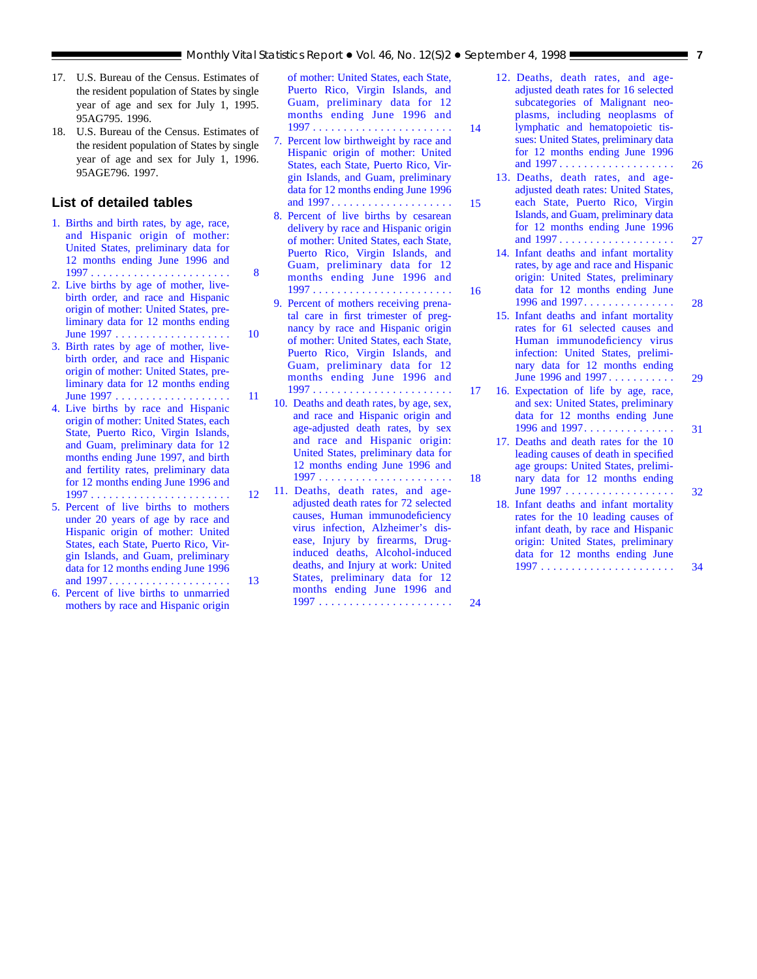- <span id="page-6-0"></span>17. U.S. Bureau of the Census. Estimates of the resident population of States by single year of age and sex for July 1, 1995. 95AG795. 1996.
- 18. U.S. Bureau of the Census. Estimates of the resident population of States by single year of age and sex for July 1, 1996. 95AGE796. 1997.

## **List of detailed tables**

- [1. Births and birth rates, by age, race,](#page-7-0) and Hispanic origin of mother: United States, preliminary data for 12 months ending June 1996 and 1997 ....................... 8
- [2. Live births by age of mother, live](#page-9-0)birth order, and race and Hispanic origin of mother: United States, preliminary data for 12 months ending June 1997 . . . . . . . . . . . . . . . . . . . 10
- [3. Birth rates by age of mother, live](#page-10-0)birth order, and race and Hispanic origin of mother: United States, preliminary data for 12 months ending June 1997 . . . . . . . . . . . . . . . . . . . 11
- [4. Live births by race and Hispanic](#page-11-0) origin of mother: United States, each State, Puerto Rico, Virgin Islands, and Guam, preliminary data for 12 months ending June 1997, and birth and fertility rates, preliminary data for 12 months ending June 1996 and 1997 . . . . . . . . . . . . . . . . . . . . . . . 12
- 5. Percent of live births to mothers under 20 years of age by race and Hispanic origin of mother: United States, each State, Puerto Rico, Virgin Islands, and Guam, preliminary [data for 12 months ending June 1996](#page-12-0) and 1997 . . . . . . . . . . . . . . . . . . . . 13
- [6. Percent of live births to unmarried](#page-13-0) mothers by race and Hispanic origin

[of mother: United States, each State,](#page-13-0) Puerto Rico, Virgin Islands, and Guam, preliminary data for 12 months ending June 1996 and 1997 ....................... 14

- [7. Percent low birthweight by race and](#page-14-0) Hispanic origin of mother: United States, each State, Puerto Rico, Virgin Islands, and Guam, preliminary data for 12 months ending June 1996 and 1997 .................... 15
- [8. Percent of live births by cesarean](#page-15-0) delivery by race and Hispanic origin of mother: United States, each State, Puerto Rico, Virgin Islands, and Guam, preliminary data for 12 months ending June 1996 and 1997 ....................... 16
- [9. Percent of mothers receiving prena](#page-16-0)tal care in first trimester of pregnancy by race and Hispanic origin of mother: United States, each State, Puerto Rico, Virgin Islands, and Guam, preliminary data for 12 months ending June 1996 and 1997 ....................... 17
- [10. Deaths and death rates, by age, sex,](#page-17-0) and race and Hispanic origin and age-adjusted death rates, by sex and race and Hispanic origin: United States, preliminary data for 12 months ending June 1996 and 1997 ...................... 18
- [11. Deaths, death rates, and age](#page-23-0)adjusted death rates for 72 selected causes, Human immunodeficiency virus infection, Alzheimer's disease, Injury by firearms, Druginduced deaths, Alcohol-induced deaths, and Injury at work: United States, preliminary data for 12 months ending June 1996 and 1997 ...................... 24

[12. Deaths, death rates, and age](#page-25-0)adjusted death rates for 16 selected subcategories of Malignant neoplasms, including neoplasms of lymphatic and hematopoietic tissues: United States, preliminary data for 12 months ending June 1996 and 1997 ................... 26

- [13. Deaths, death rates, and age](#page-26-0)adjusted death rates: United States, each State, Puerto Rico, Virgin Islands, and Guam, preliminary data for 12 months ending June 1996 and 1997 ................... 27
- [14. Infant deaths and infant mortality](#page-27-0) rates, by age and race and Hispanic origin: United States, preliminary data for 12 months ending June 1996 and 1997............... 28
- [15. Infant deaths and infant mortality](#page-28-0) rates for 61 selected causes and Human immunodeficiency virus infection: United States, preliminary data for 12 months ending June 1996 and 1997 ........... 29
- [16. Expectation of life by age, race,](#page-30-0) and sex: United States, preliminary data for 12 months ending June 1996 and 1997............... 31
- [17. Deaths and death rates for the 10](#page-31-0) leading causes of death in specified age groups: United States, preliminary data for 12 months ending June 1997 .................. 32
- [18. Infant deaths and infant mortality](#page-33-0) rates for the 10 leading causes of infant death, by race and Hispanic origin: United States, preliminary data for 12 months ending June 1997 ...................... 34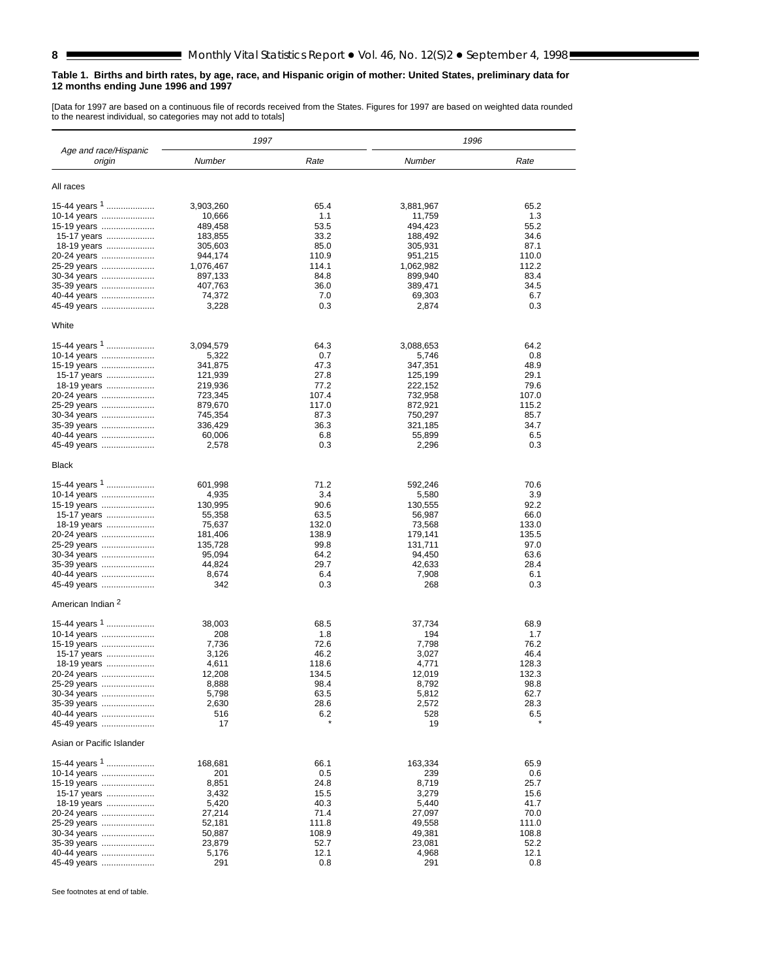#### <span id="page-7-0"></span>**Table 1. Births and birth rates, by age, race, and Hispanic origin of mother: United States, preliminary data for 12 months ending June 1996 and 1997**

[Data for 1997 are based on a continuous file of records received from the States. Figures for 1997 are based on weighted data rounded to the nearest individual, so categories may not add to totals]

|                                 | 1997               |               | 1996               |               |
|---------------------------------|--------------------|---------------|--------------------|---------------|
| Age and race/Hispanic<br>origin | <b>Number</b>      | Rate          | Number             | Rate          |
| All races                       |                    |               |                    |               |
| 15-44 years <sup>1</sup>        | 3,903,260          | 65.4          | 3,881,967          | 65.2          |
| 10-14 years                     | 10,666             | 1.1           | 11,759             | 1.3           |
| 15-19 years                     | 489,458            | 53.5          | 494,423            | 55.2          |
| 15-17 years<br>18-19 years      | 183,855<br>305,603 | 33.2<br>85.0  | 188,492<br>305,931 | 34.6<br>87.1  |
| 20-24 years                     | 944,174            | 110.9         | 951,215            | 110.0         |
| 25-29 years                     | 1,076,467          | 114.1         | 1,062,982          | 112.2         |
| 30-34 years                     | 897,133            | 84.8          | 899,940            | 83.4          |
| 35-39 years                     | 407,763            | 36.0          | 389,471            | 34.5          |
| 40-44 years                     | 74,372             | 7.0           | 69,303             | 6.7           |
| 45-49 years                     | 3,228              | 0.3           | 2,874              | 0.3           |
| White                           |                    |               |                    |               |
| 15-44 years 1<br>10-14 years    | 3,094,579<br>5,322 | 64.3<br>0.7   | 3,088,653<br>5,746 | 64.2<br>0.8   |
| 15-19 years                     | 341,875            | 47.3          | 347,351            | 48.9          |
| 15-17 years                     | 121,939            | 27.8          | 125,199            | 29.1          |
| 18-19 years                     | 219,936            | 77.2          | 222,152            | 79.6          |
| 20-24 years                     | 723,345            | 107.4         | 732,958            | 107.0         |
| 25-29 years                     | 879,670            | 117.0         | 872,921            | 115.2         |
| 30-34 years                     | 745,354            | 87.3          | 750,297            | 85.7          |
| 35-39 years                     | 336,429<br>60,006  | 36.3<br>6.8   | 321,185<br>55,899  | 34.7<br>6.5   |
| 40-44 years<br>45-49 years      | 2,578              | 0.3           | 2,296              | 0.3           |
| Black                           |                    |               |                    |               |
| 15-44 years <sup>1</sup>        | 601,998            | 71.2          | 592,246            | 70.6          |
| 10-14 years                     | 4,935              | 3.4           | 5,580              | 3.9           |
| 15-19 years                     | 130,995            | 90.6          | 130,555            | 92.2          |
| 15-17 years                     | 55,358             | 63.5          | 56,987             | 66.0          |
| 18-19 years                     | 75,637             | 132.0         | 73,568             | 133.0         |
| 20-24 years<br>25-29 years      | 181,406<br>135,728 | 138.9<br>99.8 | 179,141<br>131,711 | 135.5<br>97.0 |
| 30-34 years                     | 95,094             | 64.2          | 94,450             | 63.6          |
| 35-39 years                     | 44,824             | 29.7          | 42,633             | 28.4          |
| 40-44 years                     | 8,674              | 6.4           | 7,908              | 6.1           |
| 45-49 years                     | 342                | 0.3           | 268                | 0.3           |
| American Indian <sup>2</sup>    |                    |               |                    |               |
| 15-44 years <sup>1</sup>        | 38,003             | 68.5          | 37,734             | 68.9          |
| 10-14 years                     | 208                | 1.8           | 194                | 1.7           |
| 15-19 years                     | 7,736<br>3,126     | 72.6<br>46.2  | 7,798<br>3,027     | 76.2<br>46.4  |
| 15-17 years<br>18-19 years      | 4,611              | 118.6         | 4,771              | 128.3         |
| 20-24 years                     | 12,208             | 134.5         | 12,019             | 132.3         |
| 25-29 years                     | 8,888              | 98.4          | 8,792              | 98.8          |
| 30-34 years                     | 5,798              | 63.5          | 5,812              | 62.7          |
| 35-39 years                     | 2,630              | 28.6          | 2,572              | 28.3          |
| 40-44 years<br>45-49 years      | 516<br>17          | 6.2           | 528<br>19          | 6.5           |
| Asian or Pacific Islander       |                    |               |                    |               |
| 15-44 years $1$                 |                    |               | 163,334            | 65.9          |
| 10-14 years                     | 168,681<br>201     | 66.1<br>0.5   | 239                | 0.6           |
| 15-19 years                     | 8,851              | 24.8          | 8,719              | 25.7          |
| 15-17 years                     | 3,432              | 15.5          | 3,279              | 15.6          |
| 18-19 years                     | 5,420              | 40.3          | 5,440              | 41.7          |
| 20-24 years                     | 27,214             | 71.4          | 27,097             | 70.0          |
| 25-29 years                     | 52,181             | 111.8         | 49,558             | 111.0         |
| 30-34 years                     | 50,887             | 108.9         | 49,381             | 108.8         |
| 35-39 years                     | 23,879             | 52.7          | 23,081             | 52.2          |
| 40-44 years<br>45-49 years      | 5,176<br>291       | 12.1<br>0.8   | 4,968<br>291       | 12.1<br>0.8   |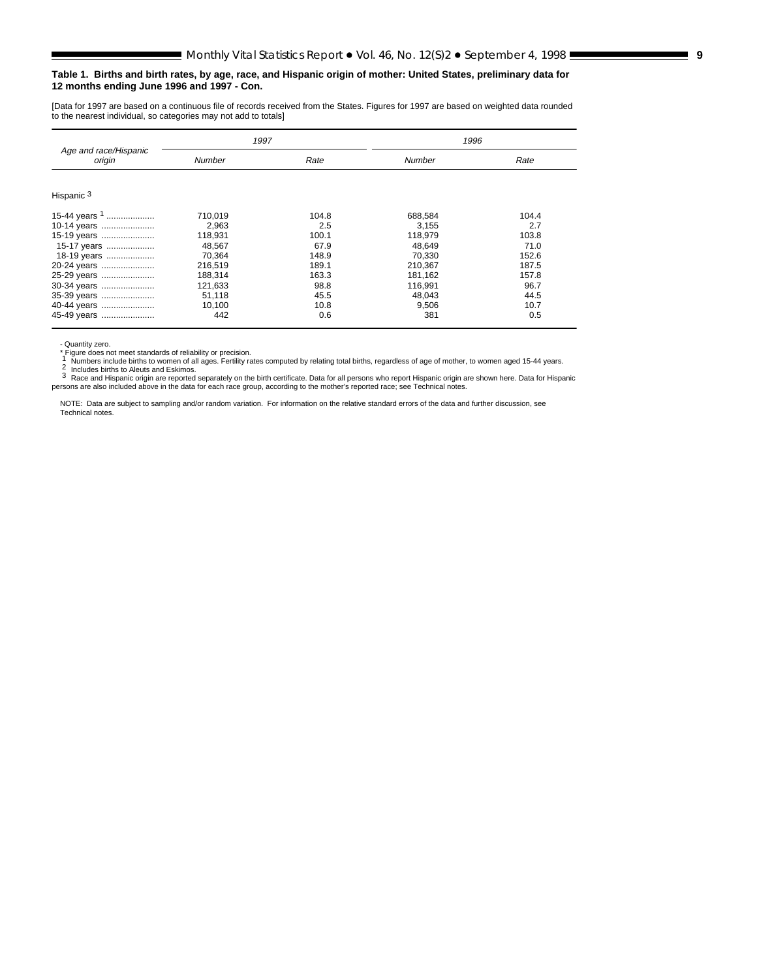#### **Table 1. Births and birth rates, by age, race, and Hispanic origin of mother: United States, preliminary data for 12 months ending June 1996 and 1997 - Con.**

[Data for 1997 are based on a continuous file of records received from the States. Figures for 1997 are based on weighted data rounded to the nearest individual, so categories may not add to totals]

|                                 | 1997    |       | 1996    |       |  |  |
|---------------------------------|---------|-------|---------|-------|--|--|
| Age and race/Hispanic<br>origin | Number  | Rate  | Number  | Rate  |  |  |
| Hispanic <sup>3</sup>           |         |       |         |       |  |  |
|                                 |         |       |         |       |  |  |
| 15-44 years <sup>1</sup>        | 710,019 | 104.8 | 688.584 | 104.4 |  |  |
| 10-14 years                     | 2.963   | 2.5   | 3.155   | 2.7   |  |  |
| 15-19 years                     | 118.931 | 100.1 | 118.979 | 103.8 |  |  |
| 15-17 years                     | 48.567  | 67.9  | 48.649  | 71.0  |  |  |
| 18-19 years                     | 70.364  | 148.9 | 70.330  | 152.6 |  |  |
| 20-24 years                     | 216.519 | 189.1 | 210.367 | 187.5 |  |  |
| 25-29 years                     | 188,314 | 163.3 | 181,162 | 157.8 |  |  |
| 30-34 years                     | 121,633 | 98.8  | 116.991 | 96.7  |  |  |
| 35-39 years                     | 51,118  | 45.5  | 48.043  | 44.5  |  |  |
| 40-44 years                     | 10,100  | 10.8  | 9,506   | 10.7  |  |  |
| 45-49 years                     | 442     | 0.6   | 381     | 0.5   |  |  |

- Quantity zero.

- Quantity zero.<br>
1 Numbers include births to women of all ages. Fertility rates computed by relating total births, regardless of age of mother, to women aged 15-44 years.<br>
1 Numbers include births to women of all ages. Fe

persons are also included above in the data for each race group, according to the mother's reported race; see Technical notes.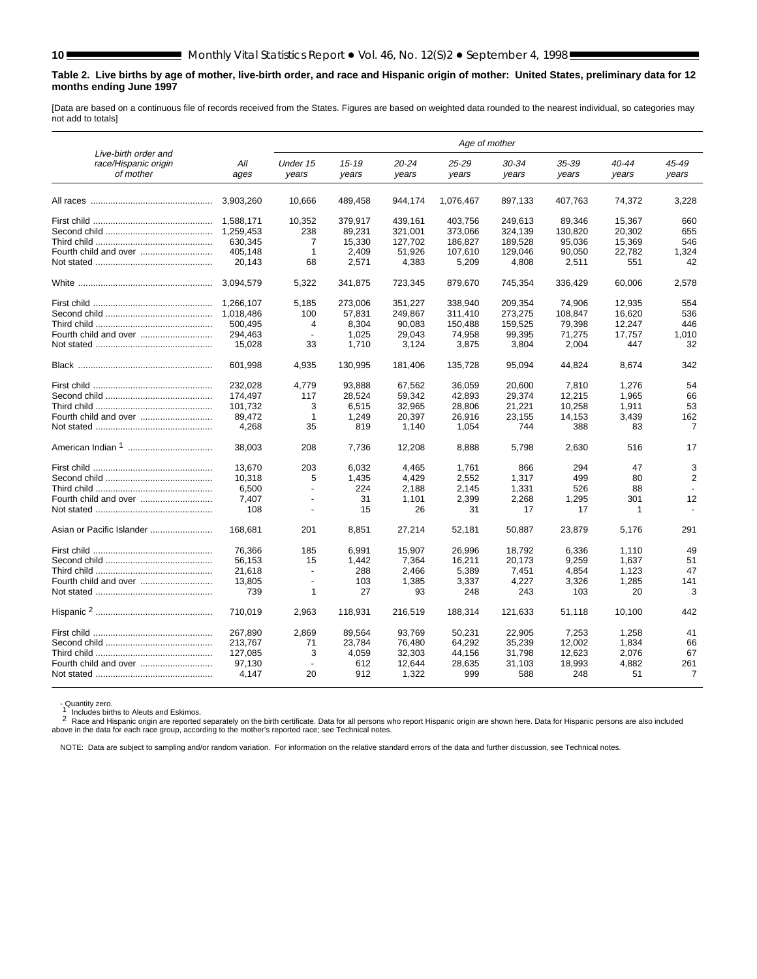#### **Table 2. Live births by age of mother, live-birth order, and race and Hispanic origin of mother: United States, preliminary data for 12 months ending June 1997**

[Data are based on a continuous file of records received from the States. Figures are based on weighted data rounded to the nearest individual, so categories may not add to totals]

|                                                           |             |                          |                    |                | Age of mother  |                    |                |                |                |
|-----------------------------------------------------------|-------------|--------------------------|--------------------|----------------|----------------|--------------------|----------------|----------------|----------------|
| Live-birth order and<br>race/Hispanic origin<br>of mother | All<br>ages | Under 15<br>years        | $15 - 19$<br>years | 20-24<br>years | 25-29<br>years | $30 - 34$<br>years | 35-39<br>years | 40-44<br>years | 45-49<br>years |
|                                                           | 3,903,260   | 10,666                   | 489,458            | 944,174        | 1,076,467      | 897,133            | 407,763        | 74,372         | 3,228          |
|                                                           | 1.588.171   | 10,352                   | 379.917            | 439.161        | 403.756        | 249.613            | 89.346         | 15,367         | 660            |
|                                                           | 1.259.453   | 238                      | 89.231             | 321.001        | 373.066        | 324.139            | 130.820        | 20.302         | 655            |
|                                                           | 630.345     | $\overline{7}$           | 15,330             | 127,702        | 186,827        | 189,528            | 95,036         | 15,369         | 546            |
| Fourth child and over                                     | 405,148     | $\mathbf{1}$             | 2,409              | 51,926         | 107,610        | 129,046            | 90,050         | 22.782         | 1,324          |
|                                                           | 20.143      | 68                       | 2,571              | 4,383          | 5,209          | 4,808              | 2,511          | 551            | 42             |
|                                                           | 3.094.579   | 5.322                    | 341,875            | 723,345        | 879,670        | 745,354            | 336,429        | 60.006         | 2.578          |
|                                                           | 1,266,107   | 5,185                    | 273,006            | 351,227        | 338,940        | 209,354            | 74,906         | 12,935         | 554            |
|                                                           | 1.018.486   | 100                      | 57.831             | 249.867        | 311.410        | 273.275            | 108.847        | 16.620         | 536            |
|                                                           | 500.495     | 4                        | 8.304              | 90.083         | 150.488        | 159,525            | 79.398         | 12,247         | 446            |
|                                                           | 294.463     | $\overline{a}$           | 1.025              | 29.043         | 74.958         | 99.395             | 71.275         | 17.757         | 1.010          |
|                                                           | 15,028      | 33                       | 1,710              | 3,124          | 3,875          | 3,804              | 2,004          | 447            | 32             |
|                                                           |             |                          |                    |                |                |                    |                |                |                |
|                                                           | 601.998     | 4,935                    | 130,995            | 181,406        | 135,728        | 95,094             | 44,824         | 8,674          | 342            |
|                                                           | 232,028     | 4,779                    | 93,888             | 67,562         | 36,059         | 20,600             | 7,810          | 1,276          | 54             |
|                                                           | 174,497     | 117                      | 28,524             | 59,342         | 42,893         | 29,374             | 12,215         | 1,965          | 66             |
|                                                           | 101.732     | 3                        | 6.515              | 32,965         | 28.806         | 21,221             | 10,258         | 1.911          | 53             |
| Fourth child and over                                     | 89.472      | $\mathbf{1}$             | 1.249              | 20,397         | 26.916         | 23.155             | 14,153         | 3.439          | 162            |
|                                                           | 4,268       | 35                       | 819                | 1.140          | 1.054          | 744                | 388            | 83             | $\overline{7}$ |
|                                                           |             |                          |                    |                |                |                    |                |                |                |
|                                                           | 38.003      | 208                      | 7.736              | 12,208         | 8.888          | 5.798              | 2,630          | 516            | 17             |
|                                                           | 13,670      | 203                      | 6,032              | 4,465          | 1,761          | 866                | 294            | 47             | 3              |
|                                                           | 10,318      | 5                        | 1,435              | 4,429          | 2,552          | 1,317              | 499            | 80             | 2              |
|                                                           | 6,500       | $\overline{\phantom{a}}$ | 224                | 2,188          | 2,145          | 1,331              | 526            | 88             |                |
| Fourth child and over                                     | 7.407       | $\overline{a}$           | 31                 | 1.101          | 2.399          | 2,268              | 1.295          | 301            | 12             |
|                                                           | 108         | $\overline{\phantom{a}}$ | 15                 | 26             | 31             | 17                 | 17             | 1              |                |
| Asian or Pacific Islander                                 | 168.681     | 201                      | 8,851              | 27,214         | 52,181         | 50,887             | 23,879         | 5,176          | 291            |
|                                                           |             |                          |                    |                |                |                    |                |                |                |
|                                                           | 76.366      | 185                      | 6.991              | 15,907         | 26.996         | 18.792             | 6,336          | 1.110          | 49             |
|                                                           | 56,153      | 15                       | 1,442              | 7,364          | 16,211         | 20,173             | 9,259          | 1,637          | 51             |
|                                                           | 21,618      | $\overline{\phantom{a}}$ | 288                | 2,466          | 5,389          | 7,451              | 4,854          | 1,123          | 47             |
|                                                           | 13,805      | $\overline{\phantom{a}}$ | 103                | 1,385          | 3,337          | 4,227              | 3,326          | 1,285          | 141            |
|                                                           | 739         | 1                        | 27                 | 93             | 248            | 243                | 103            | 20             | 3              |
|                                                           | 710.019     | 2,963                    | 118,931            | 216,519        | 188,314        | 121,633            | 51.118         | 10.100         | 442            |
|                                                           | 267.890     | 2,869                    | 89,564             | 93.769         | 50,231         | 22,905             | 7,253          | 1,258          | 41             |
|                                                           | 213.767     | 71                       | 23,784             | 76,480         | 64,292         | 35,239             | 12,002         | 1,834          | 66             |
|                                                           | 127,085     | 3                        | 4,059              | 32,303         | 44,156         | 31,798             | 12,623         | 2,076          | 67             |
|                                                           | 97,130      |                          | 612                | 12,644         | 28,635         | 31,103             | 18,993         | 4,882          | 261            |
|                                                           | 4,147       | 20                       | 912                | 1,322          | 999            | 588                | 248            | 51             | $\overline{7}$ |
|                                                           |             |                          |                    |                |                |                    |                |                |                |

- Quantity zero.<br>1 Includes births to Aleuts and Eskimos.<br>2 Race and Hispanic origin are reported separately on the birth certificate. Data for all persons who report Hispanic origin are shown here. Data for Hispanic perso

<span id="page-9-0"></span>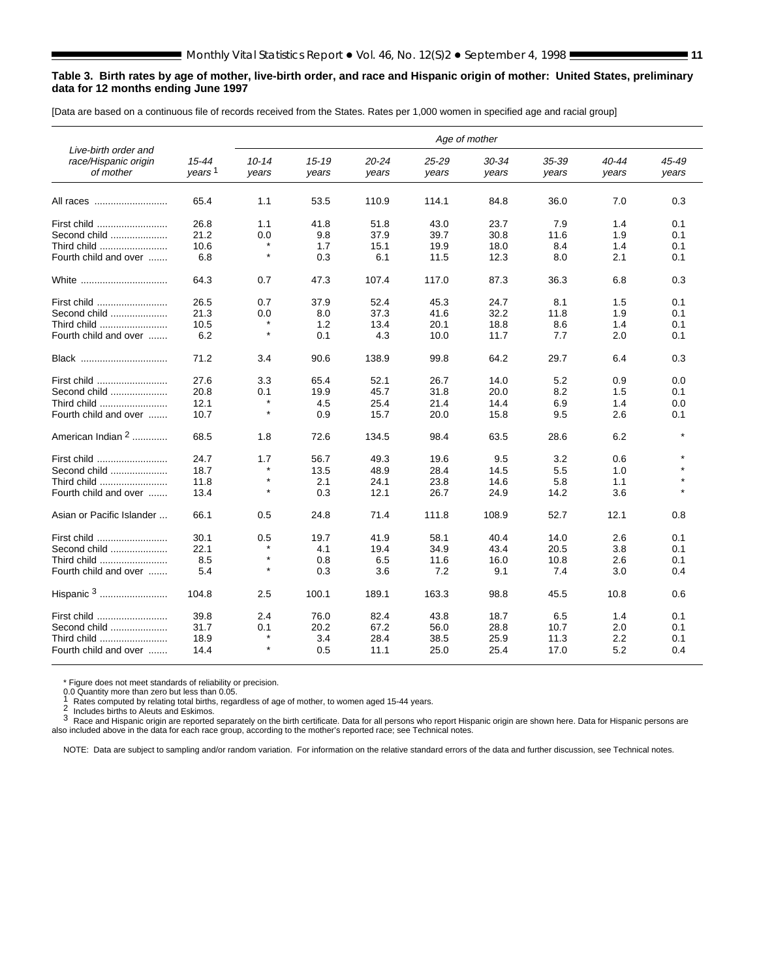#### <span id="page-10-0"></span>**Table 3. Birth rates by age of mother, live-birth order, and race and Hispanic origin of mother: United States, preliminary data for 12 months ending June 1997**

[Data are based on a continuous file of records received from the States. Rates per 1,000 women in specified age and racial group]

| Live-birth order and<br>race/Hispanic origin<br>of mother | $15 - 44$<br>years <sup>1</sup> | $10 - 14$<br>vears | $15 - 19$<br>years | $20 - 24$<br>years | 25-29<br>years | 30-34<br>years | 35-39<br>years | 40-44<br>years | 45-49<br>years |
|-----------------------------------------------------------|---------------------------------|--------------------|--------------------|--------------------|----------------|----------------|----------------|----------------|----------------|
| All races                                                 | 65.4                            | 1.1                | 53.5               | 110.9              | 114.1          | 84.8           | 36.0           | 7.0            | 0.3            |
| First child                                               | 26.8                            | 1.1                | 41.8               | 51.8               | 43.0           | 23.7           | 7.9            | 1.4            | 0.1            |
| Second child                                              | 21.2                            | 0.0                | 9.8                | 37.9               | 39.7           | 30.8           | 11.6           | 1.9            | 0.1            |
| Third child                                               | 10.6                            |                    | 1.7                | 15.1               | 19.9           | 18.0           | 8.4            | 1.4            | 0.1            |
| Fourth child and over                                     | 6.8                             | $\star$            | 0.3                | 6.1                | 11.5           | 12.3           | 8.0            | 2.1            | 0.1            |
| White                                                     | 64.3                            | 0.7                | 47.3               | 107.4              | 117.0          | 87.3           | 36.3           | 6.8            | 0.3            |
| First child                                               | 26.5                            | 0.7                | 37.9               | 52.4               | 45.3           | 24.7           | 8.1            | 1.5            | 0.1            |
| Second child                                              | 21.3                            | 0.0                | 8.0                | 37.3               | 41.6           | 32.2           | 11.8           | 1.9            | 0.1            |
| Third child                                               | 10.5                            |                    | 1.2                | 13.4               | 20.1           | 18.8           | 8.6            | 1.4            | 0.1            |
| Fourth child and over                                     | 6.2                             | $\star$            | 0.1                | 4.3                | 10.0           | 11.7           | 7.7            | 2.0            | 0.1            |
| Black                                                     | 71.2                            | 3.4                | 90.6               | 138.9              | 99.8           | 64.2           | 29.7           | 6.4            | 0.3            |
| First child                                               | 27.6                            | 3.3                | 65.4               | 52.1               | 26.7           | 14.0           | 5.2            | 0.9            | 0.0            |
| Second child                                              | 20.8                            | 0.1                | 19.9               | 45.7               | 31.8           | 20.0           | 8.2            | 1.5            | 0.1            |
| Third child                                               | 12.1                            | $\star$            | 4.5                | 25.4               | 21.4           | 14.4           | 6.9            | 1.4            | 0.0            |
| Fourth child and over                                     | 10.7                            | $\star$            | 0.9                | 15.7               | 20.0           | 15.8           | 9.5            | 2.6            | 0.1            |
| American Indian 2                                         | 68.5                            | 1.8                | 72.6               | 134.5              | 98.4           | 63.5           | 28.6           | 6.2            |                |
| First child                                               | 24.7                            | 1.7                | 56.7               | 49.3               | 19.6           | 9.5            | 3.2            | 0.6            |                |
| Second child                                              | 18.7                            | $\star$            | 13.5               | 48.9               | 28.4           | 14.5           | 5.5            | 1.0            |                |
| Third child                                               | 11.8                            | $\star$            | 2.1                | 24.1               | 23.8           | 14.6           | 5.8            | 1.1            |                |
| Fourth child and over                                     | 13.4                            | $\star$            | 0.3                | 12.1               | 26.7           | 24.9           | 14.2           | 3.6            |                |
| Asian or Pacific Islander                                 | 66.1                            | 0.5                | 24.8               | 71.4               | 111.8          | 108.9          | 52.7           | 12.1           | 0.8            |
| First child                                               | 30.1                            | 0.5                | 19.7               | 41.9               | 58.1           | 40.4           | 14.0           | 2.6            | 0.1            |
| Second child                                              | 22.1                            |                    | 4.1                | 19.4               | 34.9           | 43.4           | 20.5           | 3.8            | 0.1            |
| Third child                                               | 8.5                             | $\star$            | 0.8                | 6.5                | 11.6           | 16.0           | 10.8           | 2.6            | 0.1            |
| Fourth child and over                                     | 5.4                             | $\star$            | 0.3                | 3.6                | 7.2            | 9.1            | 7.4            | 3.0            | 0.4            |
|                                                           | 104.8                           | 2.5                | 100.1              | 189.1              | 163.3          | 98.8           | 45.5           | 10.8           | 0.6            |
| First child                                               | 39.8                            | 2.4                | 76.0               | 82.4               | 43.8           | 18.7           | 6.5            | 1.4            | 0.1            |
| Second child                                              | 31.7                            | 0.1                | 20.2               | 67.2               | 56.0           | 28.8           | 10.7           | 2.0            | 0.1            |
| Third child                                               | 18.9                            | $\star$            | 3.4                | 28.4               | 38.5           | 25.9           | 11.3           | 2.2            | 0.1            |
| Fourth child and over                                     | 14.4                            | $\star$            | 0.5                | 11.1               | 25.0           | 25.4           | 17.0           | 5.2            | 0.4            |

\* Figure does not meet standards of reliability or precision.<br>0.0 Quantity more than zero but less than 0.05.<br>1 Rates computed by relative to 1.11.11.11.

0.0 Quantity more than zero but less than 0.00.<br>
2 Includes births to Aleuts and Eskimos.<br>
2 Includes births to Aleuts and Eskimos.

3 Race and Hispanic origin are reported separately on the birth certificate. Data for all persons who report Hispanic origin are shown here. Data for Hispanic persons are also included above in the data for each race group, according to the mother's reported race; see Technical notes.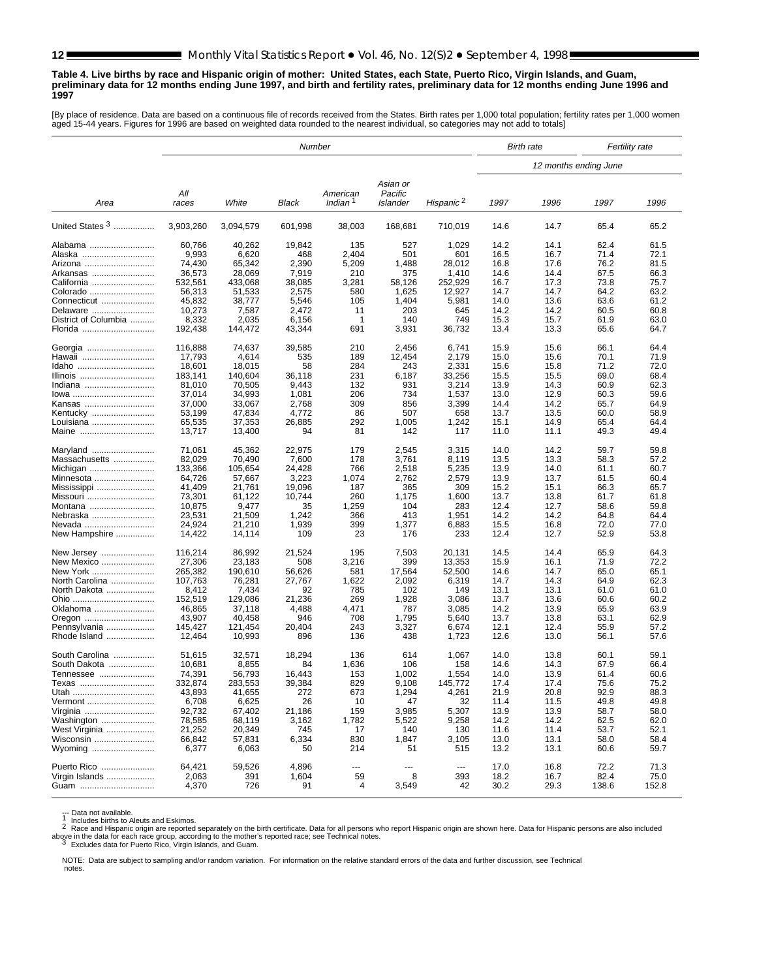#### <span id="page-11-0"></span>**Table 4. Live births by race and Hispanic origin of mother: United States, each State, Puerto Rico, Virgin Islands, and Guam, preliminary data for 12 months ending June 1997, and birth and fertility rates, preliminary data for 12 months ending June 1996 and 1997**

[By place of residence. Data are based on a continuous file of records received from the States. Birth rates per 1,000 total population; fertility rates per 1,000 women aged 15-44 years. Figures for 1996 are based on weighted data rounded to the nearest individual, so categories may not add to totals]

|                        |                   |                   | Number        |                     |                     |                       | <b>Birth rate</b><br><b>Fertility rate</b> |                       |              |              |
|------------------------|-------------------|-------------------|---------------|---------------------|---------------------|-----------------------|--------------------------------------------|-----------------------|--------------|--------------|
|                        |                   |                   |               |                     |                     |                       |                                            | 12 months ending June |              |              |
|                        | All               |                   |               | American            | Asian or<br>Pacific |                       |                                            |                       |              |              |
| Area                   | races             | White             | Black         | Indian <sup>1</sup> | Islander            | Hispanic <sup>2</sup> | 1997                                       | 1996                  | 1997         | 1996         |
| United States 3        | 3,903,260         | 3,094,579         | 601,998       | 38,003              | 168,681             | 710,019               | 14.6                                       | 14.7                  | 65.4         | 65.2         |
| Alabama                | 60,766            | 40,262            | 19,842        | 135                 | 527                 | 1,029                 | 14.2                                       | 14.1                  | 62.4         | 61.5         |
| Alaska                 | 9,993             | 6,620             | 468           | 2,404               | 501                 | 601                   | 16.5                                       | 16.7                  | 71.4         | 72.1         |
| Arizona                | 74,430            | 65,342            | 2,390         | 5,209               | 1,488               | 28.012                | 16.8                                       | 17.6                  | 76.2         | 81.5         |
| Arkansas               | 36,573            | 28,069            | 7,919         | 210                 | 375                 | 1,410                 | 14.6                                       | 14.4                  | 67.5         | 66.3         |
| California             | 532,561           | 433,068           | 38,085        | 3,281               | 58,126              | 252,929               | 16.7                                       | 17.3                  | 73.8         | 75.7         |
| Colorado               | 56,313            | 51,533            | 2,575         | 580                 | 1,625               | 12,927                | 14.7                                       | 14.7                  | 64.2         | 63.2         |
| Connecticut            | 45,832            | 38,777            | 5,546         | 105                 | 1,404               | 5,981                 | 14.0                                       | 13.6                  | 63.6         | 61.2         |
| Delaware               | 10,273            | 7,587             | 2,472         | 11                  | 203                 | 645                   | 14.2                                       | 14.2                  | 60.5         | 60.8         |
| District of Columbia   | 8,332             | 2,035             | 6,156         | -1                  | 140                 | 749                   | 15.3                                       | 15.7                  | 61.9         | 63.0         |
| Florida                | 192,438           | 144,472           | 43,344        | 691                 | 3,931               | 36,732                | 13.4                                       | 13.3                  | 65.6         | 64.7         |
| Georgia<br>Hawaii      | 116,888<br>17,793 | 74,637<br>4,614   | 39,585<br>535 | 210<br>189          | 2,456<br>12,454     | 6,741<br>2,179        | 15.9<br>15.0                               | 15.6<br>15.6          | 66.1<br>70.1 | 64.4<br>71.9 |
| Idaho                  | 18,601            | 18,015            | 58            | 284                 | 243                 | 2,331                 | 15.6                                       | 15.8                  | 71.2         | 72.0         |
| Illinois               | 183,141           | 140,604           | 36,118        | 231                 | 6,187               | 33,256                | 15.5                                       | 15.5                  | 69.0         | 68.4         |
| Indiana                | 81,010            | 70,505            | 9,443         | 132                 | 931                 | 3,214                 | 13.9                                       | 14.3                  | 60.9         | 62.3         |
| lowa                   | 37,014            | 34,993            | 1,081         | 206                 | 734                 | 1,537                 | 13.0                                       | 12.9                  | 60.3         | 59.6         |
| Kansas                 | 37,000            | 33,067            | 2,768         | 309                 | 856                 | 3,399                 | 14.4                                       | 14.2                  | 65.7         | 64.9         |
| Kentucky               | 53,199            | 47,834            | 4,772         | 86                  | 507                 | 658                   | 13.7                                       | 13.5                  | 60.0         | 58.9         |
| Louisiana              | 65,535            | 37,353            | 26,885        | 292                 | 1,005               | 1,242                 | 15.1                                       | 14.9                  | 65.4         | 64.4         |
| Maine                  | 13,717            | 13,400            | 94            | 81                  | 142                 | 117                   | 11.0                                       | 11.1                  | 49.3         | 49.4         |
| Maryland               | 71,061            | 45,362            | 22.975        | 179                 | 2,545               | 3,315                 | 14.0                                       | 14.2                  | 59.7         | 59.8         |
| Massachusetts          | 82,029            | 70,490            | 7,600         | 178                 | 3,761               | 8,119                 | 13.5                                       | 13.3                  | 58.3         | 57.2         |
| Michigan               | 133,366           | 105,654           | 24.428        | 766                 | 2,518               | 5,235                 | 13.9                                       | 14.0                  | 61.1         | 60.7         |
| Minnesota              | 64,726            | 57,667            | 3,223         | 1,074               | 2,762               | 2,579                 | 13.9                                       | 13.7                  | 61.5         | 60.4         |
| Mississippi            | 41,409            | 21.761            | 19,096        | 187                 | 365                 | 309                   | 15.2                                       | 15.1                  | 66.3         | 65.7         |
| Missouri               | 73,301            | 61,122            | 10,744        | 260                 | 1,175               | 1,600                 | 13.7                                       | 13.8                  | 61.7         | 61.8         |
| Montana                | 10,875            | 9,477             | 35            | 1,259               | 104                 | 283                   | 12.4                                       | 12.7                  | 58.6         | 59.8         |
| Nebraska               | 23,531            | 21,509            | 1,242         | 366                 | 413                 | 1,951                 | 14.2                                       | 14.2                  | 64.8         | 64.4         |
| Nevada                 | 24,924            | 21,210            | 1,939         | 399                 | 1,377               | 6,883                 | 15.5                                       | 16.8                  | 72.0         | 77.0         |
| New Hampshire          | 14,422            | 14,114            | 109           | 23                  | 176                 | 233                   | 12.4                                       | 12.7                  | 52.9         | 53.8         |
| New Jersey             | 116,214           | 86,992            | 21,524        | 195                 | 7,503               | 20,131                | 14.5                                       | 14.4                  | 65.9         | 64.3         |
| New Mexico             | 27,306            | 23,183            | 508           | 3,216               | 399                 | 13,353                | 15.9                                       | 16.1                  | 71.9         | 72.2         |
| New York               | 265,382           | 190,610           | 56,626        | 581                 | 17,564              | 52,500                | 14.6                                       | 14.7                  | 65.0         | 65.1         |
| North Carolina         | 107,763           | 76,281            | 27,767        | 1,622               | 2,092               | 6,319                 | 14.7                                       | 14.3                  | 64.9         | 62.3         |
| North Dakota           | 8,412             | 7,434             | 92            | 785                 | 102                 | 149                   | 13.1                                       | 13.1                  | 61.0         | 61.0         |
| Ohio                   | 152,519           | 129,086           | 21,236        | 269                 | 1,928               | 3,086                 | 13.7                                       | 13.6                  | 60.6         | 60.2         |
| Oklahoma               | 46,865            | 37,118            | 4,488<br>946  | 4,471<br>708        | 787                 | 3,085                 | 14.2<br>13.7                               | 13.9<br>13.8          | 65.9         | 63.9<br>62.9 |
| Oregon<br>Pennsylvania | 43,907<br>145,427 | 40,458<br>121,454 | 20,404        | 243                 | 1,795<br>3,327      | 5,640<br>6,674        | 12.1                                       | 12.4                  | 63.1<br>55.9 | 57.2         |
| Rhode Island           | 12,464            | 10,993            | 896           | 136                 | 438                 | 1,723                 | 12.6                                       | 13.0                  | 56.1         | 57.6         |
| South Carolina         | 51,615            | 32,571            | 18,294        | 136                 | 614                 | 1,067                 | 14.0                                       | 13.8                  | 60.1         | 59.1         |
| South Dakota           | 10,681            | 8,855             | 84            | 1,636               | 106                 | 158                   | 14.6                                       | 14.3                  | 67.9         | 66.4         |
| Tennessee              | 74,391            | 56,793            | 16,443        | 153                 | 1,002               | 1,554                 | 14.0                                       | 13.9                  | 61.4         | 60.6         |
| Texas                  | 332,874           | 283,553           | 39,384        | 829                 | 9,108               | 145,772               | 17.4                                       | 17.4                  | 75.6         | 75.2         |
| Utah                   | 43,893            | 41,655            | 272           | 673                 | 1,294               | 4,261                 | 21.9                                       | 20.8                  | 92.9         | 88.3         |
| Vermont                | 6,708             | 6,625             | 26            | 10                  | 47                  | 32                    | 11.4                                       | 11.5                  | 49.8         | 49.8         |
| Virginia               | 92,732            | 67,402            | 21,186        | 159                 | 3,985               | 5,307                 | 13.9                                       | 13.9                  | 58.7         | 58.0         |
| Washington             | 78,585            | 68,119            | 3,162         | 1,782               | 5,522               | 9,258                 | 14.2                                       | 14.2                  | 62.5         | 62.0         |
| West Virginia          | 21,252            | 20,349            | 745           | 17                  | 140                 | 130                   | 11.6                                       | 11.4                  | 53.7         | 52.1         |
| Wisconsin              | 66,842            | 57,831            | 6,334         | 830                 | 1,847               | 3,105                 | 13.0                                       | 13.1                  | 58.0         | 58.4         |
| Wyoming                | 6,377             | 6,063             | 50            | 214                 | 51                  | 515                   | 13.2                                       | 13.1                  | 60.6         | 59.7         |
| Puerto Rico            | 64,421            | 59,526            | 4,896         | ---                 |                     | ---                   | 17.0                                       | 16.8                  | 72.2         | 71.3         |
| Virgin Islands         | 2,063             | 391               | 1,604         | 59                  | 8                   | 393                   | 18.2                                       | 16.7                  | 82.4         | 75.0         |
| Guam                   | 4,370             | 726               | 91            | 4                   | 3,549               | 42                    | 30.2                                       | 29.3                  | 138.6        | 152.8        |

--- Data not available.<br>1 Includes births to Aleuts and Eskimos.<br>2 Race and Hispanic origin are reported separately on the birth certificate. Data for all persons who report Hispanic origin are shown here. Data for Hispani above in the data for each race group, according to the mother's reported race; see Technical notes.<br><sup>3</sup> Excludes data for Puerto Rico, Virgin Islands, and Guam.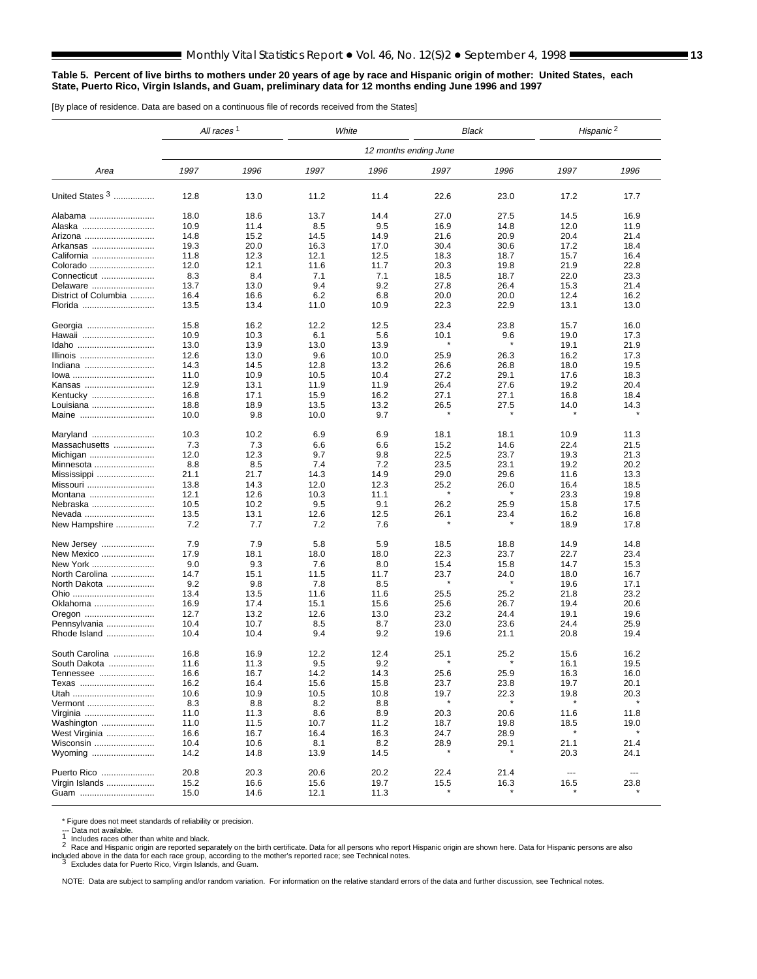#### <span id="page-12-0"></span>**Table 5. Percent of live births to mothers under 20 years of age by race and Hispanic origin of mother: United States, each State, Puerto Rico, Virgin Islands, and Guam, preliminary data for 12 months ending June 1996 and 1997**

[By place of residence. Data are based on a continuous file of records received from the States]

|                      | All races <sup>1</sup> |      |      | White | <b>Black</b>          |         | Hispanic <sup>2</sup> |                        |
|----------------------|------------------------|------|------|-------|-----------------------|---------|-----------------------|------------------------|
|                      |                        |      |      |       | 12 months ending June |         |                       |                        |
| Area                 | 1997                   | 1996 | 1997 | 1996  | 1997                  | 1996    | 1997                  | 1996                   |
| United States 3      | 12.8                   | 13.0 | 11.2 | 11.4  | 22.6                  | 23.0    | 17.2                  | 17.7                   |
| Alabama              | 18.0                   | 18.6 | 13.7 | 14.4  | 27.0                  | 27.5    | 14.5                  | 16.9                   |
| Alaska               | 10.9                   | 11.4 | 8.5  | 9.5   | 16.9                  | 14.8    | 12.0                  | 11.9                   |
| Arizona              | 14.8                   | 15.2 | 14.5 | 14.9  | 21.6                  | 20.9    | 20.4                  | 21.4                   |
| Arkansas             | 19.3                   | 20.0 | 16.3 | 17.0  | 30.4                  | 30.6    | 17.2                  | 18.4                   |
| California           | 11.8                   | 12.3 | 12.1 | 12.5  | 18.3                  | 18.7    | 15.7                  | 16.4                   |
| Colorado             | 12.0                   | 12.1 | 11.6 | 11.7  | 20.3                  | 19.8    | 21.9                  | 22.8                   |
| Connecticut          | 8.3                    | 8.4  | 7.1  | 7.1   | 18.5                  | 18.7    | 22.0                  | 23.3                   |
| Delaware             | 13.7                   | 13.0 | 9.4  | 9.2   | 27.8                  | 26.4    | 15.3                  | 21.4                   |
| District of Columbia | 16.4                   | 16.6 | 6.2  | 6.8   | 20.0                  | 20.0    | 12.4                  | 16.2                   |
| Florida              | 13.5                   | 13.4 | 11.0 | 10.9  | 22.3                  | 22.9    | 13.1                  | 13.0                   |
| Georgia              | 15.8                   | 16.2 | 12.2 | 12.5  | 23.4                  | 23.8    | 15.7                  | 16.0                   |
| Hawaii               | 10.9                   | 10.3 | 6.1  | 5.6   | 10.1                  | 9.6     | 19.0                  | 17.3                   |
| Idaho                | 13.0                   | 13.9 | 13.0 | 13.9  |                       | $\star$ | 19.1                  | 21.9                   |
| Illinois             | 12.6                   | 13.0 | 9.6  | 10.0  | 25.9                  | 26.3    | 16.2                  | 17.3                   |
| Indiana              | 14.3                   | 14.5 | 12.8 | 13.2  | 26.6                  | 26.8    | 18.0                  | 19.5                   |
| lowa                 | 11.0                   | 10.9 | 10.5 | 10.4  | 27.2                  | 29.1    | 17.6                  | 18.3                   |
| Kansas               | 12.9                   | 13.1 | 11.9 | 11.9  | 26.4                  | 27.6    | 19.2                  | 20.4                   |
| Kentucky             | 16.8                   | 17.1 | 15.9 | 16.2  | 27.1                  | 27.1    | 16.8                  | 18.4                   |
| Louisiana            | 18.8                   | 18.9 | 13.5 | 13.2  | 26.5                  | 27.5    | 14.0                  | 14.3                   |
| Maine                | 10.0                   | 9.8  | 10.0 | 9.7   |                       | $\star$ | $\ast$                |                        |
| Maryland             | 10.3                   | 10.2 | 6.9  | 6.9   | 18.1                  | 18.1    | 10.9                  | 11.3                   |
| Massachusetts        | 7.3                    | 7.3  | 6.6  | 6.6   | 15.2                  | 14.6    | 22.4                  | 21.5                   |
| Michigan             | 12.0                   | 12.3 | 9.7  | 9.8   | 22.5                  | 23.7    | 19.3                  | 21.3                   |
| Minnesota            | 8.8                    | 8.5  | 7.4  | 7.2   | 23.5                  | 23.1    | 19.2                  | 20.2                   |
| Mississippi          | 21.1                   | 21.7 | 14.3 | 14.9  | 29.0                  | 29.6    | 11.6                  | 13.3                   |
| Missouri             | 13.8                   | 14.3 | 12.0 | 12.3  | 25.2                  | 26.0    | 16.4                  | 18.5                   |
| Montana              | 12.1                   | 12.6 | 10.3 | 11.1  |                       |         | 23.3                  | 19.8                   |
| Nebraska             | 10.5                   | 10.2 | 9.5  | 9.1   | 26.2                  | 25.9    | 15.8                  | 17.5                   |
| Nevada               | 13.5                   | 13.1 | 12.6 | 12.5  | 26.1                  | 23.4    | 16.2                  | 16.8                   |
| New Hampshire        | 7.2                    | 7.7  | 7.2  | 7.6   |                       |         | 18.9                  | 17.8                   |
| New Jersey           | 7.9                    | 7.9  | 5.8  | 5.9   | 18.5                  | 18.8    | 14.9                  | 14.8                   |
| New Mexico           | 17.9                   | 18.1 | 18.0 | 18.0  | 22.3                  | 23.7    | 22.7                  | 23.4                   |
| New York             | 9.0                    | 9.3  | 7.6  | 8.0   | 15.4                  | 15.8    | 14.7                  | 15.3                   |
| North Carolina       | 14.7                   | 15.1 | 11.5 | 11.7  | 23.7                  | 24.0    | 18.0                  | 16.7                   |
| North Dakota         | 9.2                    | 9.8  | 7.8  | 8.5   |                       |         | 19.6                  | 17.1                   |
| Ohio                 | 13.4                   | 13.5 | 11.6 | 11.6  | 25.5                  | 25.2    | 21.8                  | 23.2                   |
| Oklahoma             | 16.9                   | 17.4 | 15.1 | 15.6  | 25.6                  | 26.7    | 19.4                  | 20.6                   |
| Oregon               | 12.7                   | 13.2 | 12.6 | 13.0  | 23.2                  | 24.4    | 19.1                  | 19.6                   |
| Pennsylvania         | 10.4                   | 10.7 | 8.5  | 8.7   | 23.0                  | 23.6    | 24.4                  | 25.9                   |
| Rhode Island         | 10.4                   | 10.4 | 9.4  | 9.2   | 19.6                  | 21.1    | 20.8                  | 19.4                   |
| South Carolina       | 16.8                   | 16.9 | 12.2 | 12.4  | 25.1                  | 25.2    | 15.6                  | 16.2                   |
| South Dakota         | 11.6                   | 11.3 | 9.5  | 9.2   |                       |         | 16.1                  | 19.5                   |
| Tennessee            | 16.6                   | 16.7 | 14.2 | 14.3  | 25.6                  | 25.9    | 16.3                  | 16.0                   |
| Texas                | 16.2                   | 16.4 | 15.6 | 15.8  | 23.7                  | 23.8    | 19.7                  | 20.1                   |
|                      | 10.6                   | 10.9 | 10.5 | 10.8  | 19.7                  | 22.3    | 19.8                  | 20.3                   |
| Vermont              | 8.3                    | 8.8  | 8.2  | 8.8   |                       |         |                       |                        |
| Virginia             | 11.0                   | 11.3 | 8.6  | 8.9   | 20.3                  | 20.6    | 11.6                  | 11.8                   |
| Washington           | 11.0                   | 11.5 | 10.7 | 11.2  | 18.7                  | 19.8    | 18.5                  | 19.0                   |
| West Virginia        | 16.6                   | 16.7 | 16.4 | 16.3  | 24.7                  | 28.9    |                       |                        |
| Wisconsin            | 10.4                   | 10.6 | 8.1  | 8.2   | 28.9                  | 29.1    | 21.1                  | 21.4                   |
| Wyoming              | 14.2                   | 14.8 | 13.9 | 14.5  |                       |         | 20.3                  | 24.1                   |
| Puerto Rico          | 20.8                   | 20.3 | 20.6 | 20.2  | 22.4                  | 21.4    | $\cdots$              | $\qquad \qquad \cdots$ |
| Virgin Islands       | 15.2                   | 16.6 | 15.6 | 19.7  | 15.5                  | 16.3    | 16.5                  | 23.8                   |
| Guam                 | 15.0                   | 14.6 | 12.1 | 11.3  |                       |         |                       |                        |

\* Figure does not meet standards of reliability or precision.<br>--- Data not available.<br>-1 Includes races other than white and black.

--- Data not available.<br>1 Includes races other than white and black.<br>2 Race and Hispanic origin are reported separately on the birth certificate. Data for all persons who report Hispanic origin are shown here. Data for His included above in the data for each race group, according to the mother's reported race; see Technical notes.<br><sup>3</sup> Excludes data for Puerto Rico, Virgin Islands, and Guam.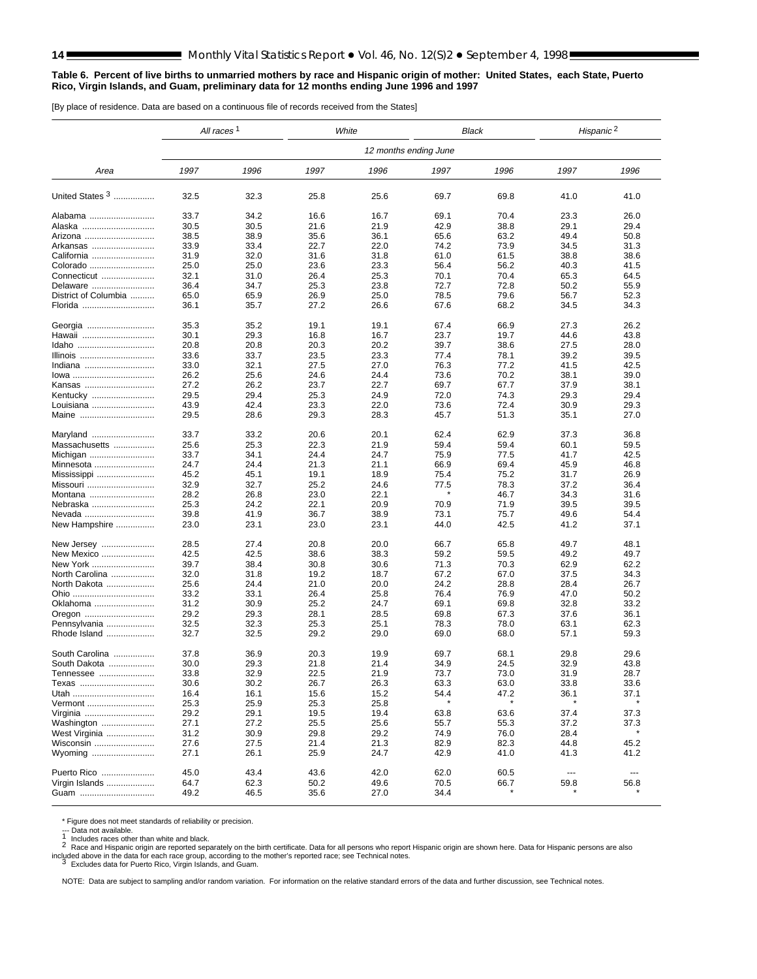#### <span id="page-13-0"></span>**Table 6. Percent of live births to unmarried mothers by race and Hispanic origin of mother: United States, each State, Puerto Rico, Virgin Islands, and Guam, preliminary data for 12 months ending June 1996 and 1997**

[By place of residence. Data are based on a continuous file of records received from the States]

|                      | All races <sup>1</sup> |      |      | White                 |      | Black |               | Hispanic <sup>2</sup> |
|----------------------|------------------------|------|------|-----------------------|------|-------|---------------|-----------------------|
|                      |                        |      |      | 12 months ending June |      |       |               |                       |
| Area                 | 1997                   | 1996 | 1997 | 1996                  | 1997 | 1996  | 1997          | 1996                  |
| United States 3      | 32.5                   | 32.3 | 25.8 | 25.6                  | 69.7 | 69.8  | 41.0          | 41.0                  |
| Alabama              | 33.7                   | 34.2 | 16.6 | 16.7                  | 69.1 | 70.4  | 23.3          | 26.0                  |
| Alaska               | 30.5                   | 30.5 | 21.6 | 21.9                  | 42.9 | 38.8  | 29.1          | 29.4                  |
| Arizona              | 38.5                   | 38.9 | 35.6 | 36.1                  | 65.6 | 63.2  | 49.4          | 50.8                  |
| Arkansas             | 33.9                   | 33.4 | 22.7 | 22.0                  | 74.2 | 73.9  | 34.5          | 31.3                  |
| California           | 31.9                   | 32.0 | 31.6 | 31.8                  | 61.0 | 61.5  | 38.8          | 38.6                  |
| Colorado             | 25.0                   | 25.0 | 23.6 | 23.3                  | 56.4 | 56.2  | 40.3          | 41.5                  |
| Connecticut          | 32.1                   | 31.0 | 26.4 | 25.3                  | 70.1 | 70.4  | 65.3          | 64.5                  |
| Delaware             | 36.4                   | 34.7 | 25.3 | 23.8                  | 72.7 | 72.8  | 50.2          | 55.9                  |
| District of Columbia | 65.0                   | 65.9 | 26.9 | 25.0                  | 78.5 | 79.6  | 56.7          | 52.3                  |
| Florida              | 36.1                   | 35.7 | 27.2 | 26.6                  | 67.6 | 68.2  | 34.5          | 34.3                  |
| Georgia              | 35.3                   | 35.2 | 19.1 | 19.1                  | 67.4 | 66.9  | 27.3          | 26.2                  |
| Hawaii               | 30.1                   | 29.3 | 16.8 | 16.7                  | 23.7 | 19.7  | 44.6          | 43.8                  |
| Idaho                | 20.8                   | 20.8 | 20.3 | 20.2                  | 39.7 | 38.6  | 27.5          | 28.0                  |
| Illinois             | 33.6                   | 33.7 | 23.5 | 23.3                  | 77.4 | 78.1  | 39.2          | 39.5                  |
| Indiana              | 33.0                   | 32.1 | 27.5 | 27.0                  | 76.3 | 77.2  | 41.5          | 42.5                  |
| lowa                 | 26.2                   | 25.6 | 24.6 | 24.4                  | 73.6 | 70.2  | 38.1          | 39.0                  |
| Kansas               | 27.2                   | 26.2 | 23.7 | 22.7                  | 69.7 | 67.7  | 37.9          | 38.1                  |
| Kentucky             | 29.5                   | 29.4 | 25.3 | 24.9                  | 72.0 | 74.3  | 29.3          | 29.4                  |
| Louisiana            | 43.9                   | 42.4 | 23.3 | 22.0                  | 73.6 | 72.4  | 30.9          | 29.3                  |
| Maine                | 29.5                   | 28.6 | 29.3 | 28.3                  | 45.7 | 51.3  | 35.1          | 27.0                  |
| Maryland             | 33.7                   | 33.2 | 20.6 | 20.1                  | 62.4 | 62.9  | 37.3          | 36.8                  |
| Massachusetts        | 25.6                   | 25.3 | 22.3 | 21.9                  | 59.4 | 59.4  | 60.1          | 59.5                  |
| Michigan             | 33.7                   | 34.1 | 24.4 | 24.7                  | 75.9 | 77.5  | 41.7          | 42.5                  |
| Minnesota            | 24.7                   | 24.4 | 21.3 | 21.1                  | 66.9 | 69.4  | 45.9          | 46.8                  |
| Mississippi          | 45.2                   | 45.1 | 19.1 | 18.9                  | 75.4 | 75.2  | 31.7          | 26.9                  |
| Missouri             | 32.9                   | 32.7 | 25.2 | 24.6                  | 77.5 | 78.3  | 37.2          | 36.4                  |
| Montana              | 28.2                   | 26.8 | 23.0 | 22.1                  |      | 46.7  | 34.3          | 31.6                  |
| Nebraska             | 25.3                   | 24.2 | 22.1 | 20.9                  | 70.9 | 71.9  | 39.5          | 39.5                  |
| Nevada               | 39.8                   | 41.9 | 36.7 | 38.9                  | 73.1 | 75.7  | 49.6          | 54.4                  |
| New Hampshire        | 23.0                   | 23.1 | 23.0 | 23.1                  | 44.0 | 42.5  | 41.2          | 37.1                  |
| New Jersey           | 28.5                   | 27.4 | 20.8 | 20.0                  | 66.7 | 65.8  | 49.7          | 48.1                  |
| New Mexico           | 42.5                   | 42.5 | 38.6 | 38.3                  | 59.2 | 59.5  | 49.2          | 49.7                  |
| New York             | 39.7                   | 38.4 | 30.8 | 30.6                  | 71.3 | 70.3  | 62.9          | 62.2                  |
| North Carolina       | 32.0                   | 31.8 | 19.2 | 18.7                  | 67.2 | 67.0  | 37.5          | 34.3                  |
| North Dakota         | 25.6                   | 24.4 | 21.0 | 20.0                  | 24.2 | 28.8  | 28.4          | 26.7                  |
| Ohio                 | 33.2                   | 33.1 | 26.4 | 25.8                  | 76.4 | 76.9  | 47.0          | 50.2                  |
| Oklahoma             | 31.2                   | 30.9 | 25.2 | 24.7                  | 69.1 | 69.8  | 32.8          | 33.2                  |
| Oregon               | 29.2                   | 29.3 | 28.1 | 28.5                  | 69.8 | 67.3  | 37.6          | 36.1                  |
| Pennsylvania         | 32.5                   | 32.3 | 25.3 | 25.1                  | 78.3 | 78.0  | 63.1          | 62.3                  |
| Rhode Island         | 32.7                   | 32.5 | 29.2 | 29.0                  | 69.0 | 68.0  | 57.1          | 59.3                  |
| South Carolina       | 37.8                   | 36.9 | 20.3 | 19.9                  | 69.7 | 68.1  | 29.8          | 29.6                  |
| South Dakota         | 30.0                   | 29.3 | 21.8 | 21.4                  | 34.9 | 24.5  | 32.9          | 43.8                  |
| Tennessee            | 33.8                   | 32.9 | 22.5 | 21.9                  | 73.7 | 73.0  | 31.9          | 28.7                  |
| Texas                | 30.6                   | 30.2 | 26.7 | 26.3                  | 63.3 | 63.0  | 33.8          | 33.6                  |
| Utah                 | 16.4                   | 16.1 | 15.6 | 15.2                  | 54.4 | 47.2  | 36.1          | 37.1                  |
| Vermont              | 25.3                   | 25.9 | 25.3 | 25.8                  |      |       |               |                       |
| Virginia             | 29.2                   | 29.1 | 19.5 | 19.4                  | 63.8 | 63.6  | 37.4          | 37.3                  |
| Washington           | 27.1                   | 27.2 | 25.5 | 25.6                  | 55.7 | 55.3  | 37.2          | 37.3                  |
| West Virginia        | 31.2                   | 30.9 | 29.8 | 29.2                  | 74.9 | 76.0  | 28.4          |                       |
| Wisconsin            | 27.6                   | 27.5 | 21.4 | 21.3                  | 82.9 | 82.3  | 44.8          | 45.2                  |
| Wyoming              | 27.1                   | 26.1 | 25.9 | 24.7                  | 42.9 | 41.0  | 41.3          | 41.2                  |
| Puerto Rico          | 45.0                   | 43.4 | 43.6 | 42.0                  | 62.0 | 60.5  | $\sim$ $\sim$ | $\sim$                |
| Virgin Islands       | 64.7                   | 62.3 | 50.2 | 49.6                  | 70.5 | 66.7  | 59.8          | 56.8                  |
| Guam                 | 49.2                   | 46.5 | 35.6 | 27.0                  | 34.4 |       |               |                       |

\* Figure does not meet standards of reliability or precision.<br>--- Data not available.<br>1 Includes races other than white and black.

--- Data not available.<br>1 Includes races other than white and black.<br>2 Race and Hispanic origin are reported separately on the birth certificate. Data for all persons who report Hispanic origin are shown here. Data for His included above in the data for each race group, according to the mother's reported race; see Technical notes.<br><sup>3</sup> Excludes data for Puerto Rico, Virgin Islands, and Guam.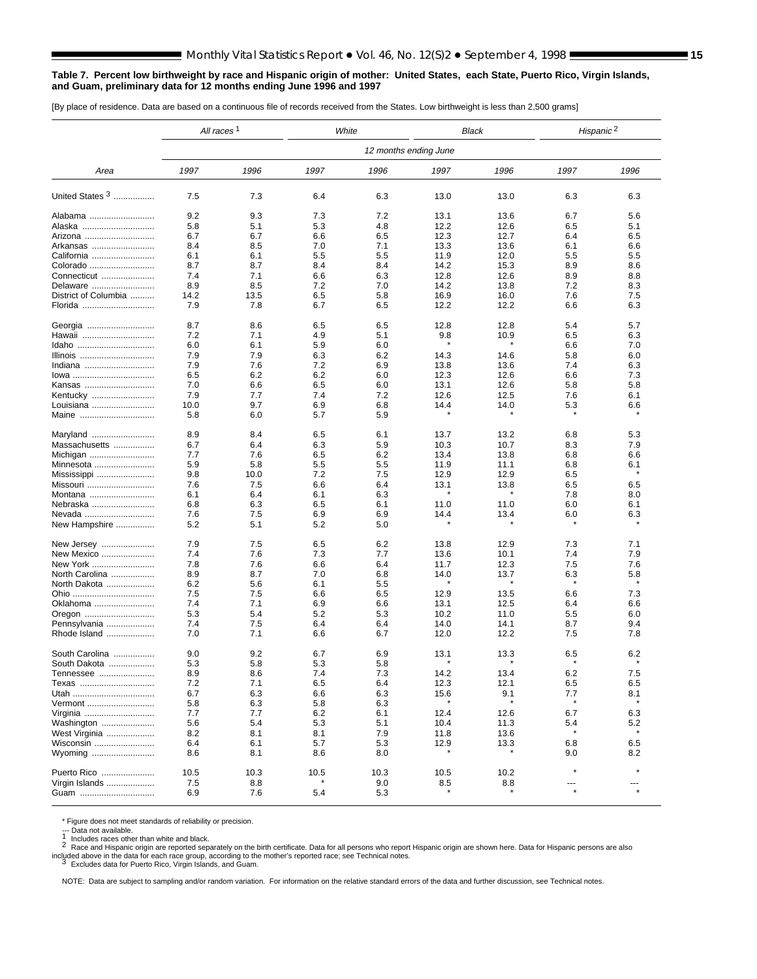#### <span id="page-14-0"></span>**Table 7. Percent low birthweight by race and Hispanic origin of mother: United States, each State, Puerto Rico, Virgin Islands, and Guam, preliminary data for 12 months ending June 1996 and 1997**

[By place of residence. Data are based on a continuous file of records received from the States. Low birthweight is less than 2,500 grams]

|                      | All races <sup>1</sup> |      |      | White | <b>Black</b>          |      | Hispanic <sup>2</sup> |         |
|----------------------|------------------------|------|------|-------|-----------------------|------|-----------------------|---------|
|                      |                        |      |      |       | 12 months ending June |      |                       |         |
| Area                 | 1997                   | 1996 | 1997 | 1996  | 1997                  | 1996 | 1997                  | 1996    |
| United States 3      | 7.5                    | 7.3  | 6.4  | 6.3   | 13.0                  | 13.0 | 6.3                   | 6.3     |
| Alabama              | 9.2                    | 9.3  | 7.3  | 7.2   | 13.1                  | 13.6 | 6.7                   | 5.6     |
| Alaska               | 5.8                    | 5.1  | 5.3  | 4.8   | 12.2                  | 12.6 | 6.5                   | 5.1     |
| Arizona              | 6.7                    | 6.7  | 6.6  | 6.5   | 12.3                  | 12.7 | 6.4                   | 6.5     |
| Arkansas             | 8.4                    | 8.5  | 7.0  | 7.1   | 13.3                  | 13.6 | 6.1                   | 6.6     |
| California           | 6.1                    | 6.1  | 5.5  | 5.5   | 11.9                  | 12.0 | 5.5                   | 5.5     |
| Colorado             | 8.7                    | 8.7  | 8.4  | 8.4   | 14.2                  | 15.3 | 8.9                   | 8.6     |
| Connecticut          | 7.4                    | 7.1  | 6.6  | 6.3   | 12.8                  | 12.6 | 8.9                   | 8.8     |
| Delaware             | 8.9                    | 8.5  | 7.2  | 7.0   | 14.2                  | 13.8 | 7.2                   | 8.3     |
| District of Columbia | 14.2                   | 13.5 | 6.5  | 5.8   | 16.9                  | 16.0 | 7.6                   | 7.5     |
| Florida              | 7.9                    | 7.8  | 6.7  | 6.5   | 12.2                  | 12.2 | 6.6                   | 6.3     |
| Georgia              | 8.7                    | 8.6  | 6.5  | 6.5   | 12.8                  | 12.8 | 5.4                   | 5.7     |
| Hawaii               | 7.2                    | 7.1  | 4.9  | 5.1   | 9.8                   | 10.9 | 6.5                   | 6.3     |
| Idaho                | 6.0                    | 6.1  | 5.9  | 6.0   |                       |      | 6.6                   | 7.0     |
| Illinois             | 7.9                    | 7.9  | 6.3  | 6.2   | 14.3                  | 14.6 | 5.8                   | 6.0     |
| Indiana              | 7.9                    | 7.6  | 7.2  | 6.9   | 13.8                  | 13.6 | 7.4                   | 6.3     |
| lowa                 | 6.5                    | 6.2  | 6.2  | 6.0   | 12.3                  | 12.6 | 6.6                   | 7.3     |
| Kansas               | 7.0                    | 6.6  | 6.5  | 6.0   | 13.1                  | 12.6 | 5.8                   | 5.8     |
| Kentucky             | 7.9                    | 7.7  | 7.4  | 7.2   | 12.6                  | 12.5 | 7.6                   | 6.1     |
| Louisiana            | 10.0                   | 9.7  | 6.9  | 6.8   | 14.4                  | 14.0 | 5.3                   | 6.6     |
| Maine                | 5.8                    | 6.0  | 5.7  | 5.9   |                       |      | $\star$               |         |
| Maryland             | 8.9                    | 8.4  | 6.5  | 6.1   | 13.7                  | 13.2 | 6.8                   | 5.3     |
| Massachusetts        | 6.7                    | 6.4  | 6.3  | 5.9   | 10.3                  | 10.7 | 8.3                   | 7.9     |
| Michigan             | 7.7                    | 7.6  | 6.5  | 6.2   | 13.4                  | 13.8 | 6.8                   | 6.6     |
| Minnesota            | 5.9                    | 5.8  | 5.5  | 5.5   | 11.9                  | 11.1 | 6.8                   | 6.1     |
| Mississippi          | 9.8                    | 10.0 | 7.2  | 7.5   | 12.9                  | 12.9 | 6.5                   |         |
| Missouri             | 7.6                    | 7.5  | 6.6  | 6.4   | 13.1                  | 13.8 | 6.5                   | 6.5     |
| Montana              | 6.1                    | 6.4  | 6.1  | 6.3   |                       |      | 7.8                   | 8.0     |
| Nebraska             | 6.8                    | 6.3  | 6.5  | 6.1   | 11.0                  | 11.0 | 6.0                   | 6.1     |
| Nevada               | 7.6                    | 7.5  | 6.9  | 6.9   | 14.4                  | 13.4 | 6.0                   | 6.3     |
| New Hampshire        | 5.2                    | 5.1  | 5.2  | 5.0   |                       |      |                       |         |
| New Jersey           | 7.9                    | 7.5  | 6.5  | 6.2   | 13.8                  | 12.9 | 7.3                   | 7.1     |
| New Mexico           | 7.4                    | 7.6  | 7.3  | 7.7   | 13.6                  | 10.1 | 7.4                   | 7.9     |
| New York             | 7.8                    | 7.6  | 6.6  | 6.4   | 11.7                  | 12.3 | 7.5                   | 7.6     |
| North Carolina       | 8.9                    | 8.7  | 7.0  | 6.8   | 14.0                  | 13.7 | 6.3                   | 5.8     |
| North Dakota         | 6.2                    | 5.6  | 6.1  | 5.5   |                       |      |                       |         |
| Ohio                 | 7.5                    | 7.5  | 6.6  | 6.5   | 12.9                  | 13.5 | 6.6                   | 7.3     |
| Oklahoma             | 7.4                    | 7.1  | 6.9  | 6.6   | 13.1                  | 12.5 | 6.4                   | 6.6     |
| Oregon               | 5.3                    | 5.4  | 5.2  | 5.3   | 10.2                  | 11.0 | 5.5                   | 6.0     |
| Pennsylvania         | 7.4                    | 7.5  | 6.4  | 6.4   | 14.0                  | 14.1 | 8.7                   | 9.4     |
| Rhode Island         | 7.0                    | 7.1  | 6.6  | 6.7   | 12.0                  | 12.2 | 7.5                   | 7.8     |
| South Carolina       | 9.0                    | 9.2  | 6.7  | 6.9   | 13.1                  | 13.3 | 6.5                   | 6.2     |
| South Dakota         | 5.3                    | 5.8  | 5.3  | 5.8   |                       |      |                       |         |
| Tennessee            | 8.9                    | 8.6  | 7.4  | 7.3   | 14.2                  | 13.4 | 6.2                   | 7.5     |
| Texas                | 7.2                    | 7.1  | 6.5  | 6.4   | 12.3                  | 12.1 | 6.5                   | 6.5     |
|                      | 6.7                    | 6.3  | 6.6  | 6.3   | 15.6                  | 9.1  | 7.7                   | 8.1     |
| Vermont              | 5.8                    | 6.3  | 5.8  | 6.3   |                       |      |                       |         |
| Virginia             | 7.7                    | 7.7  | 6.2  | 6.1   | 12.4                  | 12.6 | 6.7                   | 6.3     |
| Washington           | 5.6                    | 5.4  | 5.3  | 5.1   | 10.4                  | 11.3 | 5.4                   | 5.2     |
| West Virginia        | 8.2                    | 8.1  | 8.1  | 7.9   | 11.8                  | 13.6 |                       |         |
| Wisconsin            | 6.4                    | 6.1  | 5.7  | 5.3   | 12.9                  | 13.3 | 6.8                   | 6.5     |
| Wyoming              | 8.6                    | 8.1  | 8.6  | 8.0   |                       |      | 9.0                   | 8.2     |
| Puerto Rico          | 10.5                   | 10.3 | 10.5 | 10.3  | 10.5                  | 10.2 | $\star$               |         |
| Virgin Islands       | 7.5                    | 8.8  |      | 9.0   | 8.5                   | 8.8  |                       |         |
| Guam                 | 6.9                    | 7.6  | 5.4  | 5.3   |                       |      | $\star$               | $\star$ |

\* Figure does not meet standards of reliability or precision.<br>--- Data not available.<br>1 Includes races other than white and black.

--- Data not available.<br>1 Includes races other than white and black.<br>2 Race and Hispanic origin are reported separately on the birth certificate. Data for all persons who report Hispanic origin are shown here. Data for His included above in the data for each race group, according to the mother's reported race; see Technical notes.<br><sup>3</sup> Excludes data for Puerto Rico, Virgin Islands, and Guam.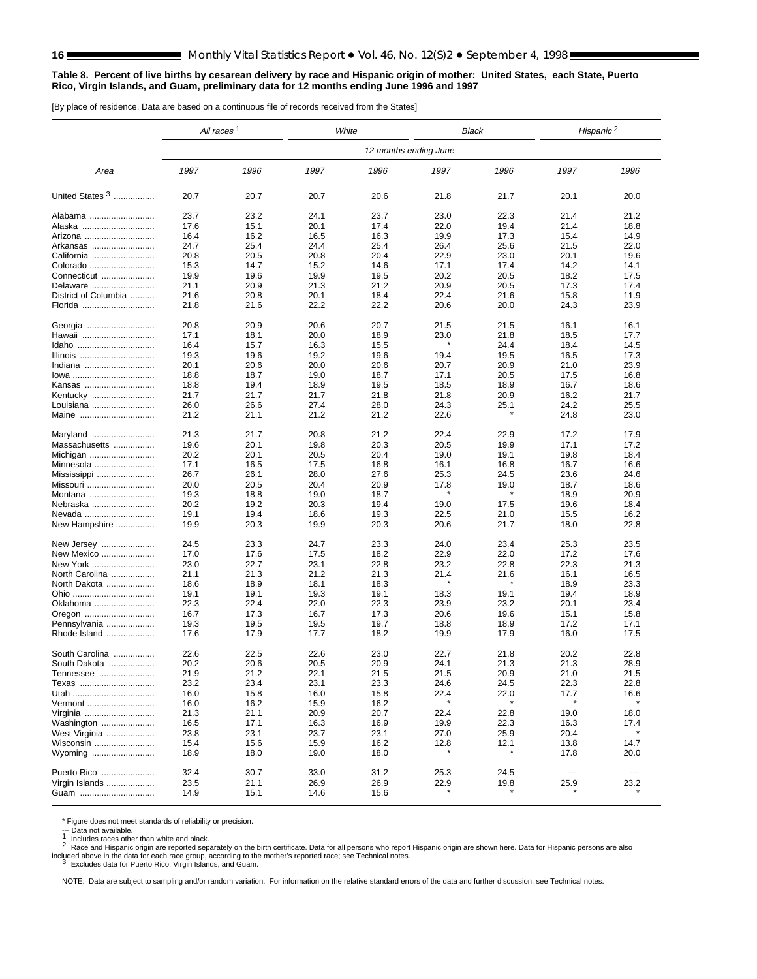#### <span id="page-15-0"></span>**Table 8. Percent of live births by cesarean delivery by race and Hispanic origin of mother: United States, each State, Puerto Rico, Virgin Islands, and Guam, preliminary data for 12 months ending June 1996 and 1997**

[By place of residence. Data are based on a continuous file of records received from the States]

|                      | All races <sup>1</sup> |      |      | White | Black |                 | Hispanic <sup>2</sup> |        |
|----------------------|------------------------|------|------|-------|-------|-----------------|-----------------------|--------|
|                      | 12 months ending June  |      |      |       |       |                 |                       |        |
| Area                 | 1997                   | 1996 | 1997 | 1996  | 1997  | 1996            | 1997                  | 1996   |
| United States 3      | 20.7                   | 20.7 | 20.7 | 20.6  | 21.8  | 21.7            | 20.1                  | 20.0   |
| Alabama              | 23.7                   | 23.2 | 24.1 | 23.7  | 23.0  | 22.3            | 21.4                  | 21.2   |
| Alaska               | 17.6                   | 15.1 | 20.1 | 17.4  | 22.0  | 19.4            | 21.4                  | 18.8   |
| Arizona              | 16.4                   | 16.2 | 16.5 | 16.3  | 19.9  | 17.3            | 15.4                  | 14.9   |
| Arkansas             | 24.7                   | 25.4 | 24.4 | 25.4  | 26.4  | 25.6            | 21.5                  | 22.0   |
| California           | 20.8                   | 20.5 | 20.8 | 20.4  | 22.9  | 23.0            | 20.1                  | 19.6   |
| Colorado             | 15.3                   | 14.7 | 15.2 | 14.6  | 17.1  | 17.4            | 14.2                  | 14.1   |
| Connecticut          | 19.9                   | 19.6 | 19.9 | 19.5  | 20.2  | 20.5            | 18.2                  | 17.5   |
| Delaware             | 21.1                   | 20.9 | 21.3 | 21.2  | 20.9  | 20.5            | 17.3                  | 17.4   |
| District of Columbia | 21.6                   | 20.8 | 20.1 | 18.4  | 22.4  | 21.6            | 15.8                  | 11.9   |
| Florida              | 21.8                   | 21.6 | 22.2 | 22.2  | 20.6  | 20.0            | 24.3                  | 23.9   |
| Georgia              | 20.8                   | 20.9 | 20.6 | 20.7  | 21.5  | 21.5            | 16.1                  | 16.1   |
| Hawaii               | 17.1                   | 18.1 | 20.0 | 18.9  | 23.0  | 21.8            | 18.5                  | 17.7   |
| Idaho                | 16.4                   | 15.7 | 16.3 | 15.5  |       | 24.4            | 18.4                  | 14.5   |
| Illinois             | 19.3                   | 19.6 | 19.2 | 19.6  | 19.4  | 19.5            | 16.5                  | 17.3   |
| Indiana              | 20.1                   | 20.6 | 20.0 | 20.6  | 20.7  | 20.9            | 21.0                  | 23.9   |
| lowa                 | 18.8                   | 18.7 | 19.0 | 18.7  | 17.1  | 20.5            | 17.5                  | 16.8   |
| Kansas               | 18.8                   | 19.4 | 18.9 | 19.5  | 18.5  | 18.9            | 16.7                  | 18.6   |
| Kentucky             | 21.7                   | 21.7 | 21.7 | 21.8  | 21.8  | 20.9            | 16.2                  | 21.7   |
| Louisiana            | 26.0                   | 26.6 | 27.4 | 28.0  | 24.3  | 25.1<br>$\star$ | 24.2                  | 25.5   |
| Maine                | 21.2                   | 21.1 | 21.2 | 21.2  | 22.6  |                 | 24.8                  | 23.0   |
| Maryland             | 21.3                   | 21.7 | 20.8 | 21.2  | 22.4  | 22.9            | 17.2                  | 17.9   |
| Massachusetts        | 19.6                   | 20.1 | 19.8 | 20.3  | 20.5  | 19.9            | 17.1                  | 17.2   |
| Michigan             | 20.2                   | 20.1 | 20.5 | 20.4  | 19.0  | 19.1            | 19.8                  | 18.4   |
| Minnesota            | 17.1                   | 16.5 | 17.5 | 16.8  | 16.1  | 16.8            | 16.7                  | 16.6   |
| Mississippi          | 26.7                   | 26.1 | 28.0 | 27.6  | 25.3  | 24.5            | 23.6                  | 24.6   |
| Missouri             | 20.0                   | 20.5 | 20.4 | 20.9  | 17.8  | 19.0            | 18.7                  | 18.6   |
| Montana              | 19.3                   | 18.8 | 19.0 | 18.7  |       |                 | 18.9                  | 20.9   |
| Nebraska             | 20.2                   | 19.2 | 20.3 | 19.4  | 19.0  | 17.5            | 19.6                  | 18.4   |
| Nevada               | 19.1                   | 19.4 | 18.6 | 19.3  | 22.5  | 21.0            | 15.5                  | 16.2   |
| New Hampshire        | 19.9                   | 20.3 | 19.9 | 20.3  | 20.6  | 21.7            | 18.0                  | 22.8   |
| New Jersey           | 24.5                   | 23.3 | 24.7 | 23.3  | 24.0  | 23.4            | 25.3                  | 23.5   |
| New Mexico           | 17.0                   | 17.6 | 17.5 | 18.2  | 22.9  | 22.0            | 17.2                  | 17.6   |
| New York             | 23.0                   | 22.7 | 23.1 | 22.8  | 23.2  | 22.8            | 22.3                  | 21.3   |
| North Carolina       | 21.1                   | 21.3 | 21.2 | 21.3  | 21.4  | 21.6            | 16.1                  | 16.5   |
| North Dakota         | 18.6                   | 18.9 | 18.1 | 18.3  |       |                 | 18.9                  | 23.3   |
| Ohio                 | 19.1                   | 19.1 | 19.3 | 19.1  | 18.3  | 19.1            | 19.4                  | 18.9   |
| Oklahoma             | 22.3                   | 22.4 | 22.0 | 22.3  | 23.9  | 23.2            | 20.1                  | 23.4   |
| Oregon               | 16.7                   | 17.3 | 16.7 | 17.3  | 20.6  | 19.6            | 15.1                  | 15.8   |
| Pennsylvania         | 19.3                   | 19.5 | 19.5 | 19.7  | 18.8  | 18.9            | 17.2                  | 17.1   |
| Rhode Island         | 17.6                   | 17.9 | 17.7 | 18.2  | 19.9  | 17.9            | 16.0                  | 17.5   |
| South Carolina       | 22.6                   | 22.5 | 22.6 | 23.0  | 22.7  | 21.8            | 20.2                  | 22.8   |
| South Dakota         | 20.2                   | 20.6 | 20.5 | 20.9  | 24.1  | 21.3            | 21.3                  | 28.9   |
| Tennessee            | 21.9                   | 21.2 | 22.1 | 21.5  | 21.5  | 20.9            | 21.0                  | 21.5   |
| Texas                | 23.2                   | 23.4 | 23.1 | 23.3  | 24.6  | 24.5            | 22.3                  | 22.8   |
| Utah                 | 16.0                   | 15.8 | 16.0 | 15.8  | 22.4  | 22.0            | 17.7                  | 16.6   |
| Vermont              | 16.0                   | 16.2 | 15.9 | 16.2  |       |                 |                       |        |
| Virginia             | 21.3                   | 21.1 | 20.9 | 20.7  | 22.4  | 22.8            | 19.0                  | 18.0   |
| Washington           | 16.5                   | 17.1 | 16.3 | 16.9  | 19.9  | 22.3            | 16.3                  | 17.4   |
| West Virginia        | 23.8                   | 23.1 | 23.7 | 23.1  | 27.0  | 25.9            | 20.4                  |        |
| Wisconsin            | 15.4                   | 15.6 | 15.9 | 16.2  | 12.8  | 12.1            | 13.8                  | 14.7   |
| Wyoming              | 18.9                   | 18.0 | 19.0 | 18.0  |       |                 | 17.8                  | 20.0   |
| Puerto Rico          | 32.4                   | 30.7 | 33.0 | 31.2  | 25.3  | 24.5            | $\sim$ $\sim$         | $\sim$ |
| Virgin Islands       | 23.5                   | 21.1 | 26.9 | 26.9  | 22.9  | 19.8            | 25.9                  | 23.2   |
| Guam                 | 14.9                   | 15.1 | 14.6 | 15.6  |       |                 |                       |        |

\* Figure does not meet standards of reliability or precision.<br>--- Data not available.<br>1 Includes races other than white and black.

--- Data not available.<br>1 Includes races other than white and black.<br>2 Race and Hispanic origin are reported separately on the birth certificate. Data for all persons who report Hispanic origin are shown here. Data for His included above in the data for each race group, according to the mother's reported race; see Technical notes.<br><sup>3</sup> Excludes data for Puerto Rico, Virgin Islands, and Guam.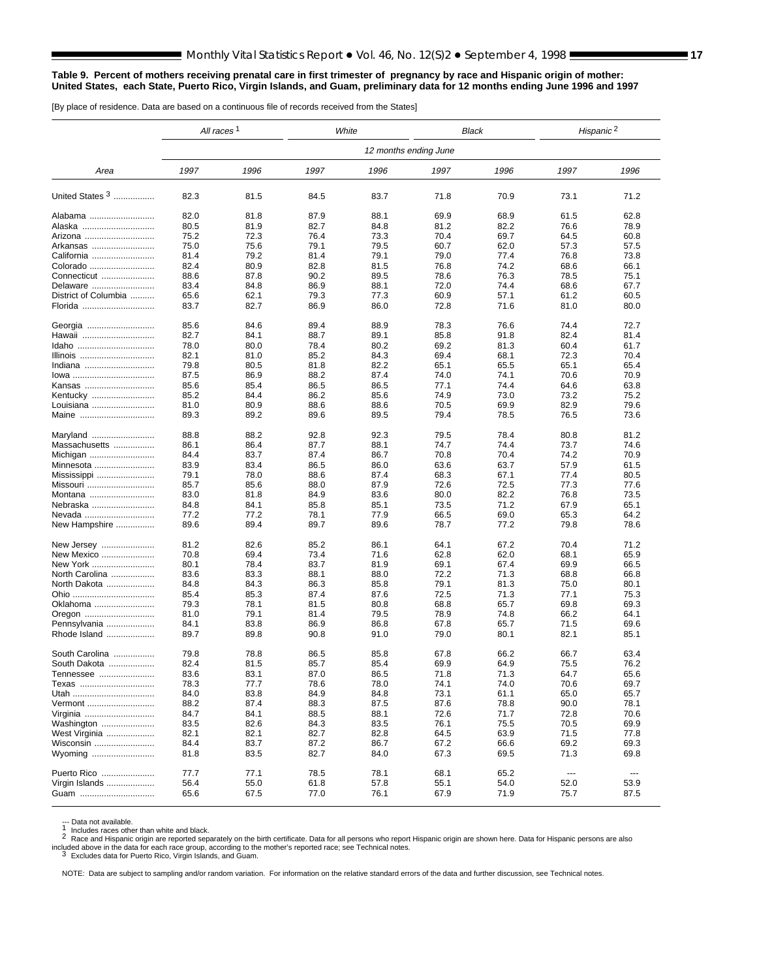#### <span id="page-16-0"></span>**Table 9. Percent of mothers receiving prenatal care in first trimester of pregnancy by race and Hispanic origin of mother: United States, each State, Puerto Rico, Virgin Islands, and Guam, preliminary data for 12 months ending June 1996 and 1997**

[By place of residence. Data are based on a continuous file of records received from the States]

|                      | All races <sup>1</sup> |      |      | White                 | Black |      | Hispanic <sup>2</sup>    |          |
|----------------------|------------------------|------|------|-----------------------|-------|------|--------------------------|----------|
|                      |                        |      |      | 12 months ending June |       |      |                          |          |
| Area                 | 1997                   | 1996 | 1997 | 1996                  | 1997  | 1996 | 1997                     | 1996     |
| United States 3      | 82.3                   | 81.5 | 84.5 | 83.7                  | 71.8  | 70.9 | 73.1                     | 71.2     |
| Alabama              | 82.0                   | 81.8 | 87.9 | 88.1                  | 69.9  | 68.9 | 61.5                     | 62.8     |
| Alaska               | 80.5                   | 81.9 | 82.7 | 84.8                  | 81.2  | 82.2 | 76.6                     | 78.9     |
| Arizona              | 75.2                   | 72.3 | 76.4 | 73.3                  | 70.4  | 69.7 | 64.5                     | 60.8     |
| Arkansas             | 75.0                   | 75.6 | 79.1 | 79.5                  | 60.7  | 62.0 | 57.3                     | 57.5     |
| California           | 81.4                   | 79.2 | 81.4 | 79.1                  | 79.0  | 77.4 | 76.8                     | 73.8     |
| Colorado             | 82.4                   | 80.9 | 82.8 | 81.5                  | 76.8  | 74.2 | 68.6                     | 66.1     |
| Connecticut          | 88.6                   | 87.8 | 90.2 | 89.5                  | 78.6  | 76.3 | 78.5                     | 75.1     |
| Delaware             | 83.4                   | 84.8 | 86.9 | 88.1                  | 72.0  | 74.4 | 68.6                     | 67.7     |
| District of Columbia | 65.6                   | 62.1 | 79.3 | 77.3                  | 60.9  | 57.1 | 61.2                     | 60.5     |
| Florida              | 83.7                   | 82.7 | 86.9 | 86.0                  | 72.8  | 71.6 | 81.0                     | 80.0     |
| Georgia              | 85.6                   | 84.6 | 89.4 | 88.9                  | 78.3  | 76.6 | 74.4                     | 72.7     |
| Hawaii               | 82.7                   | 84.1 | 88.7 | 89.1                  | 85.8  | 91.8 | 82.4                     | 81.4     |
| Idaho                | 78.0                   | 80.0 | 78.4 | 80.2                  | 69.2  | 81.3 | 60.4                     | 61.7     |
| Illinois             | 82.1                   | 81.0 | 85.2 | 84.3                  | 69.4  | 68.1 | 72.3                     | 70.4     |
| Indiana              | 79.8                   | 80.5 | 81.8 | 82.2                  | 65.1  | 65.5 | 65.1                     | 65.4     |
| lowa                 | 87.5                   | 86.9 | 88.2 | 87.4                  | 74.0  | 74.1 | 70.6                     | 70.9     |
| Kansas               | 85.6                   | 85.4 | 86.5 | 86.5                  | 77.1  | 74.4 | 64.6                     | 63.8     |
| Kentucky             | 85.2                   | 84.4 | 86.2 | 85.6                  | 74.9  | 73.0 | 73.2                     | 75.2     |
| Louisiana            | 81.0                   | 80.9 | 88.6 | 88.6                  | 70.5  | 69.9 | 82.9                     | 79.6     |
| Maine                | 89.3                   | 89.2 | 89.6 | 89.5                  | 79.4  | 78.5 | 76.5                     | 73.6     |
| Maryland             | 88.8                   | 88.2 | 92.8 | 92.3                  | 79.5  | 78.4 | 80.8                     | 81.2     |
| Massachusetts        | 86.1                   | 86.4 | 87.7 | 88.1                  | 74.7  | 74.4 | 73.7                     | 74.6     |
| Michigan             | 84.4                   | 83.7 | 87.4 | 86.7                  | 70.8  | 70.4 | 74.2                     | 70.9     |
| Minnesota            | 83.9                   | 83.4 | 86.5 | 86.0                  | 63.6  | 63.7 | 57.9                     | 61.5     |
| Mississippi          | 79.1                   | 78.0 | 88.6 | 87.4                  | 68.3  | 67.1 | 77.4                     | 80.5     |
| Missouri             | 85.7                   | 85.6 | 88.0 | 87.9                  | 72.6  | 72.5 | 77.3                     | 77.6     |
| Montana              | 83.0                   | 81.8 | 84.9 | 83.6                  | 80.0  | 82.2 | 76.8                     | 73.5     |
| Nebraska             | 84.8                   | 84.1 | 85.8 | 85.1                  | 73.5  | 71.2 | 67.9                     | 65.1     |
| Nevada               | 77.2                   | 77.2 | 78.1 | 77.9                  | 66.5  | 69.0 | 65.3                     | 64.2     |
| New Hampshire        | 89.6                   | 89.4 | 89.7 | 89.6                  | 78.7  | 77.2 | 79.8                     | 78.6     |
| New Jersey           | 81.2                   | 82.6 | 85.2 | 86.1                  | 64.1  | 67.2 | 70.4                     | 71.2     |
| New Mexico           | 70.8                   | 69.4 | 73.4 | 71.6                  | 62.8  | 62.0 | 68.1                     | 65.9     |
| New York             | 80.1                   | 78.4 | 83.7 | 81.9                  | 69.1  | 67.4 | 69.9                     | 66.5     |
| North Carolina       | 83.6                   | 83.3 | 88.1 | 88.0                  | 72.2  | 71.3 | 68.8                     | 66.8     |
| North Dakota         | 84.8                   | 84.3 | 86.3 | 85.8                  | 79.1  | 81.3 | 75.0                     | 80.1     |
|                      | 85.4                   | 85.3 | 87.4 | 87.6                  | 72.5  | 71.3 | 77.1                     | 75.3     |
| Oklahoma             | 79.3                   | 78.1 | 81.5 | 80.8                  | 68.8  | 65.7 | 69.8                     | 69.3     |
| Oregon               | 81.0                   | 79.1 | 81.4 | 79.5                  | 78.9  | 74.8 | 66.2                     | 64.1     |
| Pennsylvania         | 84.1                   | 83.8 | 86.9 | 86.8                  | 67.8  | 65.7 | 71.5                     | 69.6     |
| Rhode Island         | 89.7                   | 89.8 | 90.8 | 91.0                  | 79.0  | 80.1 | 82.1                     | 85.1     |
| South Carolina       | 79.8                   | 78.8 | 86.5 | 85.8                  | 67.8  | 66.2 | 66.7                     | 63.4     |
| South Dakota         | 82.4                   | 81.5 | 85.7 | 85.4                  | 69.9  | 64.9 | 75.5                     | 76.2     |
| <b>Iennessee</b>     | 83.6                   | 83.1 | 87.0 | 86.5                  | 71.8  | 71.3 | 64.7                     | 65.6     |
| Texas                | 78.3                   | 77.7 | 78.6 | 78.0                  | 74.1  | 74.0 | 70.6                     | 69.7     |
| Utah                 | 84.0                   | 83.8 | 84.9 | 84.8                  | 73.1  | 61.1 | 65.0                     | 65.7     |
| Vermont              | 88.2                   | 87.4 | 88.3 | 87.5                  | 87.6  | 78.8 | 90.0                     | 78.1     |
| Virginia             | 84.7                   | 84.1 | 88.5 | 88.1                  | 72.6  | 71.7 | 72.8                     | 70.6     |
| Washington           | 83.5                   | 82.6 | 84.3 | 83.5                  | 76.1  | 75.5 | 70.5                     | 69.9     |
| West Virginia        | 82.1                   | 82.1 | 82.7 | 82.8                  | 64.5  | 63.9 | 71.5                     | 77.8     |
| Wisconsin            | 84.4                   | 83.7 | 87.2 | 86.7                  | 67.2  | 66.6 | 69.2                     | 69.3     |
| Wyoming              | 81.8                   | 83.5 | 82.7 | 84.0                  | 67.3  | 69.5 | 71.3                     | 69.8     |
| Puerto Rico          | 77.7                   | 77.1 | 78.5 | 78.1                  | 68.1  | 65.2 | $\overline{\phantom{a}}$ | $\cdots$ |
| Virgin Islands       | 56.4                   | 55.0 | 61.8 | 57.8                  | 55.1  | 54.0 | 52.0                     | 53.9     |
| Guam                 | 65.6                   | 67.5 | 77.0 | 76.1                  | 67.9  | 71.9 | 75.7                     | 87.5     |

--- Data not available.<br>1 Includes races other than white and black.<br>2 Race and Hispanic origin are reported separately on the birth certificate. Data for all persons who report Hispanic origin are shown here. Data for His

included above in the data for each race group, according to the mother's reported race; see Technical notes.<br><sup>3</sup> Excludes data for Puerto Rico, Virgin Islands, and Guam.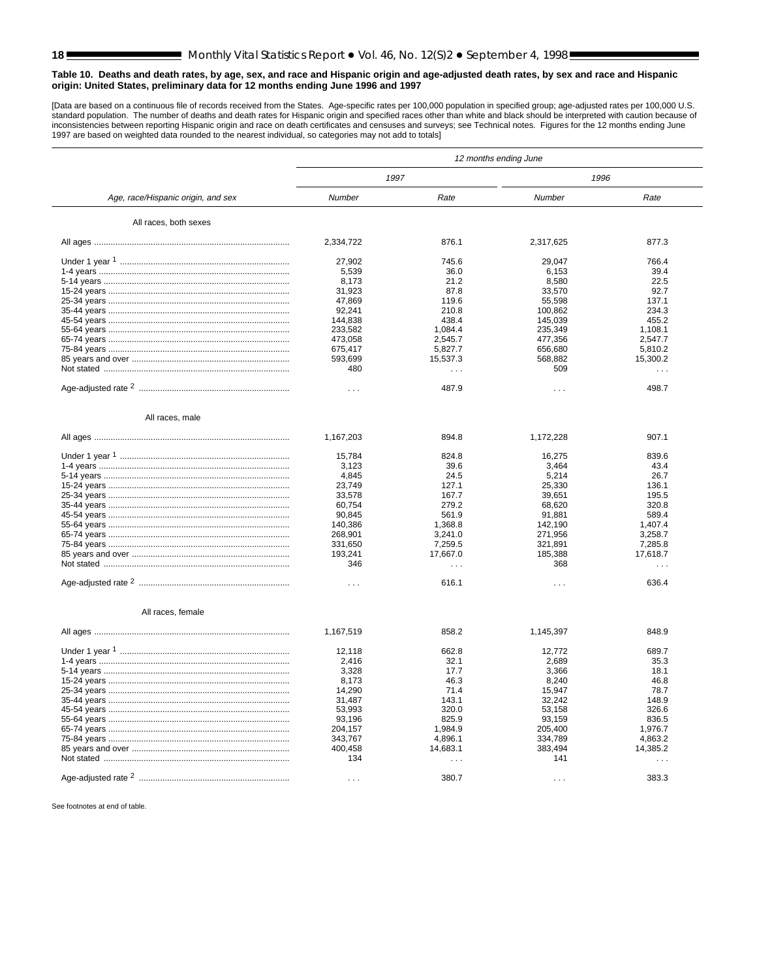<span id="page-17-0"></span>[Data are based on a continuous file of records received from the States. Age-specific rates per 100,000 population in specified group; age-adjusted rates per 100,000 U.S.<br>istandard population. The number of deaths and dea

|                                    | 12 months ending June |          |            |           |  |  |  |  |
|------------------------------------|-----------------------|----------|------------|-----------|--|--|--|--|
|                                    | 1997                  |          | 1996       |           |  |  |  |  |
| Age, race/Hispanic origin, and sex | Number                | Rate     | Number     | Rate      |  |  |  |  |
| All races, both sexes              |                       |          |            |           |  |  |  |  |
|                                    | 2,334,722             | 876.1    | 2,317,625  | 877.3     |  |  |  |  |
|                                    | 27,902                | 745.6    | 29,047     | 766.4     |  |  |  |  |
|                                    | 5,539                 | 36.0     | 6,153      | 39.4      |  |  |  |  |
|                                    | 8,173                 | 21.2     | 8,580      | 22.5      |  |  |  |  |
|                                    | 31,923                | 87.8     | 33,570     | 92.7      |  |  |  |  |
|                                    | 47,869                | 119.6    | 55,598     | 137.1     |  |  |  |  |
|                                    | 92,241                | 210.8    | 100,862    | 234.3     |  |  |  |  |
|                                    | 144,838               | 438.4    | 145,039    | 455.2     |  |  |  |  |
|                                    | 233,582               | 1,084.4  | 235,349    | 1,108.1   |  |  |  |  |
|                                    | 473,058               | 2,545.7  | 477,356    | 2,547.7   |  |  |  |  |
|                                    | 675,417               | 5,827.7  | 656,680    | 5,810.2   |  |  |  |  |
|                                    | 593,699               | 15,537.3 | 568,882    | 15,300.2  |  |  |  |  |
|                                    | 480                   | .        | 509        | $\ddotsc$ |  |  |  |  |
|                                    | $\cdots$              | 487.9    | $\sim 100$ | 498.7     |  |  |  |  |
|                                    |                       |          |            |           |  |  |  |  |
| All races, male                    |                       |          |            |           |  |  |  |  |
|                                    | 1,167,203             | 894.8    | 1,172,228  | 907.1     |  |  |  |  |
|                                    | 15,784                | 824.8    | 16,275     | 839.6     |  |  |  |  |
|                                    | 3,123                 | 39.6     | 3,464      | 43.4      |  |  |  |  |
|                                    | 4.845                 | 24.5     | 5,214      | 26.7      |  |  |  |  |
|                                    | 23,749                | 127.1    | 25,330     | 136.1     |  |  |  |  |
|                                    | 33,578                | 167.7    | 39,651     | 195.5     |  |  |  |  |
|                                    | 60,754                | 279.2    | 68.620     | 320.8     |  |  |  |  |
|                                    | 90,845                | 561.9    | 91,881     | 589.4     |  |  |  |  |
|                                    | 140,386               | 1,368.8  | 142,190    | 1,407.4   |  |  |  |  |
|                                    | 268,901               | 3,241.0  | 271,956    | 3,258.7   |  |  |  |  |
|                                    | 331,650               | 7,259.5  | 321,891    | 7,285.8   |  |  |  |  |
|                                    | 193,241               | 17,667.0 | 185,388    | 17,618.7  |  |  |  |  |
|                                    | 346                   | $\cdots$ | 368        | $\ddotsc$ |  |  |  |  |
|                                    | $\cdots$              | 616.1    | $\cdots$   | 636.4     |  |  |  |  |
|                                    |                       |          |            |           |  |  |  |  |
| All races, female                  |                       |          |            |           |  |  |  |  |
|                                    | 1,167,519             | 858.2    | 1,145,397  | 848.9     |  |  |  |  |
|                                    | 12,118                | 662.8    | 12,772     | 689.7     |  |  |  |  |
|                                    | 2,416                 | 32.1     | 2,689      | 35.3      |  |  |  |  |
|                                    | 3,328                 | 17.7     | 3,366      | 18.1      |  |  |  |  |
|                                    | 8.173                 | 46.3     | 8,240      | 46.8      |  |  |  |  |
|                                    | 14,290                | 71.4     | 15,947     | 78.7      |  |  |  |  |
|                                    | 31,487                | 143.1    | 32,242     | 148.9     |  |  |  |  |
|                                    | 53,993                | 320.0    | 53.158     | 326.6     |  |  |  |  |
|                                    | 93,196                | 825.9    | 93,159     | 836.5     |  |  |  |  |
|                                    | 204,157               | 1,984.9  | 205,400    | 1,976.7   |  |  |  |  |
|                                    | 343,767               | 4,896.1  | 334,789    | 4,863.2   |  |  |  |  |
|                                    | 400,458               | 14,683.1 | 383,494    | 14,385.2  |  |  |  |  |
|                                    | 134                   | $\sim$   | 141        | .         |  |  |  |  |
|                                    | $\cdots$              | 380.7    | $\cdots$   | 383.3     |  |  |  |  |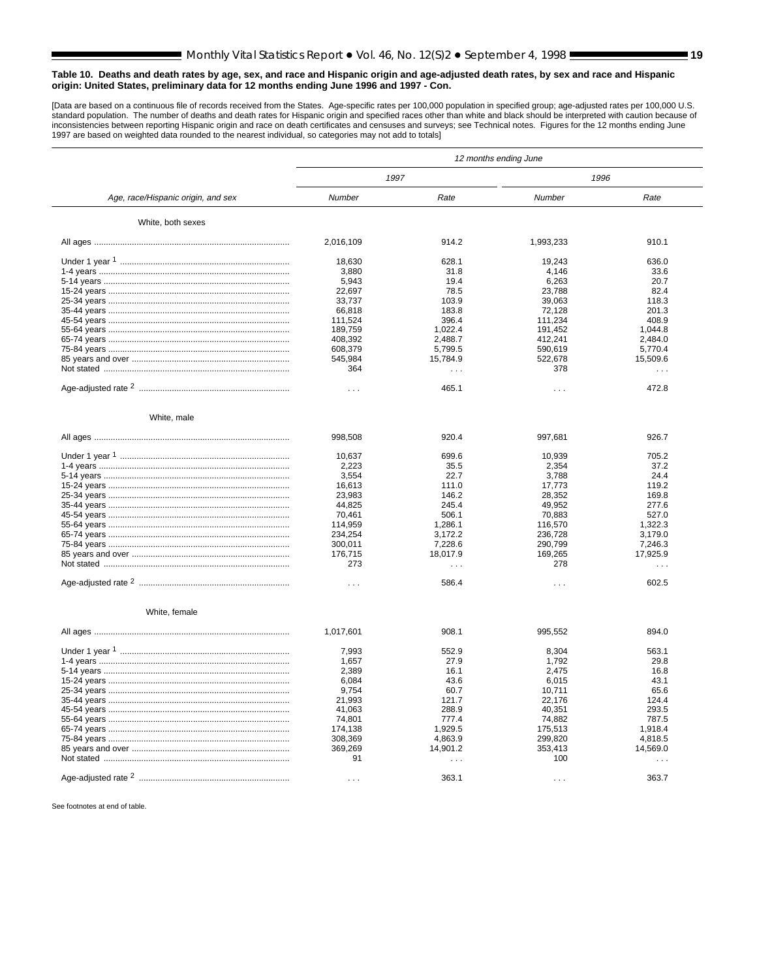[Data are based on a continuous file of records received from the States. Age-specific rates per 100,000 population in specified group; age-adjusted rates per 100,000 U.S.<br>istandard population. The number of deaths and dea

|                                    | 12 months ending June |           |                      |           |  |  |  |  |
|------------------------------------|-----------------------|-----------|----------------------|-----------|--|--|--|--|
|                                    |                       | 1997      | 1996                 |           |  |  |  |  |
| Age, race/Hispanic origin, and sex | Number                | Rate      | Number               | Rate      |  |  |  |  |
| White, both sexes                  |                       |           |                      |           |  |  |  |  |
|                                    | 2,016,109             | 914.2     | 1,993,233            | 910.1     |  |  |  |  |
|                                    | 18,630                | 628.1     | 19,243               | 636.0     |  |  |  |  |
|                                    | 3,880                 | 31.8      | 4,146                | 33.6      |  |  |  |  |
|                                    | 5,943                 | 19.4      | 6,263                | 20.7      |  |  |  |  |
|                                    | 22,697                | 78.5      | 23,788               | 82.4      |  |  |  |  |
|                                    | 33,737                | 103.9     | 39,063               | 118.3     |  |  |  |  |
|                                    | 66,818                | 183.8     | 72,128               | 201.3     |  |  |  |  |
|                                    | 111,524               | 396.4     | 111,234              | 408.9     |  |  |  |  |
|                                    | 189,759               | 1,022.4   | 191,452              | 1,044.8   |  |  |  |  |
|                                    | 408,392               | 2.488.7   | 412.241              | 2.484.0   |  |  |  |  |
|                                    | 608,379               | 5,799.5   | 590,619              | 5,770.4   |  |  |  |  |
|                                    | 545,984               | 15,784.9  | 522,678              | 15,509.6  |  |  |  |  |
|                                    | 364                   | $\sim 10$ | 378                  | .         |  |  |  |  |
|                                    |                       |           |                      |           |  |  |  |  |
|                                    | $\cdots$              | 465.1     | $\sim$ $\sim$ $\sim$ | 472.8     |  |  |  |  |
| White, male                        |                       |           |                      |           |  |  |  |  |
|                                    | 998,508               | 920.4     | 997,681              | 926.7     |  |  |  |  |
|                                    | 10,637                | 699.6     | 10,939               | 705.2     |  |  |  |  |
|                                    | 2,223                 | 35.5      | 2,354                | 37.2      |  |  |  |  |
|                                    | 3,554                 | 22.7      | 3.788                | 24.4      |  |  |  |  |
|                                    | 16,613                | 111.0     | 17,773               | 119.2     |  |  |  |  |
|                                    | 23,983                | 146.2     | 28,352               | 169.8     |  |  |  |  |
|                                    | 44,825                | 245.4     | 49,952               | 277.6     |  |  |  |  |
|                                    | 70,461                | 506.1     | 70,883               | 527.0     |  |  |  |  |
|                                    | 114,959               | 1,286.1   | 116,570              | 1,322.3   |  |  |  |  |
|                                    | 234,254               | 3,172.2   | 236,728              | 3,179.0   |  |  |  |  |
|                                    | 300,011               | 7,228.6   | 290,799              | 7,246.3   |  |  |  |  |
|                                    | 176,715               | 18,017.9  | 169,265              | 17,925.9  |  |  |  |  |
|                                    | 273                   | $\cdots$  | 278                  | $\ddotsc$ |  |  |  |  |
|                                    |                       |           |                      |           |  |  |  |  |
|                                    | $\sim$                | 586.4     | $\cdots$             | 602.5     |  |  |  |  |
| White, female                      |                       |           |                      |           |  |  |  |  |
|                                    | 1,017,601             | 908.1     | 995,552              | 894.0     |  |  |  |  |
|                                    | 7,993                 | 552.9     | 8,304                | 563.1     |  |  |  |  |
|                                    | 1,657                 | 27.9      | 1,792                | 29.8      |  |  |  |  |
|                                    | 2,389                 | 16.1      | 2,475                | 16.8      |  |  |  |  |
|                                    | 6,084                 | 43.6      | 6.015                | 43.1      |  |  |  |  |
|                                    | 9,754                 | 60.7      | 10,711               | 65.6      |  |  |  |  |
|                                    | 21,993                | 121.7     | 22.176               | 124.4     |  |  |  |  |
|                                    | 41,063                | 288.9     | 40,351               | 293.5     |  |  |  |  |
|                                    | 74,801                | 777.4     | 74,882               | 787.5     |  |  |  |  |
|                                    | 174,138               | 1.929.5   | 175.513              | 1.918.4   |  |  |  |  |
|                                    | 308,369               | 4,863.9   | 299.820              | 4.818.5   |  |  |  |  |
|                                    | 369,269               | 14,901.2  | 353,413              | 14,569.0  |  |  |  |  |
|                                    | 91                    | $\cdots$  | 100                  | .         |  |  |  |  |
|                                    |                       |           |                      |           |  |  |  |  |
|                                    | $\cdots$              | 363.1     | $\cdots$             | 363.7     |  |  |  |  |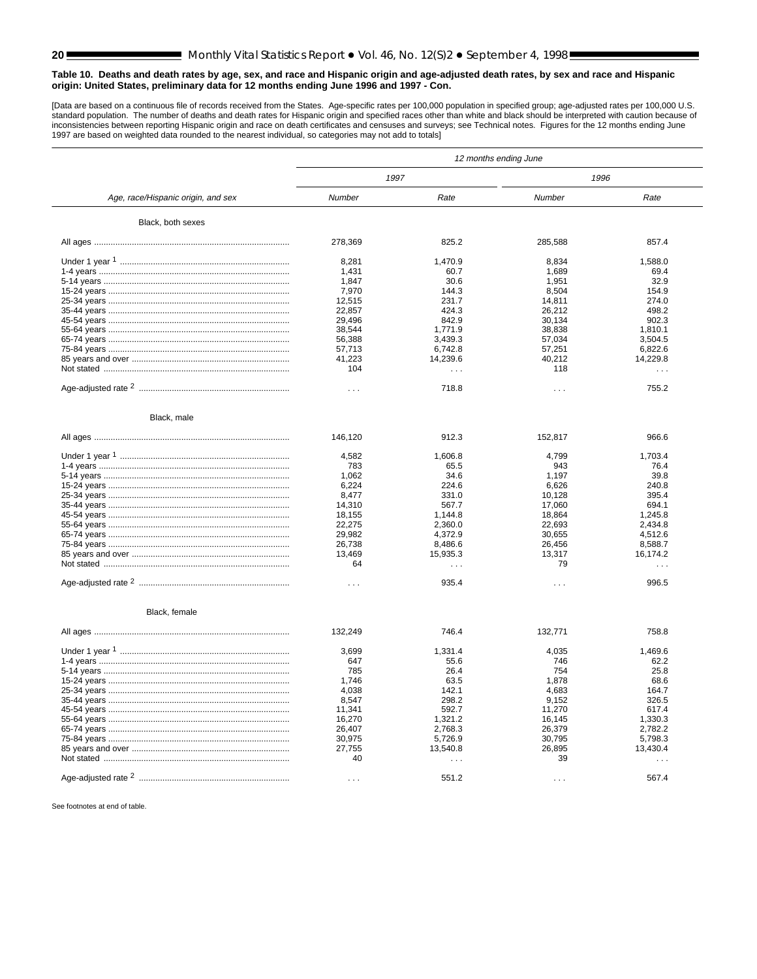[Data are based on a continuous file of records received from the States. Age-specific rates per 100,000 population in specified group; age-adjusted rates per 100,000 U.S.<br>istandard population. The number of deaths and dea

|                                    | 12 months ending June |                      |          |          |  |  |  |  |
|------------------------------------|-----------------------|----------------------|----------|----------|--|--|--|--|
|                                    |                       | 1997                 | 1996     |          |  |  |  |  |
| Age, race/Hispanic origin, and sex | Number                | Rate                 | Number   | Rate     |  |  |  |  |
| Black, both sexes                  |                       |                      |          |          |  |  |  |  |
|                                    | 278,369               | 825.2                | 285,588  | 857.4    |  |  |  |  |
|                                    | 8,281                 | 1,470.9              | 8,834    | 1,588.0  |  |  |  |  |
|                                    | 1,431                 | 60.7                 | 1,689    | 69.4     |  |  |  |  |
|                                    | 1.847                 | 30.6                 | 1,951    | 32.9     |  |  |  |  |
|                                    | 7,970                 | 144.3                | 8,504    | 154.9    |  |  |  |  |
|                                    | 12,515                | 231.7                | 14,811   | 274.0    |  |  |  |  |
|                                    | 22,857                | 424.3                | 26,212   | 498.2    |  |  |  |  |
|                                    | 29,496                | 842.9                | 30,134   | 902.3    |  |  |  |  |
|                                    | 38,544                | 1,771.9              | 38,838   | 1,810.1  |  |  |  |  |
|                                    | 56,388                | 3,439.3              | 57,034   | 3,504.5  |  |  |  |  |
|                                    | 57,713                | 6.742.8              | 57,251   | 6,822.6  |  |  |  |  |
|                                    | 41,223                | 14,239.6             | 40,212   | 14,229.8 |  |  |  |  |
|                                    | 104                   | .                    | 118      | .        |  |  |  |  |
|                                    | $\cdots$              | 718.8                | $\cdots$ | 755.2    |  |  |  |  |
| Black, male                        |                       |                      |          |          |  |  |  |  |
|                                    | 146,120               | 912.3                | 152,817  | 966.6    |  |  |  |  |
|                                    | 4,582                 | 1,606.8              | 4,799    | 1,703.4  |  |  |  |  |
|                                    | 783                   | 65.5                 | 943      | 76.4     |  |  |  |  |
|                                    | 1,062                 | 34.6                 | 1,197    | 39.8     |  |  |  |  |
|                                    | 6,224                 | 224.6                | 6.626    | 240.8    |  |  |  |  |
|                                    | 8,477                 | 331.0                | 10,128   | 395.4    |  |  |  |  |
|                                    | 14,310                | 567.7                | 17,060   | 694.1    |  |  |  |  |
|                                    | 18,155                | 1,144.8              | 18,864   | 1,245.8  |  |  |  |  |
|                                    | 22,275                | 2,360.0              | 22,693   | 2,434.8  |  |  |  |  |
|                                    | 29,982                | 4,372.9              | 30,655   | 4,512.6  |  |  |  |  |
|                                    | 26,738                | 8,486.6              | 26,456   | 8,588.7  |  |  |  |  |
|                                    | 13,469                | 15,935.3             | 13,317   | 16.174.2 |  |  |  |  |
|                                    | 64                    | $\sim$ $\sim$ $\sim$ | 79       | $\sim$ . |  |  |  |  |
|                                    |                       |                      |          |          |  |  |  |  |
|                                    | $\cdots$              | 935.4                | $\cdots$ | 996.5    |  |  |  |  |
| Black, female                      |                       |                      |          |          |  |  |  |  |
|                                    | 132,249               | 746.4                | 132,771  | 758.8    |  |  |  |  |
|                                    | 3,699                 | 1,331.4              | 4,035    | 1,469.6  |  |  |  |  |
|                                    | 647                   | 55.6                 | 746      | 62.2     |  |  |  |  |
|                                    | 785                   | 26.4                 | 754      | 25.8     |  |  |  |  |
|                                    | 1,746                 | 63.5                 | 1,878    | 68.6     |  |  |  |  |
|                                    | 4.038                 | 142.1                | 4.683    | 164.7    |  |  |  |  |
|                                    | 8,547                 | 298.2                | 9,152    | 326.5    |  |  |  |  |
|                                    | 11,341                | 592.7                | 11,270   | 617.4    |  |  |  |  |
|                                    | 16,270                | 1,321.2              | 16,145   | 1,330.3  |  |  |  |  |
|                                    | 26,407                | 2,768.3              | 26,379   | 2,782.2  |  |  |  |  |
|                                    | 30,975                | 5,726.9              | 30,795   | 5,798.3  |  |  |  |  |
|                                    | 27,755                | 13,540.8             | 26,895   | 13,430.4 |  |  |  |  |
|                                    | 40                    | $\sim$               | 39       | .        |  |  |  |  |
|                                    | $\cdots$              | 551.2                | $\cdots$ | 567.4    |  |  |  |  |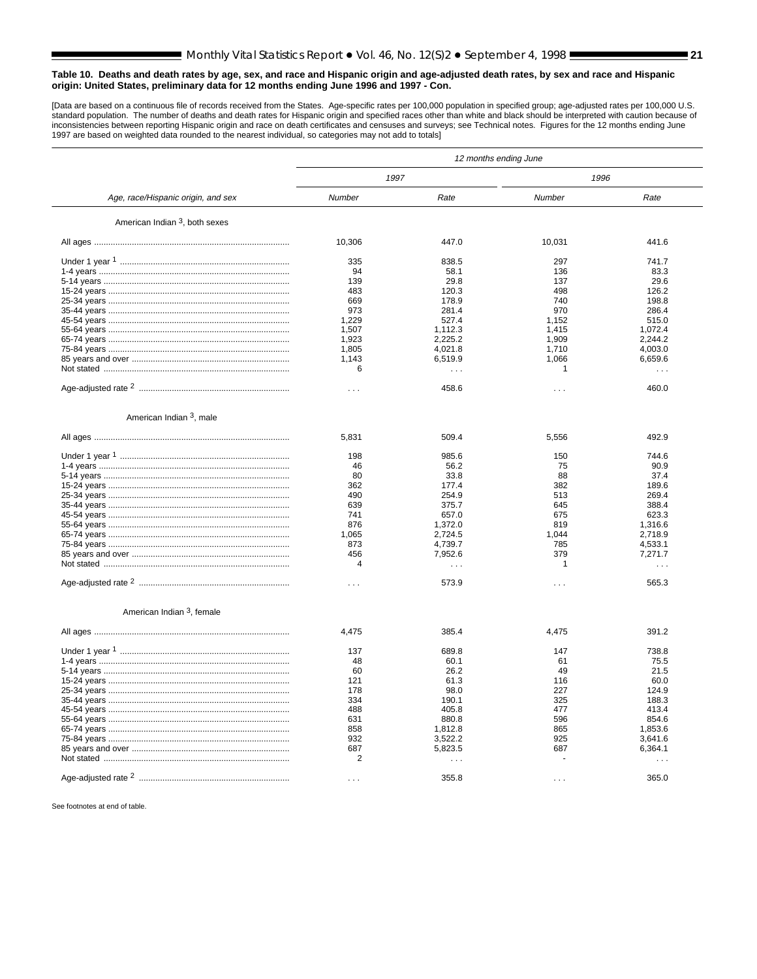[Data are based on a continuous file of records received from the States. Age-specific rates per 100,000 population in specified group; age-adjusted rates per 100,000 U.S.<br>istandard population. The number of deaths and dea

|                                       | 12 months ending June |               |              |                |  |  |
|---------------------------------------|-----------------------|---------------|--------------|----------------|--|--|
|                                       | 1997                  |               | 1996         |                |  |  |
| Age, race/Hispanic origin, and sex    | Number                | Rate          | Number       | Rate           |  |  |
| American Indian 3, both sexes         |                       |               |              |                |  |  |
|                                       | 10,306                | 447.0         | 10,031       | 441.6          |  |  |
|                                       | 335                   | 838.5         | 297          | 741.7          |  |  |
|                                       | 94                    | 58.1          | 136          | 83.3           |  |  |
|                                       | 139                   | 29.8          | 137          | 29.6           |  |  |
|                                       | 483                   | 120.3         | 498          | 126.2          |  |  |
|                                       | 669                   | 178.9         | 740          | 198.8          |  |  |
|                                       | 973                   | 281.4         | 970          | 286.4          |  |  |
|                                       | 1.229                 | 527.4         | 1.152        | 515.0          |  |  |
|                                       | 1,507                 | 1,112.3       | 1,415        | 1,072.4        |  |  |
|                                       | 1,923                 | 2,225.2       | 1,909        | 2.244.2        |  |  |
|                                       | 1,805                 | 4,021.8       | 1,710        | 4,003.0        |  |  |
|                                       | 1,143                 | 6,519.9       | 1,066        | 6,659.6        |  |  |
|                                       | 6                     | $\cdots$      | 1            | $\cdots$       |  |  |
|                                       |                       |               |              |                |  |  |
|                                       | $\cdots$              | 458.6         | $\cdots$     | 460.0          |  |  |
| American Indian <sup>3</sup> , male   |                       |               |              |                |  |  |
|                                       |                       |               |              |                |  |  |
|                                       | 5,831                 | 509.4         | 5,556        | 492.9          |  |  |
|                                       | 198                   | 985.6         | 150          | 744.6          |  |  |
|                                       | 46                    | 56.2          | 75           | 90.9           |  |  |
|                                       | 80                    | 33.8          | 88           | 37.4           |  |  |
|                                       | 362                   | 177.4         | 382          | 189.6          |  |  |
|                                       | 490                   | 254.9         | 513          | 269.4          |  |  |
|                                       | 639                   | 375.7         | 645          | 388.4          |  |  |
|                                       | 741                   | 657.0         | 675          | 623.3          |  |  |
|                                       | 876                   | 1.372.0       | 819          | 1.316.6        |  |  |
|                                       | 1,065                 | 2,724.5       | 1,044        | 2,718.9        |  |  |
|                                       | 873                   | 4,739.7       | 785          | 4,533.1        |  |  |
|                                       | 456                   | 7,952.6       | 379          | 7,271.7        |  |  |
|                                       | 4                     |               | $\mathbf{1}$ |                |  |  |
|                                       |                       | .             |              | .              |  |  |
|                                       | $\cdots$              | 573.9         | $\cdots$     | 565.3          |  |  |
| American Indian <sup>3</sup> , female |                       |               |              |                |  |  |
|                                       |                       |               |              |                |  |  |
|                                       | 4,475                 | 385.4         | 4,475        | 391.2          |  |  |
|                                       | 137                   | 689.8         | 147          | 738.8          |  |  |
|                                       | 48                    | 60.1          | 61           | 75.5           |  |  |
|                                       | 60                    | 26.2          | 49           | 21.5           |  |  |
|                                       | 121                   | 61.3          | 116          | 60.0           |  |  |
|                                       |                       |               |              |                |  |  |
|                                       | 178<br>334            | 98.0<br>190.1 | 227<br>325   | 124.9<br>188.3 |  |  |
|                                       |                       |               |              |                |  |  |
|                                       | 488                   | 405.8         | 477          | 413.4          |  |  |
|                                       | 631                   | 880.8         | 596          | 854.6          |  |  |
|                                       | 858                   | 1,812.8       | 865          | 1,853.6        |  |  |
|                                       | 932                   | 3,522.2       | 925          | 3,641.6        |  |  |
|                                       | 687                   | 5,823.5       | 687          | 6,364.1        |  |  |
|                                       | 2                     | .             |              | .              |  |  |
|                                       |                       |               |              |                |  |  |
|                                       | $\cdots$              | 355.8         | $\cdots$     | 365.0          |  |  |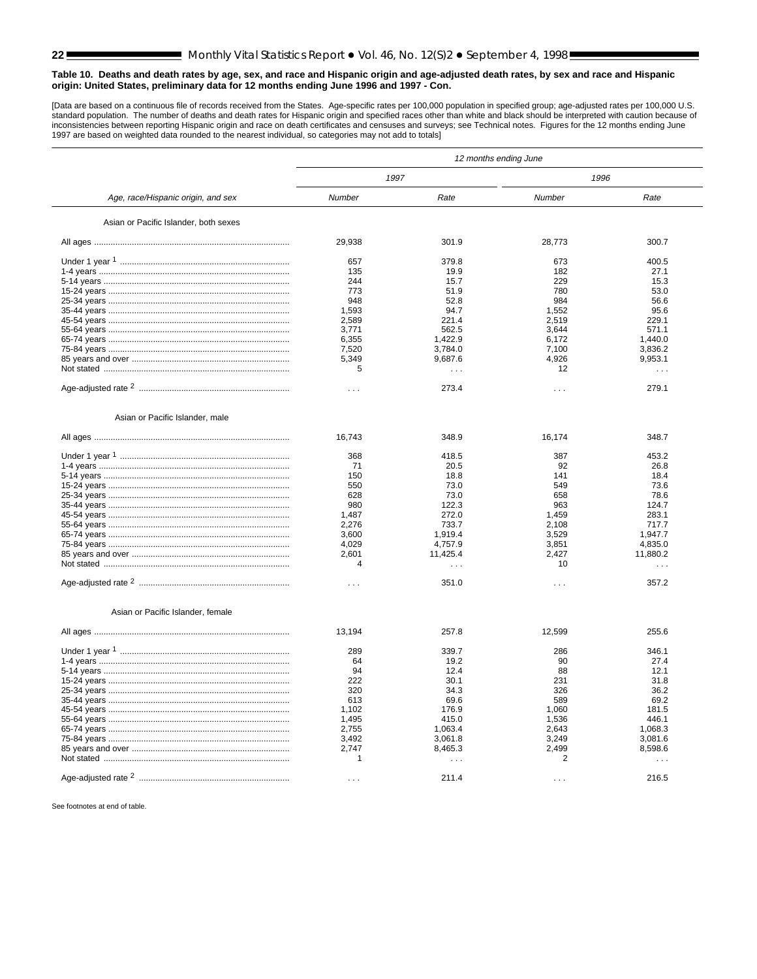[Data are based on a continuous file of records received from the States. Age-specific rates per 100,000 population in specified group; age-adjusted rates per 100,000 U.S.<br>istandard population. The number of deaths and dea

|                                       | 12 months ending June |           |                |                      |  |  |  |  |
|---------------------------------------|-----------------------|-----------|----------------|----------------------|--|--|--|--|
|                                       |                       | 1997      | 1996           |                      |  |  |  |  |
| Age, race/Hispanic origin, and sex    | Number                | Rate      | Number         | Rate                 |  |  |  |  |
| Asian or Pacific Islander, both sexes |                       |           |                |                      |  |  |  |  |
|                                       | 29,938                | 301.9     | 28,773         | 300.7                |  |  |  |  |
|                                       | 657                   | 379.8     | 673            | 400.5                |  |  |  |  |
|                                       | 135                   | 19.9      | 182            | 27.1                 |  |  |  |  |
|                                       | 244                   | 15.7      | 229            | 15.3                 |  |  |  |  |
|                                       | 773                   | 51.9      | 780            | 53.0                 |  |  |  |  |
|                                       | 948                   | 52.8      | 984            | 56.6                 |  |  |  |  |
|                                       | 1,593                 | 94.7      | 1,552          | 95.6                 |  |  |  |  |
|                                       | 2,589                 | 221.4     | 2,519          | 229.1                |  |  |  |  |
|                                       | 3,771                 | 562.5     | 3,644          | 571.1                |  |  |  |  |
|                                       | 6,355                 | 1,422.9   | 6,172          | 1,440.0              |  |  |  |  |
|                                       | 7,520                 | 3,784.0   | 7,100          | 3,836.2              |  |  |  |  |
|                                       | 5,349                 | 9,687.6   | 4,926          | 9,953.1              |  |  |  |  |
|                                       | 5                     | $\ddotsc$ | 12             | $\ddotsc$            |  |  |  |  |
|                                       | $\cdots$              | 273.4     | .              | 279.1                |  |  |  |  |
| Asian or Pacific Islander, male       |                       |           |                |                      |  |  |  |  |
|                                       | 16,743                | 348.9     | 16,174         | 348.7                |  |  |  |  |
|                                       | 368                   | 418.5     | 387            | 453.2                |  |  |  |  |
|                                       | 71                    | 20.5      | 92             | 26.8                 |  |  |  |  |
|                                       | 150                   | 18.8      | 141            | 18.4                 |  |  |  |  |
|                                       | 550                   | 73.0      | 549            | 73.6                 |  |  |  |  |
|                                       | 628                   | 73.0      | 658            | 78.6                 |  |  |  |  |
|                                       | 980                   | 122.3     | 963            | 124.7                |  |  |  |  |
|                                       | 1,487                 | 272.0     | 1,459          | 283.1                |  |  |  |  |
|                                       | 2,276                 | 733.7     | 2,108          | 717.7                |  |  |  |  |
|                                       | 3,600                 | 1,919.4   | 3,529          | 1,947.7              |  |  |  |  |
|                                       | 4,029                 | 4,757.9   | 3,851          | 4,835.0              |  |  |  |  |
|                                       | 2,601                 | 11,425.4  | 2,427          | 11,880.2             |  |  |  |  |
|                                       | $\Delta$              | $\cdots$  | 10             | $\sim$ $\sim$ $\sim$ |  |  |  |  |
|                                       | $\cdots$              | 351.0     | $\cdots$       | 357.2                |  |  |  |  |
| Asian or Pacific Islander, female     |                       |           |                |                      |  |  |  |  |
|                                       |                       |           |                |                      |  |  |  |  |
|                                       | 13,194                | 257.8     | 12,599         | 255.6                |  |  |  |  |
|                                       | 289                   | 339.7     | 286            | 346.1                |  |  |  |  |
|                                       | 64                    | 19.2      | 90             | 27.4                 |  |  |  |  |
|                                       | 94                    | 12.4      | 88             | 12.1                 |  |  |  |  |
|                                       | 222                   | 30.1      | 231            | 31.8                 |  |  |  |  |
|                                       | 320                   | 34.3      | 326            | 36.2                 |  |  |  |  |
|                                       | 613                   | 69.6      | 589            | 69.2                 |  |  |  |  |
|                                       | 1,102                 | 176.9     | 1,060          | 181.5                |  |  |  |  |
|                                       | 1,495                 | 415.0     | 1,536          | 446.1                |  |  |  |  |
|                                       | 2,755                 | 1,063.4   | 2,643          | 1,068.3              |  |  |  |  |
|                                       | 3,492                 | 3,061.8   | 3,249          | 3,081.6              |  |  |  |  |
|                                       | 2,747                 | 8,465.3   | 2,499          | 8,598.6              |  |  |  |  |
|                                       | 1                     | .         | $\overline{2}$ | .                    |  |  |  |  |
|                                       | $\cdots$              | 211.4     | $\cdots$       | 216.5                |  |  |  |  |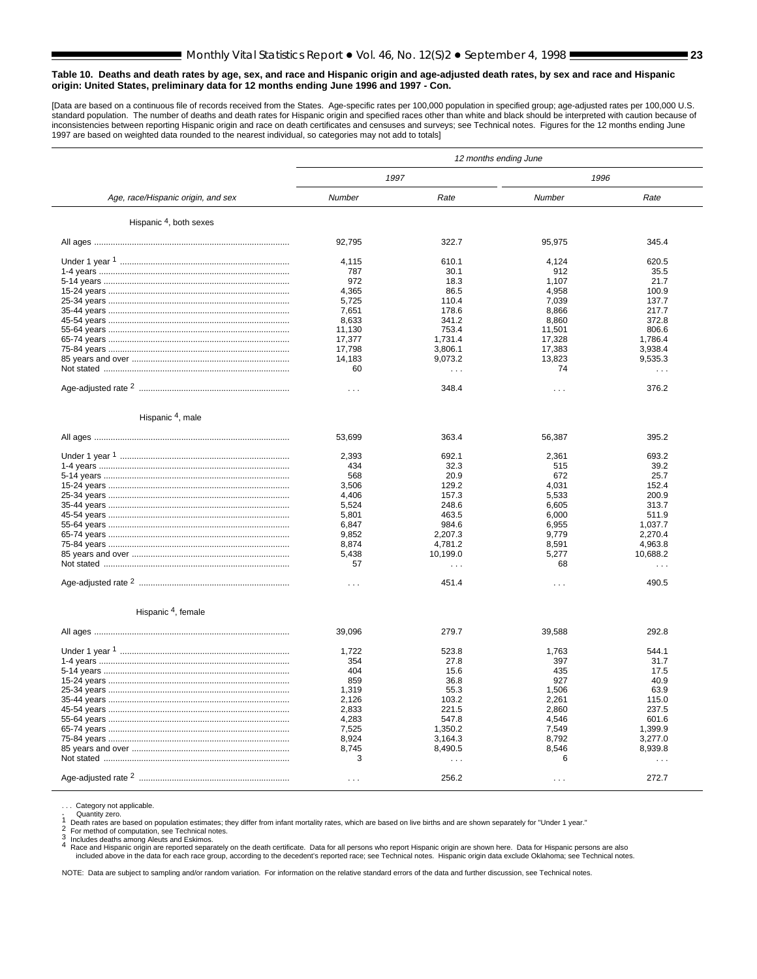[Data are based on a continuous file of records received from the States. Age-specific rates per 100,000 population in specified group; age-adjusted rates per 100,000 U.S. standard population. The number of deaths and death rates for Hispanic origin and specified races other than white and black should be interpreted with caution because of<br>inconsistencies between reporting Hispanic origin a 1997 are based on weighted data rounded to the nearest individual, so categories may not add to totals]

|                                    | 12 months ending June |                      |          |          |  |  |
|------------------------------------|-----------------------|----------------------|----------|----------|--|--|
|                                    |                       | 1997                 | 1996     |          |  |  |
| Age, race/Hispanic origin, and sex | Number                | Rate                 | Number   | Rate     |  |  |
| Hispanic <sup>4</sup> , both sexes |                       |                      |          |          |  |  |
|                                    | 92,795                | 322.7                | 95,975   | 345.4    |  |  |
|                                    | 4,115                 | 610.1                | 4.124    | 620.5    |  |  |
|                                    | 787                   | 30.1                 | 912      | 35.5     |  |  |
|                                    | 972                   | 18.3                 | 1,107    | 21.7     |  |  |
|                                    | 4,365                 | 86.5                 | 4,958    | 100.9    |  |  |
|                                    | 5,725                 | 110.4                | 7,039    | 137.7    |  |  |
|                                    | 7,651                 | 178.6                | 8.866    | 217.7    |  |  |
|                                    | 8,633                 | 341.2                | 8,860    | 372.8    |  |  |
|                                    | 11,130                | 753.4                | 11,501   | 806.6    |  |  |
|                                    | 17,377                | 1,731.4              | 17,328   | 1,786.4  |  |  |
|                                    | 17,798                | 3,806.1              | 17,383   | 3,938.4  |  |  |
|                                    | 14,183                | 9,073.2              | 13.823   | 9,535.3  |  |  |
|                                    | 60                    | $\sim$ $\sim$ $\sim$ | 74       | $\cdots$ |  |  |
|                                    |                       |                      |          |          |  |  |
|                                    | $\cdots$              | 348.4                | $\sim$ . | 376.2    |  |  |
| Hispanic <sup>4</sup> , male       |                       |                      |          |          |  |  |
|                                    | 53,699                | 363.4                | 56,387   | 395.2    |  |  |
|                                    | 2.393                 | 692.1                | 2.361    | 693.2    |  |  |
|                                    | 434                   | 32.3                 | 515      | 39.2     |  |  |
|                                    | 568                   | 20.9                 | 672      | 25.7     |  |  |
|                                    | 3,506                 | 129.2                | 4,031    | 152.4    |  |  |
|                                    | 4,406                 | 157.3                | 5,533    | 200.9    |  |  |
|                                    | 5,524                 | 248.6                | 6.605    | 313.7    |  |  |
|                                    | 5,801                 | 463.5                | 6,000    | 511.9    |  |  |
|                                    | 6,847                 | 984.6                | 6.955    | 1.037.7  |  |  |
|                                    | 9,852                 | 2,207.3              | 9,779    | 2,270.4  |  |  |
|                                    | 8,874                 | 4,781.2              | 8,591    | 4,963.8  |  |  |
|                                    | 5,438                 | 10,199.0             | 5,277    | 10,688.2 |  |  |
|                                    | 57                    | $\sim$ $\sim$ $\sim$ | 68       | $\sim$   |  |  |
|                                    |                       |                      |          |          |  |  |
|                                    | $\cdots$              | 451.4                | $\cdots$ | 490.5    |  |  |
| Hispanic <sup>4</sup> , female     |                       |                      |          |          |  |  |
|                                    | 39,096                | 279.7                | 39,588   | 292.8    |  |  |
|                                    |                       |                      |          |          |  |  |
|                                    | 1.722                 | 523.8                | 1.763    | 544.1    |  |  |
|                                    | 354                   | 27.8                 | 397      | 31.7     |  |  |
|                                    | 404                   | 15.6                 | 435      | 17.5     |  |  |
|                                    | 859                   | 36.8                 | 927      | 40.9     |  |  |
|                                    | 1,319                 | 55.3                 | 1,506    | 63.9     |  |  |
|                                    | 2,126                 | 103.2                | 2,261    | 115.0    |  |  |
|                                    | 2,833                 | 221.5                | 2,860    | 237.5    |  |  |
|                                    | 4,283                 | 547.8                | 4.546    | 601.6    |  |  |
|                                    | 7,525                 | 1,350.2              | 7,549    | 1,399.9  |  |  |
|                                    | 8,924                 | 3,164.3              | 8,792    | 3,277.0  |  |  |
|                                    | 8,745                 | 8,490.5              | 8,546    | 8,939.8  |  |  |
|                                    | 3                     | $\mathbf{1}$         | 6        | $\sim$   |  |  |
|                                    |                       |                      |          |          |  |  |
|                                    | $\cdots$              | 256.2                | $\cdots$ | 272.7    |  |  |

Category not applicable.

Quantity zero.<br>
1 Death rates are based on population estimates; they differ from infant mortality rates, which are based on live births and are shown separately for "Under 1 year."<br>
2 For method of computation, see Techni

Includes deaths among Aleuts and Eskimos.<br>A Race and Hispanic origin are reported separately on the death certificate. Data for all persons who report Hispanic origin are shown here. Data for Hispanic persons are also<br>incl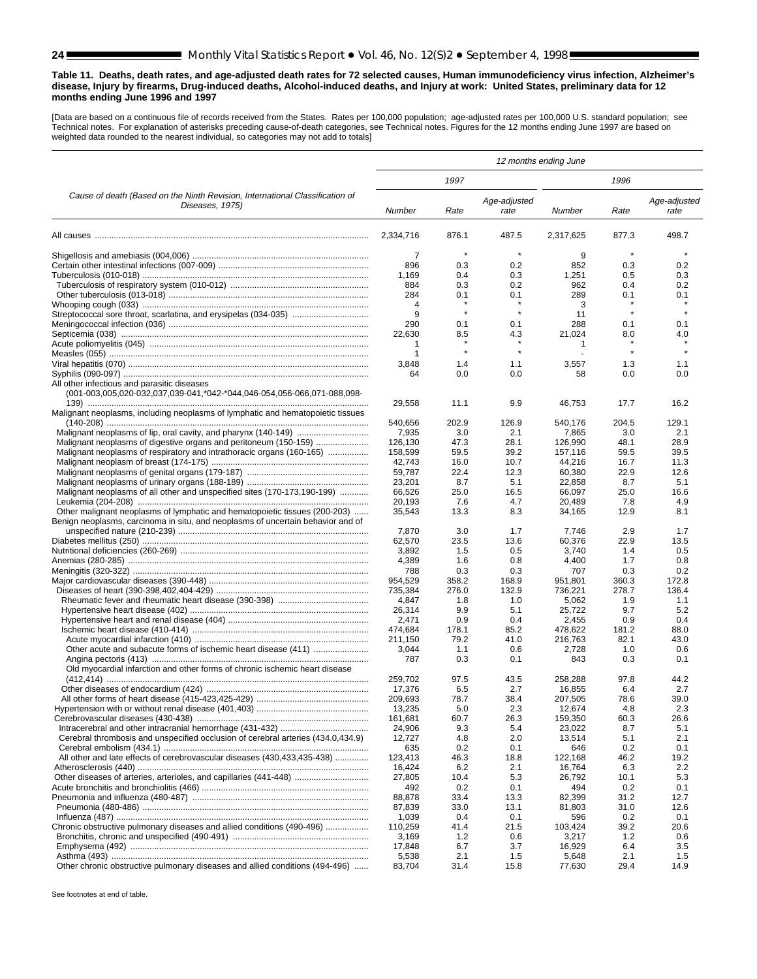#### <span id="page-23-0"></span>**Table 11. Deaths, death rates, and age-adjusted death rates for 72 selected causes, Human immunodeficiency virus infection, Alzheimer's disease, Injury by firearms, Drug-induced deaths, Alcohol-induced deaths, and Injury at work: United States, preliminary data for 12 months ending June 1996 and 1997**

[Data are based on a continuous file of records received from the States. Rates per 100,000 population; age-adjusted rates per 100,000 U.S. standard population; see Technical notes. For explanation of asterisks preceding cause-of-death categories, see Technical notes. Figures for the 12 months ending June 1997 are based on<br>weighted data rounded to the nearest individual, so categories

|                                                                                                                        | 12 months ending June |              |                      |                   |              |                      |  |
|------------------------------------------------------------------------------------------------------------------------|-----------------------|--------------|----------------------|-------------------|--------------|----------------------|--|
|                                                                                                                        |                       | 1997         |                      | 1996              |              |                      |  |
| Cause of death (Based on the Ninth Revision, International Classification of<br>Diseases, 1975)                        | Number                | Rate         | Age-adjusted<br>rate | Number            | Rate         | Age-adjusted<br>rate |  |
|                                                                                                                        | 2,334,716             | 876.1        | 487.5                | 2,317,625         | 877.3        | 498.7                |  |
|                                                                                                                        | $\overline{7}$        | $\star$      | $\star$              | 9                 | $\star$      |                      |  |
|                                                                                                                        | 896                   | 0.3          | 0.2                  | 852               | 0.3          | 0.2                  |  |
|                                                                                                                        | 1,169                 | 0.4          | 0.3                  | 1,251             | 0.5          | 0.3                  |  |
|                                                                                                                        | 884                   | 0.3          | 0.2                  | 962               | 0.4          | 0.2                  |  |
|                                                                                                                        | 284                   | 0.1          | 0.1                  | 289               | 0.1          | 0.1                  |  |
|                                                                                                                        | $\overline{4}$        | $\star$      | $\star$              | 3                 | $\star$      | $\star$              |  |
|                                                                                                                        | 9<br>290              | 0.1          | 0.1                  | 11<br>288         | 0.1          | 0.1                  |  |
|                                                                                                                        | 22,630                | 8.5          | 4.3                  | 21,024            | 8.0          | 4.0                  |  |
|                                                                                                                        | 1                     | $\star$      |                      | $\mathbf{1}$      |              |                      |  |
|                                                                                                                        | 1                     | $\star$      | $\pmb{\ast}$         |                   | $\star$      |                      |  |
|                                                                                                                        | 3,848                 | 1.4          | 1.1                  | 3,557             | 1.3          | 1.1                  |  |
|                                                                                                                        | 64                    | 0.0          | 0.0                  | 58                | 0.0          | 0.0                  |  |
| All other infectious and parasitic diseases<br>(001-003,005,020-032,037,039-041,*042-*044,046-054,056-066,071-088,098- |                       |              |                      |                   |              |                      |  |
| Malignant neoplasms, including neoplasms of lymphatic and hematopoietic tissues                                        | 29,558                | 11.1         | 9.9                  | 46,753            | 17.7         | 16.2                 |  |
|                                                                                                                        | 540,656               | 202.9        | 126.9                | 540.176           | 204.5        | 129.1                |  |
|                                                                                                                        | 7,935                 | 3.0          | 2.1                  | 7,865             | 3.0          | 2.1                  |  |
| Malignant neoplasms of digestive organs and peritoneum (150-159)                                                       | 126,130<br>158.599    | 47.3         | 28.1                 | 126,990           | 48.1         | 28.9                 |  |
| Malignant neoplasms of respiratory and intrathoracic organs (160-165)                                                  | 42.743                | 59.5<br>16.0 | 39.2<br>10.7         | 157,116<br>44,216 | 59.5<br>16.7 | 39.5<br>11.3         |  |
|                                                                                                                        | 59,787                | 22.4         | 12.3                 | 60,380            | 22.9         | 12.6                 |  |
|                                                                                                                        | 23,201                | 8.7          | 5.1                  | 22,858            | 8.7          | 5.1                  |  |
| Malignant neoplasms of all other and unspecified sites (170-173,190-199)                                               | 66,526                | 25.0         | 16.5                 | 66,097            | 25.0         | 16.6                 |  |
|                                                                                                                        | 20,193                | 7.6          | 4.7                  | 20,489            | 7.8          | 4.9                  |  |
| Other malignant neoplasms of lymphatic and hematopoietic tissues (200-203)                                             | 35,543                | 13.3         | 8.3                  | 34,165            | 12.9         | 8.1                  |  |
| Benign neoplasms, carcinoma in situ, and neoplasms of uncertain behavior and of                                        |                       |              |                      |                   |              |                      |  |
|                                                                                                                        | 7,870                 | 3.0          | 1.7                  | 7,746             | 2.9          | 1.7                  |  |
|                                                                                                                        | 62,570                | 23.5         | 13.6                 | 60,376            | 22.9         | 13.5                 |  |
|                                                                                                                        | 3,892                 | 1.5          | 0.5                  | 3,740             | 1.4          | 0.5                  |  |
|                                                                                                                        | 4,389<br>788          | 1.6<br>0.3   | 0.8<br>0.3           | 4,400<br>707      | 1.7<br>0.3   | 0.8<br>0.2           |  |
|                                                                                                                        | 954,529               | 358.2        | 168.9                | 951,801           | 360.3        | 172.8                |  |
|                                                                                                                        | 735,384               | 276.0        | 132.9                | 736,221           | 278.7        | 136.4                |  |
|                                                                                                                        | 4,847                 | 1.8          | 1.0                  | 5,062             | 1.9          | 1.1                  |  |
|                                                                                                                        | 26,314                | 9.9          | 5.1                  | 25,722            | 9.7          | 5.2                  |  |
|                                                                                                                        | 2,471                 | 0.9          | 0.4                  | 2,455             | 0.9          | 0.4                  |  |
|                                                                                                                        | 474,684               | 178.1        | 85.2                 | 478,622           | 181.2        | 88.0                 |  |
|                                                                                                                        | 211,150               | 79.2         | 41.0                 | 216,763           | 82.1         | 43.0                 |  |
| Other acute and subacute forms of ischemic heart disease (411)                                                         | 3,044                 | 1.1          | 0.6                  | 2,728             | 1.0          | 0.6                  |  |
|                                                                                                                        | 787                   | 0.3          | 0.1                  | 843               | 0.3          | 0.1                  |  |
| Old myocardial infarction and other forms of chronic ischemic heart disease                                            | 259.702               | 97.5         | 43.5                 | 258,288           | 97.8         | 44.2                 |  |
|                                                                                                                        | 17,376                | 6.5          | 2.7                  | 16,855            | 6.4          | 2.7                  |  |
|                                                                                                                        | 209,693               | 78.7         | 38.4                 | 207,505           | 78.6         | 39.0                 |  |
|                                                                                                                        | 13,235                | 5.0          | 2.3                  | 12,674            | 4.8          | 2.3                  |  |
|                                                                                                                        | 161,681               | 60.7         | 26.3                 | 159,350           | 60.3         | 26.6                 |  |
|                                                                                                                        | 24,906                | 9.3          | 5.4                  | 23,022            | 8.7          | 5.1                  |  |
| Cerebral thrombosis and unspecified occlusion of cerebral arteries (434.0,434.9)                                       | 12,727                | 4.8          | 2.0                  | 13,514            | 5.1          | 2.1                  |  |
|                                                                                                                        | 635                   | 0.2          | 0.1                  | 646               | 0.2          | 0.1                  |  |
| All other and late effects of cerebrovascular diseases (430,433,435-438)                                               | 123,413               | 46.3         | 18.8                 | 122,168           | 46.2         | 19.2                 |  |
|                                                                                                                        | 16,424                | 6.2          | 2.1                  | 16,764            | 6.3          | 2.2                  |  |
| Other diseases of arteries, arterioles, and capillaries (441-448)                                                      | 27,805                | 10.4         | 5.3                  | 26,792            | 10.1         | 5.3                  |  |
|                                                                                                                        | 492<br>88,878         | 0.2<br>33.4  | 0.1<br>13.3          | 494<br>82,399     | 0.2<br>31.2  | 0.1<br>12.7          |  |
|                                                                                                                        | 87,839                | 33.0         | 13.1                 | 81,803            | 31.0         | 12.6                 |  |
|                                                                                                                        | 1,039                 | 0.4          | 0.1                  | 596               | 0.2          | 0.1                  |  |
| Chronic obstructive pulmonary diseases and allied conditions (490-496)                                                 | 110,259               | 41.4         | 21.5                 | 103,424           | 39.2         | 20.6                 |  |
|                                                                                                                        | 3,169                 | $1.2$        | 0.6                  | 3,217             | 1.2          | 0.6                  |  |
|                                                                                                                        | 17,848                | 6.7          | 3.7                  | 16,929            | 6.4          | 3.5                  |  |
|                                                                                                                        | 5,538                 | 2.1          | 1.5                  | 5,648             | 2.1          | 1.5                  |  |
| Other chronic obstructive pulmonary diseases and allied conditions (494-496)                                           | 83,704                | 31.4         | 15.8                 | 77,630            | 29.4         | 14.9                 |  |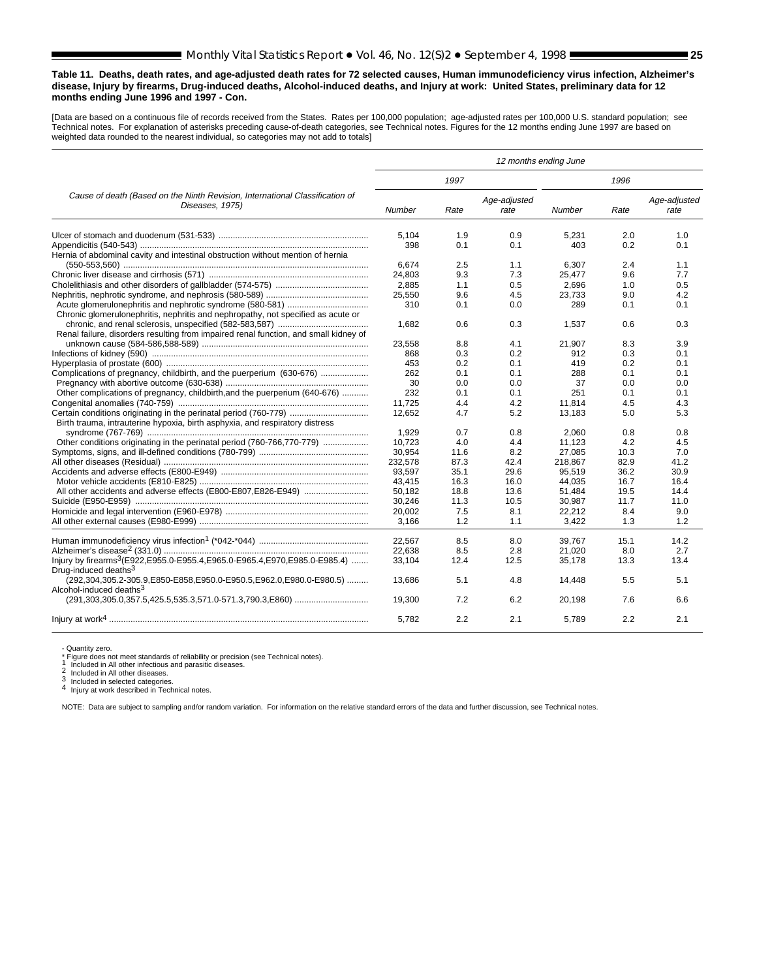#### **Table 11. Deaths, death rates, and age-adjusted death rates for 72 selected causes, Human immunodeficiency virus infection, Alzheimer's disease, Injury by firearms, Drug-induced deaths, Alcohol-induced deaths, and Injury at work: United States, preliminary data for 12 months ending June 1996 and 1997 - Con.**

[Data are based on a continuous file of records received from the States. Rates per 100,000 population; age-adjusted rates per 100,000 U.S. standard population; see Technical notes. For explanation of asterisks preceding cause-of-death categories, see Technical notes. Figures for the 12 months ending June 1997 are based on weighted data rounded to the nearest individual, so categories may not add to totals]

|                                                                                                           | 12 months ending June |      |                      |               |      |                      |  |  |
|-----------------------------------------------------------------------------------------------------------|-----------------------|------|----------------------|---------------|------|----------------------|--|--|
|                                                                                                           |                       | 1997 |                      |               | 1996 |                      |  |  |
| Cause of death (Based on the Ninth Revision, International Classification of<br>Diseases, 1975)           | Number                | Rate | Age-adjusted<br>rate | <b>Number</b> | Rate | Age-adjusted<br>rate |  |  |
|                                                                                                           | 5.104                 | 1.9  | 0.9                  | 5.231         | 2.0  | 1.0                  |  |  |
|                                                                                                           | 398                   | 0.1  | 0.1                  | 403           | 0.2  | 0.1                  |  |  |
| Hernia of abdominal cavity and intestinal obstruction without mention of hernia                           | 6.674                 | 2.5  | 1.1                  | 6.307         | 2.4  | 1.1                  |  |  |
|                                                                                                           |                       |      |                      |               |      |                      |  |  |
|                                                                                                           | 24.803                | 9.3  | 7.3                  | 25.477        | 9.6  | 7.7                  |  |  |
|                                                                                                           | 2.885                 | 1.1  | 0.5                  | 2.696         | 1.0  | 0.5                  |  |  |
|                                                                                                           | 25,550                | 9.6  | 4.5                  | 23,733        | 9.0  | 4.2                  |  |  |
|                                                                                                           | 310                   | 0.1  | 0.0                  | 289           | 0.1  | 0.1                  |  |  |
| Chronic glomerulonephritis, nephritis and nephropathy, not specified as acute or                          |                       |      |                      |               |      |                      |  |  |
|                                                                                                           | 1.682                 | 0.6  | 0.3                  | 1.537         | 0.6  | 0.3                  |  |  |
| Renal failure, disorders resulting from impaired renal function, and small kidney of                      |                       |      |                      |               |      |                      |  |  |
|                                                                                                           | 23.558                | 8.8  | 4.1                  | 21,907        | 8.3  | 3.9                  |  |  |
|                                                                                                           | 868                   | 0.3  | 0.2                  | 912           | 0.3  | 0.1                  |  |  |
|                                                                                                           | 453                   | 0.2  | 0.1                  | 419           | 0.2  | 0.1                  |  |  |
| Complications of pregnancy, childbirth, and the puerperium (630-676)                                      | 262                   | 0.1  | 0.1                  | 288           | 0.1  | 0.1                  |  |  |
|                                                                                                           | 30                    | 0.0  | 0.0                  | 37            | 0.0  | 0.0                  |  |  |
| Other complications of pregnancy, childbirth, and the puerperium (640-676)                                | 232                   | 0.1  | 0.1                  | 251           | 0.1  | 0.1                  |  |  |
|                                                                                                           | 11,725                | 4.4  | 4.2                  | 11,814        | 4.5  | 4.3                  |  |  |
|                                                                                                           | 12.652                | 4.7  | 5.2                  | 13,183        | 5.0  | 5.3                  |  |  |
| Birth trauma, intrauterine hypoxia, birth asphyxia, and respiratory distress                              |                       |      |                      |               |      |                      |  |  |
|                                                                                                           | 1.929                 | 0.7  | 0.8                  | 2.060         | 0.8  | 0.8                  |  |  |
|                                                                                                           | 10.723                | 4.0  | 4.4                  | 11.123        | 4.2  | 4.5                  |  |  |
|                                                                                                           |                       |      | 8.2                  |               |      |                      |  |  |
|                                                                                                           | 30,954                | 11.6 |                      | 27,085        | 10.3 | 7.0                  |  |  |
|                                                                                                           | 232,578               | 87.3 | 42.4                 | 218,867       | 82.9 | 41.2                 |  |  |
|                                                                                                           | 93.597                | 35.1 | 29.6                 | 95.519        | 36.2 | 30.9                 |  |  |
|                                                                                                           | 43,415                | 16.3 | 16.0                 | 44,035        | 16.7 | 16.4                 |  |  |
|                                                                                                           | 50.182                | 18.8 | 13.6                 | 51,484        | 19.5 | 14.4                 |  |  |
|                                                                                                           | 30,246                | 11.3 | 10.5                 | 30,987        | 11.7 | 11.0                 |  |  |
|                                                                                                           | 20,002                | 7.5  | 8.1                  | 22,212        | 8.4  | 9.0                  |  |  |
|                                                                                                           | 3.166                 | 1.2  | 1.1                  | 3.422         | 1.3  | 1.2                  |  |  |
|                                                                                                           | 22.567                | 8.5  | 8.0                  | 39.767        | 15.1 | 14.2                 |  |  |
|                                                                                                           | 22,638                | 8.5  | 2.8                  | 21,020        | 8.0  | 2.7                  |  |  |
| Injury by firearms <sup>3</sup> (E922,E955.0-E955.4,E965.0-E965.4,E970,E985.0-E985.4)                     | 33,104                | 12.4 | 12.5                 | 35,178        | 13.3 | 13.4                 |  |  |
| Drug-induced deaths <sup>3</sup>                                                                          |                       |      |                      |               |      |                      |  |  |
| (292,304,305.2-305.9,E850-E858,E950.0-E950.5,E962.0,E980.0-E980.5)<br>Alcohol-induced deaths <sup>3</sup> | 13,686                | 5.1  | 4.8                  | 14,448        | 5.5  | 5.1                  |  |  |
|                                                                                                           | 19.300                | 7.2  | 6.2                  | 20.198        | 7.6  | 6.6                  |  |  |
|                                                                                                           | 5.782                 | 2.2  | 2.1                  | 5.789         | 2.2  | 2.1                  |  |  |

- Quantity zero.<br>\* Figure does not meet standards of reliability or precision (see Technical notes).<br>1 Included in All other infectious and parasitic diseases.

1 Included in All other infectious and parasitic diseases.<br>
2 Included in All other infectious and parasitic diseases.<br>
3 Included in selected categories.<br>
4 Injury at work described in Technical notes.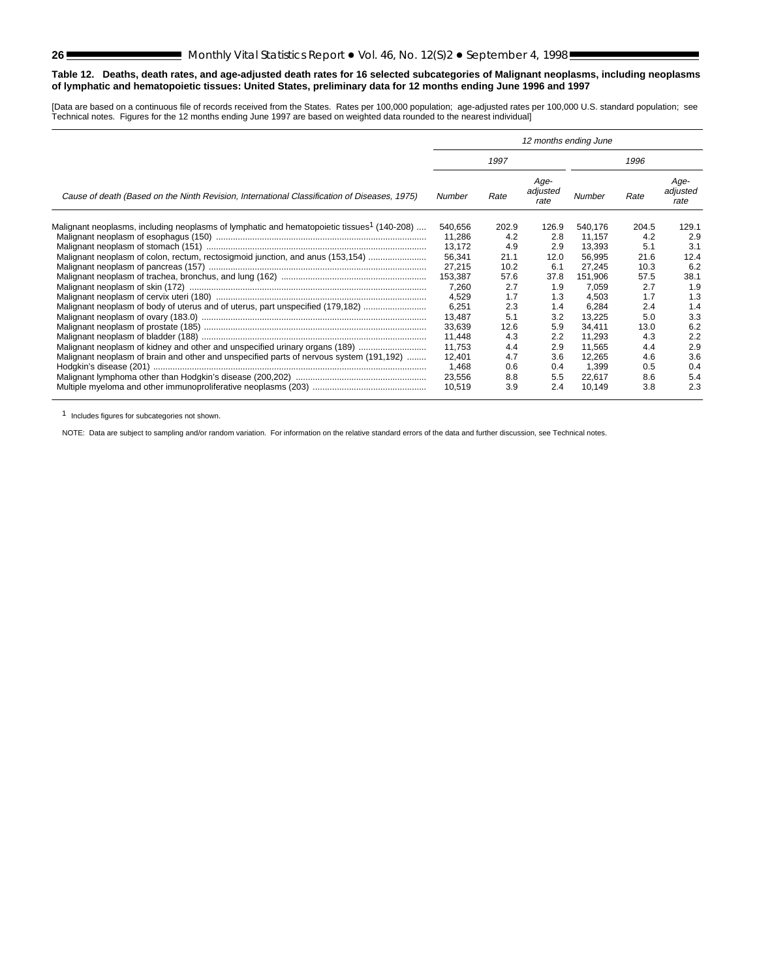#### <span id="page-25-0"></span>**Table 12. Deaths, death rates, and age-adjusted death rates for 16 selected subcategories of Malignant neoplasms, including neoplasms of lymphatic and hematopoietic tissues: United States, preliminary data for 12 months ending June 1996 and 1997**

[Data are based on a continuous file of records received from the States. Rates per 100,000 population; age-adjusted rates per 100,000 U.S. standard population; see Technical notes. Figures for the 12 months ending June 1997 are based on weighted data rounded to the nearest individual]

|                                                                                                        |         |       | 12 months ending June    |         |       |                          |
|--------------------------------------------------------------------------------------------------------|---------|-------|--------------------------|---------|-------|--------------------------|
|                                                                                                        |         | 1997  |                          | 1996    |       |                          |
| Cause of death (Based on the Ninth Revision, International Classification of Diseases, 1975)           | Number  | Rate  | Age-<br>adjusted<br>rate | Number  | Rate  | Age-<br>adjusted<br>rate |
| Malignant neoplasms, including neoplasms of lymphatic and hematopoietic tissues <sup>1</sup> (140-208) | 540,656 | 202.9 | 126.9                    | 540,176 | 204.5 | 129.1                    |
|                                                                                                        | 11,286  | 4.2   | 2.8                      | 11.157  | 4.2   | 2.9                      |
|                                                                                                        | 13.172  | 4.9   | 2.9                      | 13.393  | 5.1   | 3.1                      |
| Malignant neoplasm of colon, rectum, rectosigmoid junction, and anus (153,154)                         | 56,341  | 21.1  | 12.0                     | 56,995  | 21.6  | 12.4                     |
|                                                                                                        | 27,215  | 10.2  | 6.1                      | 27,245  | 10.3  | 6.2                      |
|                                                                                                        | 153,387 | 57.6  | 37.8                     | 151.906 | 57.5  | 38.1                     |
|                                                                                                        | 7,260   | 2.7   | 1.9                      | 7.059   | 2.7   | 1.9                      |
|                                                                                                        | 4,529   | 1.7   | 1.3                      | 4.503   | 1.7   | 1.3                      |
| Malignant neoplasm of body of uterus and of uterus, part unspecified (179,182)                         | 6,251   | 2.3   | 1.4                      | 6,284   | 2.4   | 1.4                      |
|                                                                                                        | 13,487  | 5.1   | 3.2                      | 13,225  | 5.0   | 3.3                      |
|                                                                                                        | 33,639  | 12.6  | 5.9                      | 34.411  | 13.0  | 6.2                      |
|                                                                                                        | 11,448  | 4.3   | 2.2                      | 11,293  | 4.3   | 2.2                      |
| Malignant neoplasm of kidney and other and unspecified urinary organs (189)                            | 11,753  | 4.4   | 2.9                      | 11,565  | 4.4   | 2.9                      |
| Malignant neoplasm of brain and other and unspecified parts of nervous system (191,192)                | 12,401  | 4.7   | 3.6                      | 12,265  | 4.6   | 3.6                      |
|                                                                                                        | 1,468   | 0.6   | 0.4                      | 1,399   | 0.5   | 0.4                      |
|                                                                                                        | 23,556  | 8.8   | 5.5                      | 22,617  | 8.6   | 5.4                      |
|                                                                                                        | 10,519  | 3.9   | 2.4                      | 10,149  | 3.8   | 2.3                      |

1 Includes figures for subcategories not shown.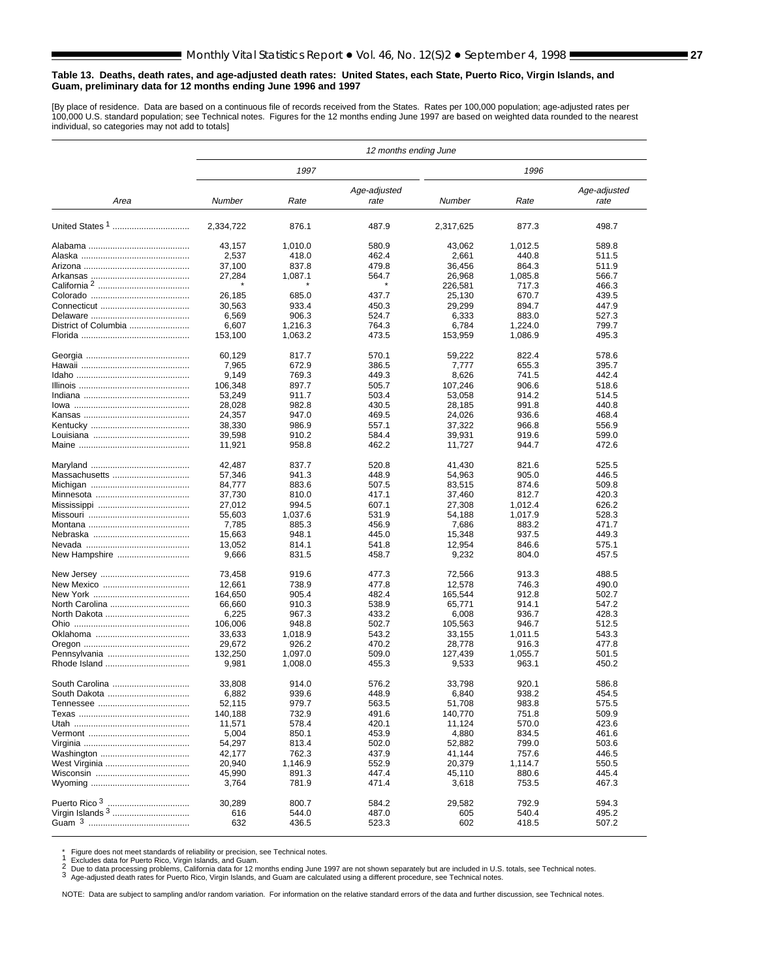#### <span id="page-26-0"></span>**Table 13. Deaths, death rates, and age-adjusted death rates: United States, each State, Puerto Rico, Virgin Islands, and Guam, preliminary data for 12 months ending June 1996 and 1997**

[By place of residence. Data are based on a continuous file of records received from the States. Rates per 100,000 population; age-adjusted rates per 100,000 U.S. standard population; see Technical notes. Figures for the 12 months ending June 1997 are based on weighted data rounded to the nearest individual, so categories may not add to totals]

|                      | 12 months ending June |         |                      |           |         |                      |  |  |  |  |
|----------------------|-----------------------|---------|----------------------|-----------|---------|----------------------|--|--|--|--|
|                      |                       | 1997    |                      |           | 1996    |                      |  |  |  |  |
| Area                 | Number                | Rate    | Age-adjusted<br>rate | Number    | Rate    | Age-adjusted<br>rate |  |  |  |  |
| United States 1      | 2.334.722             | 876.1   | 487.9                | 2,317,625 | 877.3   | 498.7                |  |  |  |  |
|                      | 43,157                | 1,010.0 | 580.9                | 43,062    | 1,012.5 | 589.8                |  |  |  |  |
|                      | 2,537                 | 418.0   | 462.4                | 2,661     | 440.8   | 511.5                |  |  |  |  |
|                      | 37,100                | 837.8   | 479.8                | 36,456    | 864.3   | 511.9                |  |  |  |  |
|                      | 27,284                | 1,087.1 | 564.7                | 26,968    | 1,085.8 | 566.7                |  |  |  |  |
|                      |                       |         |                      | 226,581   | 717.3   | 466.3                |  |  |  |  |
|                      | 26,185                | 685.0   | 437.7                | 25,130    | 670.7   | 439.5                |  |  |  |  |
|                      | 30,563                | 933.4   | 450.3                | 29,299    | 894.7   | 447.9                |  |  |  |  |
|                      | 6,569                 | 906.3   | 524.7                | 6,333     | 883.0   | 527.3                |  |  |  |  |
| District of Columbia | 6,607                 | 1,216.3 | 764.3                | 6,784     | 1,224.0 | 799.7                |  |  |  |  |
|                      | 153,100               | 1,063.2 | 473.5                | 153,959   | 1,086.9 | 495.3                |  |  |  |  |
|                      | 60,129                | 817.7   | 570.1                | 59,222    | 822.4   | 578.6                |  |  |  |  |
|                      | 7,965                 | 672.9   | 386.5                | 7,777     | 655.3   | 395.7                |  |  |  |  |
|                      | 9,149                 | 769.3   | 449.3                | 8,626     | 741.5   | 442.4                |  |  |  |  |
|                      | 106,348               | 897.7   | 505.7                | 107,246   | 906.6   | 518.6                |  |  |  |  |
|                      | 53,249                | 911.7   | 503.4                | 53,058    | 914.2   | 514.5                |  |  |  |  |
|                      | 28,028                | 982.8   | 430.5                | 28,185    | 991.8   | 440.8                |  |  |  |  |
|                      | 24,357                | 947.0   | 469.5                | 24,026    | 936.6   | 468.4                |  |  |  |  |
|                      | 38,330                | 986.9   | 557.1                | 37,322    | 966.8   | 556.9                |  |  |  |  |
|                      | 39,598                | 910.2   | 584.4                | 39,931    | 919.6   | 599.0                |  |  |  |  |
|                      |                       |         |                      |           |         |                      |  |  |  |  |
|                      | 11,921                | 958.8   | 462.2                | 11,727    | 944.7   | 472.6                |  |  |  |  |
|                      | 42,487                | 837.7   | 520.8                | 41,430    | 821.6   | 525.5                |  |  |  |  |
| Massachusetts        | 57,346                | 941.3   | 448.9                | 54,963    | 905.0   | 446.5                |  |  |  |  |
|                      | 84,777                | 883.6   | 507.5                | 83,515    | 874.6   | 509.8                |  |  |  |  |
|                      | 37,730                | 810.0   | 417.1                | 37,460    | 812.7   | 420.3                |  |  |  |  |
|                      | 27,012                | 994.5   | 607.1                | 27,308    | 1,012.4 | 626.2                |  |  |  |  |
|                      | 55,603                | 1,037.6 | 531.9                | 54,188    | 1,017.9 | 528.3                |  |  |  |  |
|                      | 7,785                 | 885.3   | 456.9                | 7,686     | 883.2   | 471.7                |  |  |  |  |
|                      | 15,663                | 948.1   | 445.0                | 15,348    | 937.5   | 449.3                |  |  |  |  |
|                      | 13,052                | 814.1   | 541.8                | 12,954    | 846.6   | 575.1                |  |  |  |  |
| New Hampshire        | 9,666                 | 831.5   | 458.7                | 9,232     | 804.0   | 457.5                |  |  |  |  |
|                      | 73,458                | 919.6   | 477.3                | 72,566    | 913.3   | 488.5                |  |  |  |  |
|                      | 12,661                | 738.9   | 477.8                | 12,578    | 746.3   | 490.0                |  |  |  |  |
|                      | 164,650               | 905.4   | 482.4                | 165,544   | 912.8   | 502.7                |  |  |  |  |
| North Carolina       | 66,660                | 910.3   | 538.9                | 65,771    | 914.1   | 547.2                |  |  |  |  |
|                      | 6,225                 | 967.3   | 433.2                | 6,008     | 936.7   | 428.3                |  |  |  |  |
|                      | 106,006               | 948.8   | 502.7                | 105,563   | 946.7   | 512.5                |  |  |  |  |
|                      | 33,633                | 1.018.9 | 543.2                | 33,155    | 1,011.5 | 543.3                |  |  |  |  |
|                      | 29,672                | 926.2   | 470.2                | 28.778    | 916.3   | 477.8                |  |  |  |  |
| Pennsylvania         | 132,250               | 1,097.0 | 509.0                | 127,439   | 1,055.7 | 501.5                |  |  |  |  |
|                      | 9,981                 | 1,008.0 | 455.3                | 9,533     | 963.1   | 450.2                |  |  |  |  |
| South Carolina       | 33,808                | 914.0   | 576.2                | 33,798    | 920.1   | 586.8                |  |  |  |  |
| South Dakota         | 6,882                 | 939.6   | 448.9                | 6,840     | 938.2   | 454.5                |  |  |  |  |
|                      | 52,115                | 979.7   | 563.5                | 51,708    | 983.8   | 575.5                |  |  |  |  |
|                      | 140,188               | 732.9   | 491.6                | 140,770   | 751.8   | 509.9                |  |  |  |  |
|                      | 11,571                | 578.4   | 420.1                | 11,124    | 570.0   | 423.6                |  |  |  |  |
|                      | 5,004                 | 850.1   | 453.9                | 4,880     | 834.5   | 461.6                |  |  |  |  |
|                      | 54,297                | 813.4   | 502.0                | 52,882    | 799.0   | 503.6                |  |  |  |  |
|                      | 42,177                | 762.3   | 437.9                | 41,144    | 757.6   | 446.5                |  |  |  |  |
|                      | 20,940                | 1,146.9 | 552.9                | 20,379    | 1,114.7 | 550.5                |  |  |  |  |
|                      | 45,990                | 891.3   | 447.4                | 45,110    | 880.6   | 445.4                |  |  |  |  |
|                      |                       |         |                      |           |         | 467.3                |  |  |  |  |
|                      | 3,764                 | 781.9   | 471.4                | 3,618     | 753.5   |                      |  |  |  |  |
|                      | 30,289                | 800.7   | 584.2                | 29,582    | 792.9   | 594.3                |  |  |  |  |
|                      | 616                   | 544.0   | 487.0                | 605       | 540.4   | 495.2                |  |  |  |  |
|                      | 632                   | 436.5   | 523.3                | 602       | 418.5   | 507.2                |  |  |  |  |

\* Figure does not meet standards of reliability or precision, see Technical notes.<br>1 Excludes data for Puerto Rico, Virgin Islands, and Guam.<br>2 Due to data processing problems, California data for 12 months ending June 199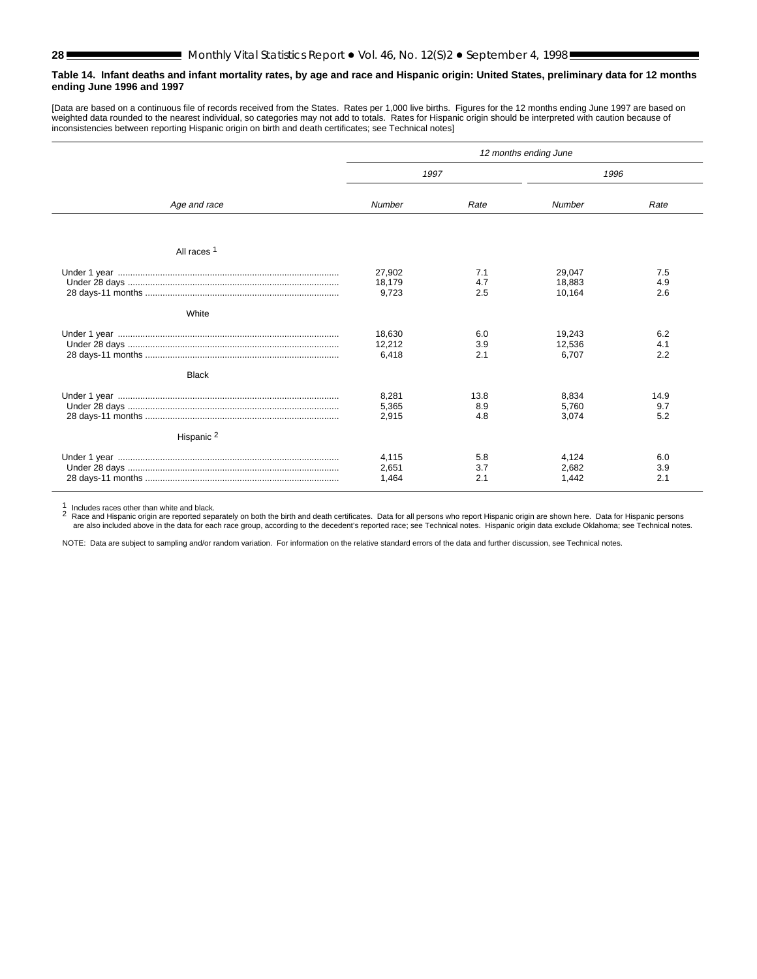#### <span id="page-27-0"></span>**Table 14. Infant deaths and infant mortality rates, by age and race and Hispanic origin: United States, preliminary data for 12 months ending June 1996 and 1997**

[Data are based on a continuous file of records received from the States. Rates per 1,000 live births. Figures for the 12 months ending June 1997 are based on weighted data rounded to the nearest individual, so categories may not add to totals. Rates for Hispanic origin should be interpreted with caution because of inconsistencies between reporting Hispanic origin on birth and death certificates; see Technical notes]

|                       | 12 months ending June     |                    |                            |                    |  |  |
|-----------------------|---------------------------|--------------------|----------------------------|--------------------|--|--|
|                       | 1997                      |                    | 1996                       |                    |  |  |
| Age and race          | Number                    | Rate               | Number                     | Rate               |  |  |
| All races 1           |                           |                    |                            |                    |  |  |
|                       | 27,902<br>18,179<br>9,723 | 7.1<br>4.7<br>2.5  | 29,047<br>18,883<br>10,164 | 7.5<br>4.9<br>2.6  |  |  |
| White                 |                           |                    |                            |                    |  |  |
|                       | 18,630<br>12,212<br>6,418 | 6.0<br>3.9<br>2.1  | 19,243<br>12,536<br>6,707  | 6.2<br>4.1<br>2.2  |  |  |
| <b>Black</b>          |                           |                    |                            |                    |  |  |
|                       | 8,281<br>5,365<br>2,915   | 13.8<br>8.9<br>4.8 | 8.834<br>5,760<br>3,074    | 14.9<br>9.7<br>5.2 |  |  |
| Hispanic <sup>2</sup> |                           |                    |                            |                    |  |  |
|                       | 4,115<br>2,651<br>1,464   | 5.8<br>3.7<br>2.1  | 4,124<br>2,682<br>1,442    | 6.0<br>3.9<br>2.1  |  |  |

1 Includes races other than white and black.<br>2 Race and Hispanic origin are reported separately on both the birth and death certificates. Data for all persons who report Hispanic origin are shown here. Data for Hispanic pe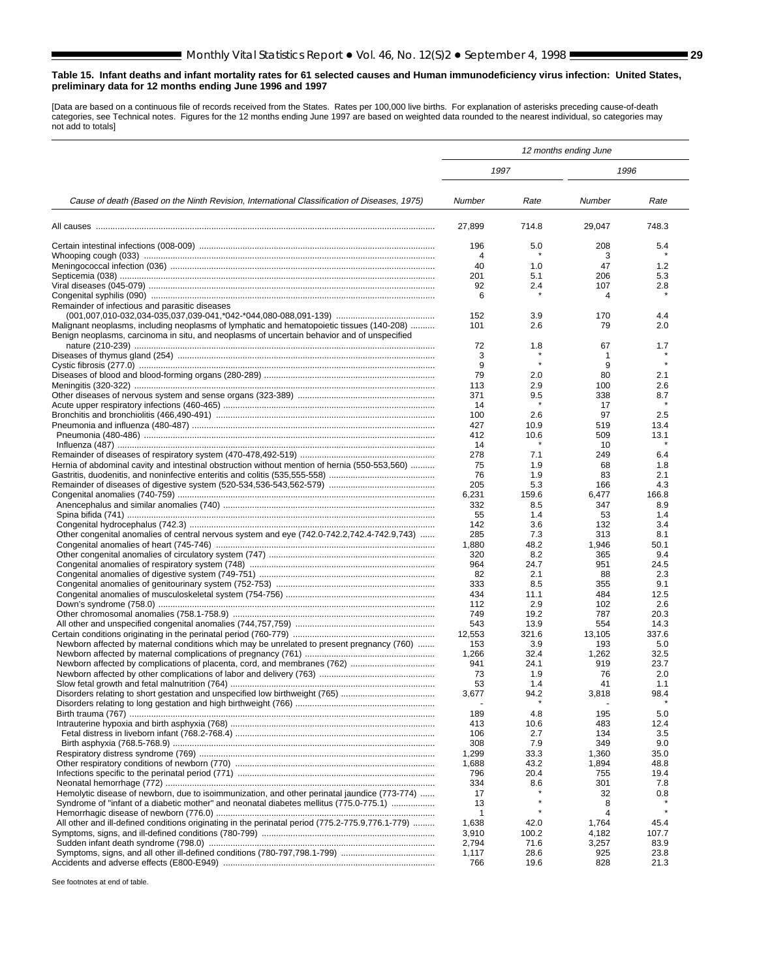#### <span id="page-28-0"></span>**Table 15. Infant deaths and infant mortality rates for 61 selected causes and Human immunodeficiency virus infection: United States, preliminary data for 12 months ending June 1996 and 1997**

[Data are based on a continuous file of records received from the States. Rates per 100,000 live births. For explanation of asterisks preceding cause-of-death categories, see Technical notes. Figures for the 12 months ending June 1997 are based on weighted data rounded to the nearest individual, so categories may not add to totals]

|                                                                                                  |                |              | 12 months ending June |              |
|--------------------------------------------------------------------------------------------------|----------------|--------------|-----------------------|--------------|
|                                                                                                  | 1997           |              | 1996                  |              |
| Cause of death (Based on the Ninth Revision, International Classification of Diseases, 1975)     | Number         | Rate         | Number                | Rate         |
|                                                                                                  | 27,899         | 714.8        | 29,047                | 748.3        |
|                                                                                                  | 196            | 5.0          | 208                   | 5.4          |
|                                                                                                  | 4              |              | 3                     |              |
|                                                                                                  | 40             | 1.0          | 47                    | 1.2          |
|                                                                                                  | 201            | 5.1          | 206                   | 5.3          |
|                                                                                                  | 92<br>6        | 2.4          | 107<br>4              | 2.8          |
| Remainder of infectious and parasitic diseases                                                   |                |              |                       |              |
|                                                                                                  | 152            | 3.9          | 170                   | 4.4          |
| Malignant neoplasms, including neoplasms of lymphatic and hematopoietic tissues (140-208)        | 101            | 2.6          | 79                    | 2.0          |
| Benign neoplasms, carcinoma in situ, and neoplasms of uncertain behavior and of unspecified      |                |              |                       |              |
|                                                                                                  | 72             | 1.8          | 67                    | 1.7          |
|                                                                                                  | 3<br>9         |              | 1<br>9                |              |
|                                                                                                  | 79             | 2.0          | 80                    | 2.1          |
|                                                                                                  | 113            | 2.9          | 100                   | 2.6          |
|                                                                                                  | 371            | 9.5          | 338                   | 8.7          |
|                                                                                                  | 14             |              | 17                    |              |
|                                                                                                  | 100            | 2.6          | 97                    | 2.5          |
|                                                                                                  | 427            | 10.9         | 519                   | 13.4         |
|                                                                                                  | 412            | 10.6         | 509                   | 13.1         |
|                                                                                                  | 14<br>278      | 7.1          | 10<br>249             | 6.4          |
| Hernia of abdominal cavity and intestinal obstruction without mention of hernia (550-553,560)    | 75             | 1.9          | 68                    | 1.8          |
|                                                                                                  | 76             | 1.9          | 83                    | 2.1          |
|                                                                                                  | 205            | 5.3          | 166                   | 4.3          |
|                                                                                                  | 6,231          | 159.6        | 6,477                 | 166.8        |
|                                                                                                  | 332            | 8.5          | 347                   | 8.9          |
|                                                                                                  | 55<br>142      | 1.4<br>3.6   | 53<br>132             | 1.4<br>3.4   |
| Other congenital anomalies of central nervous system and eye (742.0-742.2,742.4-742.9,743)       | 285            | 7.3          | 313                   | 8.1          |
|                                                                                                  | 1,880          | 48.2         | 1,946                 | 50.1         |
|                                                                                                  | 320            | 8.2          | 365                   | 9.4          |
|                                                                                                  | 964            | 24.7         | 951                   | 24.5         |
|                                                                                                  | 82             | 2.1          | 88                    | 2.3          |
|                                                                                                  | 333            | 8.5          | 355                   | 9.1          |
|                                                                                                  | 434<br>112     | 11.1         | 484                   | 12.5         |
|                                                                                                  | 749            | 2.9<br>19.2  | 102<br>787            | 2.6<br>20.3  |
|                                                                                                  | 543            | 13.9         | 554                   | 14.3         |
|                                                                                                  | 12,553         | 321.6        | 13,105                | 337.6        |
| Newborn affected by maternal conditions which may be unrelated to present pregnancy (760)        | 153            | 3.9          | 193                   | 5.0          |
|                                                                                                  | 1,266          | 32.4         | 1,262                 | 32.5         |
|                                                                                                  | 941            | 24.1         | 919                   | 23.7         |
|                                                                                                  | 73<br>53       | 1.9<br>1.4   | 76<br>41              | 2.0<br>1.1   |
|                                                                                                  | 3,677          | 94.2         | 3,818                 | 98.4         |
|                                                                                                  |                |              |                       |              |
|                                                                                                  | 189            | 4.8          | 195                   | 5.0          |
|                                                                                                  | 413            | 10.6         | 483                   | 12.4         |
|                                                                                                  | 106            | 2.7          | 134                   | 3.5          |
|                                                                                                  | 308            | 7.9          | 349                   | 9.0          |
|                                                                                                  | 1,299          | 33.3         | 1,360                 | 35.0         |
|                                                                                                  | 1,688<br>796   | 43.2<br>20.4 | 1,894<br>755          | 48.8<br>19.4 |
|                                                                                                  | 334            | 8.6          | 301                   | 7.8          |
| Hemolytic disease of newborn, due to isoimmunization, and other perinatal jaundice (773-774)     | 17             |              | 32                    | 0.8          |
| Syndrome of "infant of a diabetic mother" and neonatal diabetes mellitus (775.0-775.1)           | 13             |              | 8                     |              |
|                                                                                                  | 1              |              | 4                     | $\star$      |
| All other and ill-defined conditions originating in the perinatal period (775.2-775.9,776.1-779) | 1,638          | 42.0         | 1,764                 | 45.4         |
|                                                                                                  | 3,910          | 100.2        | 4,182                 | 107.7        |
|                                                                                                  | 2,794<br>1,117 | 71.6<br>28.6 | 3,257<br>925          | 83.9<br>23.8 |
|                                                                                                  | 766            | 19.6         | 828                   | 21.3         |
|                                                                                                  |                |              |                       |              |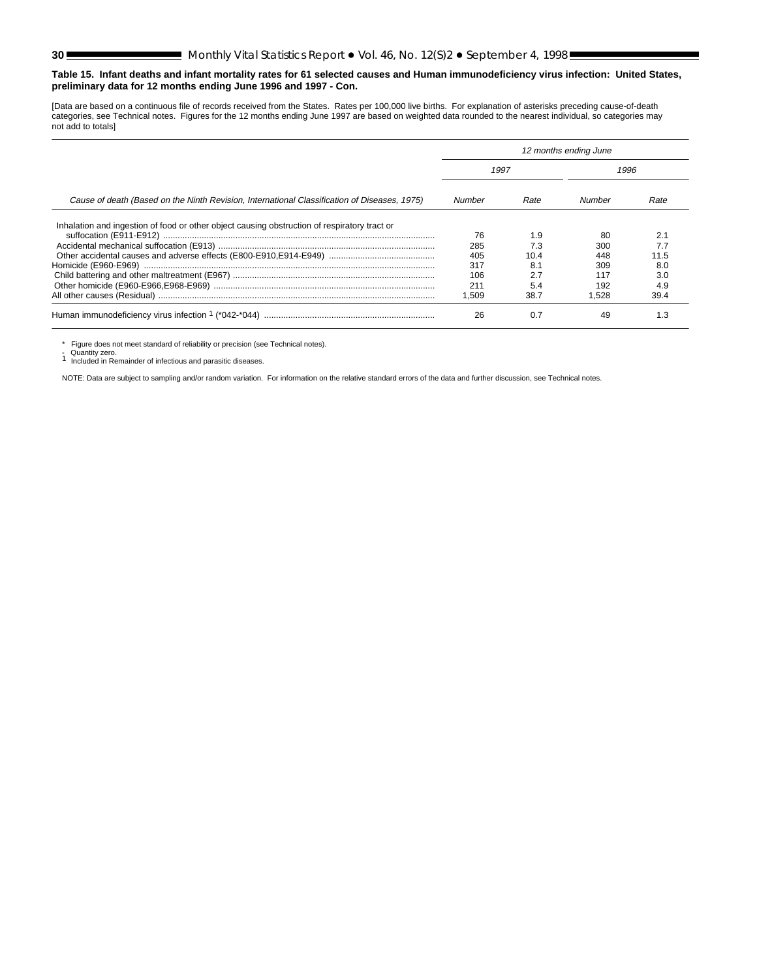#### **Table 15. Infant deaths and infant mortality rates for 61 selected causes and Human immunodeficiency virus infection: United States, preliminary data for 12 months ending June 1996 and 1997 - Con.**

[Data are based on a continuous file of records received from the States. Rates per 100,000 live births. For explanation of asterisks preceding cause-of-death categories, see Technical notes. Figures for the 12 months ending June 1997 are based on weighted data rounded to the nearest individual, so categories may not add to totals]

|                                                                                              |        |      | 12 months ending June |      |
|----------------------------------------------------------------------------------------------|--------|------|-----------------------|------|
|                                                                                              | 1997   |      | 1996                  |      |
| Cause of death (Based on the Ninth Revision, International Classification of Diseases, 1975) | Number | Rate | Number                | Rate |
| Inhalation and ingestion of food or other object causing obstruction of respiratory tract or |        |      |                       |      |
|                                                                                              | 76     | 1.9  | 80                    | 2.1  |
|                                                                                              | 285    | 7.3  | 300                   | 7.7  |
|                                                                                              | 405    | 10 4 | 448                   | 11.5 |
|                                                                                              | 317    |      | 309                   | 8.0  |
|                                                                                              | 106    | 2.7  | 117                   | 3.0  |
|                                                                                              | 211    | 5.4  | 192                   | 4.9  |
|                                                                                              | .509   | 38.7 | 1.528                 | 39.4 |
|                                                                                              | 26     |      | 49                    | 1.3  |

\* Figure does not meet standard of reliability or precision (see Technical notes).

- Quantity zero.<br>1 Included in Remainder of infectious and parasitic diseases.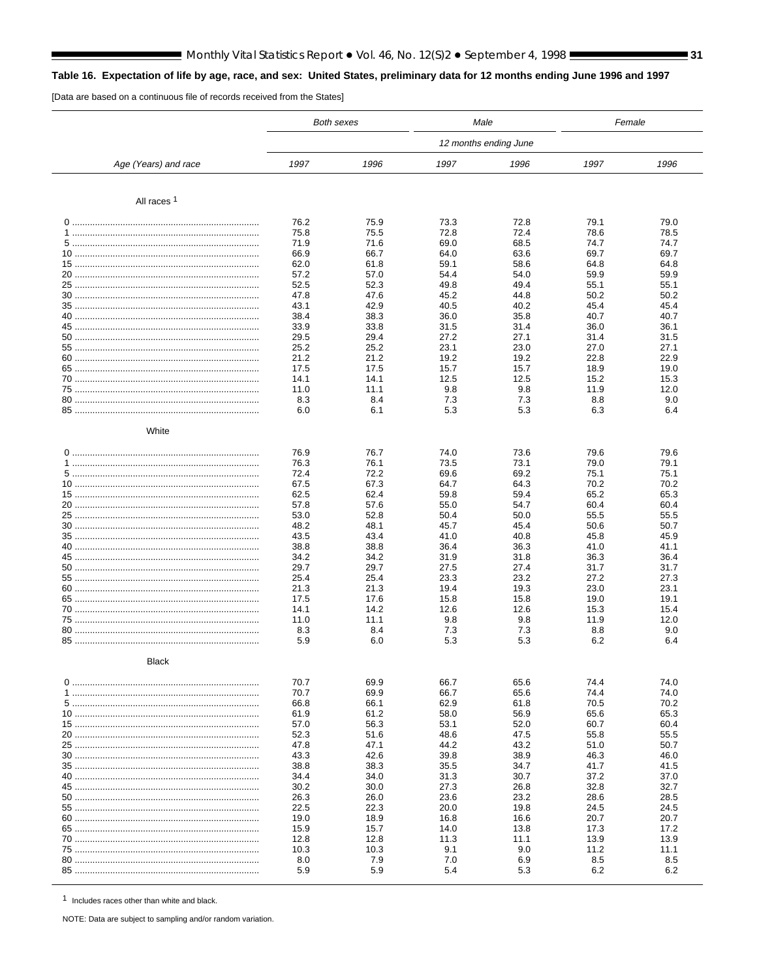## Monthly Vital Statistics Report • Vol. 46, No. 12(S)2 • September 4, 1998 **Constanting 1981**

## <span id="page-30-0"></span>Table 16. Expectation of life by age, race, and sex: United States, preliminary data for 12 months ending June 1996 and 1997

[Data are based on a continuous file of records received from the States]

|                        |              | <b>Both sexes</b> | Male         |                       | Female       |              |
|------------------------|--------------|-------------------|--------------|-----------------------|--------------|--------------|
|                        |              |                   |              | 12 months ending June |              |              |
| Age (Years) and race   | 1997         | 1996              | 1997         | 1996                  | 1997         | 1996         |
|                        |              |                   |              |                       |              |              |
| All races <sup>1</sup> |              |                   |              |                       |              |              |
|                        | 76.2         | 75.9              | 73.3         | 72.8                  | 79.1         | 79.0         |
|                        | 75.8<br>71.9 | 75.5<br>71.6      | 72.8<br>69.0 | 72.4<br>68.5          | 78.6<br>74.7 | 78.5<br>74.7 |
|                        | 66.9         | 66.7              | 64.0         | 63.6                  | 69.7         | 69.7         |
|                        | 62.0         | 61.8              | 59.1         | 58.6                  | 64.8         | 64.8         |
|                        | 57.2         | 57.0              | 54.4         | 54.0                  | 59.9         | 59.9         |
|                        | 52.5         | 52.3              | 49.8         | 49.4                  | 55.1         | 55.1         |
|                        | 47.8<br>43.1 | 47.6<br>42.9      | 45.2<br>40.5 | 44.8<br>40.2          | 50.2<br>45.4 | 50.2<br>45.4 |
|                        | 38.4         | 38.3              | 36.0         | 35.8                  | 40.7         | 40.7         |
|                        | 33.9         | 33.8              | 31.5         | 31.4                  | 36.0         | 36.1         |
|                        | 29.5         | 29.4              | 27.2         | 27.1                  | 31.4         | 31.5         |
|                        | 25.2         | 25.2              | 23.1         | 23.0                  | 27.0         | 27.1         |
|                        | 21.2         | 21.2              | 19.2         | 19.2                  | 22.8         | 22.9         |
|                        | 17.5<br>14.1 | 17.5<br>14.1      | 15.7<br>12.5 | 15.7<br>12.5          | 18.9<br>15.2 | 19.0<br>15.3 |
|                        | 11.0         | 11.1              | 9.8          | 9.8                   | 11.9         | 12.0         |
|                        | 8.3          | 8.4               | 7.3          | 7.3                   | 8.8          | 9.0          |
|                        | 6.0          | 6.1               | 5.3          | 5.3                   | 6.3          | 6.4          |
| White                  |              |                   |              |                       |              |              |
|                        | 76.9         | 76.7              | 74.0         | 73.6                  | 79.6         | 79.6         |
|                        | 76.3         | 76.1              | 73.5         | 73.1                  | 79.0         | 79.1         |
|                        | 72.4         | 72.2              | 69.6         | 69.2                  | 75.1         | 75.1         |
|                        | 67.5         | 67.3              | 64.7         | 64.3                  | 70.2         | 70.2         |
|                        | 62.5         | 62.4              | 59.8         | 59.4                  | 65.2         | 65.3         |
|                        | 57.8<br>53.0 | 57.6<br>52.8      | 55.0<br>50.4 | 54.7<br>50.0          | 60.4<br>55.5 | 60.4<br>55.5 |
|                        | 48.2         | 48.1              | 45.7         | 45.4                  | 50.6         | 50.7         |
|                        | 43.5         | 43.4              | 41.0         | 40.8                  | 45.8         | 45.9         |
|                        | 38.8         | 38.8              | 36.4         | 36.3                  | 41.0         | 41.1         |
|                        | 34.2         | 34.2              | 31.9         | 31.8                  | 36.3         | 36.4         |
|                        | 29.7         | 29.7              | 27.5         | 27.4                  | 31.7         | 31.7         |
|                        | 25.4<br>21.3 | 25.4<br>21.3      | 23.3<br>19.4 | 23.2<br>19.3          | 27.2<br>23.0 | 27.3<br>23.1 |
|                        | 17.5         | 17.6              | 15.8         | 15.8                  | 19.0         | 19.1         |
|                        | 14.1         | 14.2              | 12.6         | 12.6                  | 15.3         | 15.4         |
|                        | 11.0         | 11.1              | 9.8          | 9.8                   | 11.9         | 12.0         |
|                        | 8.3          | 8.4               | 7.3          | 7.3                   | 8.8          | 9.0          |
|                        | 5.9          | 6.0               | 5.3          | 5.3                   | 6.2          | 6.4          |
| <b>Black</b>           |              |                   |              |                       |              |              |
|                        | 70.7         | 69.9              | 66.7         | 65.6                  | 74.4         | 74.0         |
|                        | 70.7         | 69.9              | 66.7         | 65.6                  | 74.4         | 74.0         |
|                        | 66.8         | 66.1              | 62.9         | 61.8<br>56.9          | 70.5         | 70.2         |
|                        | 61.9<br>57.0 | 61.2<br>56.3      | 58.0<br>53.1 | 52.0                  | 65.6<br>60.7 | 65.3<br>60.4 |
|                        | 52.3         | 51.6              | 48.6         | 47.5                  | 55.8         | 55.5         |
|                        | 47.8         | 47.1              | 44.2         | 43.2                  | 51.0         | 50.7         |
|                        | 43.3         | 42.6              | 39.8         | 38.9                  | 46.3         | 46.0         |
|                        | 38.8         | 38.3              | 35.5         | 34.7                  | 41.7         | 41.5         |
|                        | 34.4         | 34.0              | 31.3         | 30.7                  | 37.2         | 37.0         |
|                        | 30.2<br>26.3 | 30.0<br>26.0      | 27.3<br>23.6 | 26.8<br>23.2          | 32.8<br>28.6 | 32.7<br>28.5 |
|                        | 22.5         | 22.3              | 20.0         | 19.8                  | 24.5         | 24.5         |
|                        | 19.0         | 18.9              | 16.8         | 16.6                  | 20.7         | 20.7         |
|                        | 15.9         | 15.7              | 14.0         | 13.8                  | 17.3         | 17.2         |
|                        | 12.8         | 12.8              | 11.3         | 11.1                  | 13.9         | 13.9         |
|                        | 10.3         | 10.3              | 9.1          | 9.0                   | 11.2         | 11.1         |
|                        | 8.0          | 7.9<br>5.9        | 7.0<br>5.4   | 6.9                   | 8.5<br>6.2   | 8.5<br>6.2   |
|                        | 5.9          |                   |              | 5.3                   |              |              |

1 Includes races other than white and black.

NOTE: Data are subject to sampling and/or random variation.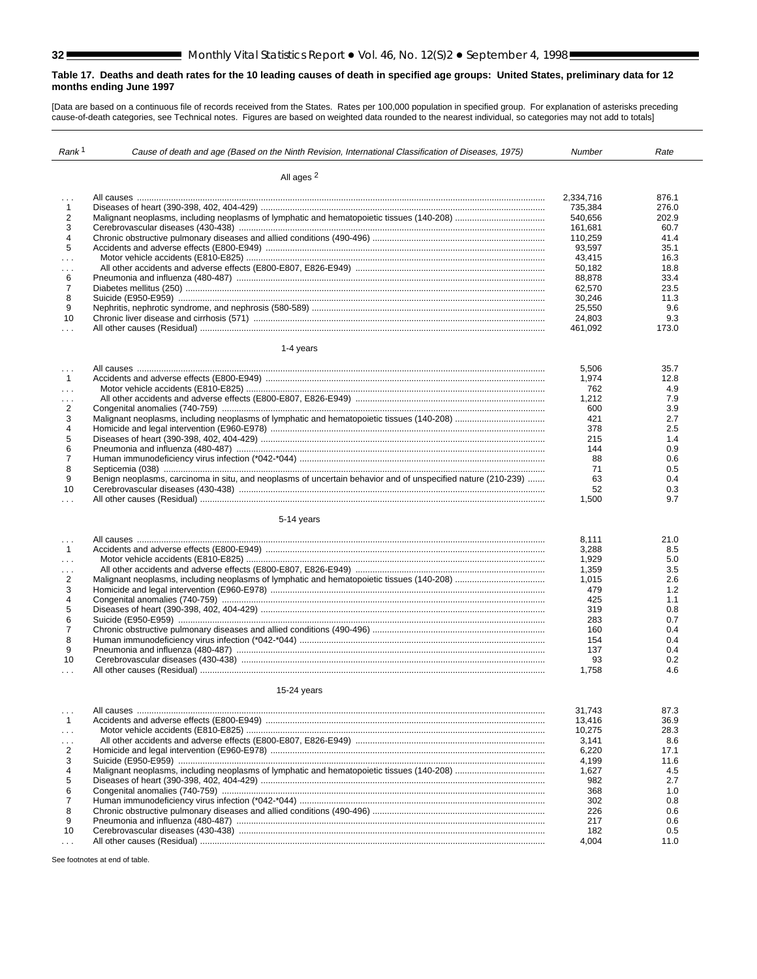#### <span id="page-31-0"></span>**Table 17. Deaths and death rates for the 10 leading causes of death in specified age groups: United States, preliminary data for 12 months ending June 1997**

[Data are based on a continuous file of records received from the States. Rates per 100,000 population in specified group. For explanation of asterisks preceding cause-of-death categories, see Technical notes. Figures are based on weighted data rounded to the nearest individual, so categories may not add to totals]

| Rank <sup>1</sup> | Cause of death and age (Based on the Ninth Revision, International Classification of Diseases, 1975)         | Number    | Rate  |
|-------------------|--------------------------------------------------------------------------------------------------------------|-----------|-------|
|                   | All ages <sup>2</sup>                                                                                        |           |       |
|                   |                                                                                                              |           |       |
|                   |                                                                                                              | 2,334,716 | 876.1 |
| $\mathbf{1}$<br>2 |                                                                                                              | 735,384   | 276.0 |
|                   |                                                                                                              | 540,656   | 202.9 |
| 3                 |                                                                                                              | 161,681   | 60.7  |
| 4                 |                                                                                                              | 110,259   | 41.4  |
| 5                 |                                                                                                              | 93,597    | 35.1  |
| i i s             |                                                                                                              | 43,415    | 16.3  |
| $\ldots$          |                                                                                                              | 50,182    | 18.8  |
| 6                 |                                                                                                              | 88,878    | 33.4  |
| $\overline{7}$    |                                                                                                              | 62,570    | 23.5  |
| 8                 |                                                                                                              | 30,246    | 11.3  |
| 9                 |                                                                                                              | 25,550    | 9.6   |
| 10                |                                                                                                              | 24,803    | 9.3   |
| $\cdots$          |                                                                                                              | 461,092   | 173.0 |
|                   | 1-4 years                                                                                                    |           |       |
| $\cdots$          |                                                                                                              | 5,506     | 35.7  |
| $\mathbf{1}$      |                                                                                                              | 1,974     | 12.8  |
| $\sim 10$         |                                                                                                              | 762       | 4.9   |
| $\sim 10$         |                                                                                                              | 1,212     | 7.9   |
| $\overline{2}$    |                                                                                                              | 600       | 3.9   |
| 3                 |                                                                                                              | 421       | 2.7   |
| 4                 |                                                                                                              | 378       | 2.5   |
| 5                 |                                                                                                              | 215       | 1.4   |
| 6                 |                                                                                                              | 144       | 0.9   |
| $\overline{7}$    |                                                                                                              | 88        | 0.6   |
| 8                 |                                                                                                              | 71        | 0.5   |
| 9                 | Benign neoplasms, carcinoma in situ, and neoplasms of uncertain behavior and of unspecified nature (210-239) | 63        | 0.4   |
| 10                |                                                                                                              | 52        | 0.3   |
| $\cdots$          |                                                                                                              | 1,500     | 9.7   |
|                   | 5-14 years                                                                                                   |           |       |
| $\cdots$          |                                                                                                              | 8,111     | 21.0  |
| $\mathbf{1}$      |                                                                                                              | 3,288     | 8.5   |
| $\sim$            |                                                                                                              | 1,929     | 5.0   |
| $\cdots$          |                                                                                                              | 1,359     | 3.5   |
| $\overline{2}$    |                                                                                                              | 1,015     | 2.6   |
| 3                 |                                                                                                              | 479       | 1.2   |
| 4                 |                                                                                                              | 425       | 1.1   |
| 5                 |                                                                                                              | 319       | 0.8   |
| 6                 |                                                                                                              | 283       | 0.7   |
| $\overline{7}$    |                                                                                                              | 160       | 0.4   |
| 8                 |                                                                                                              | 154       | 0.4   |
| 9                 |                                                                                                              | 137       | 0.4   |
| 10                |                                                                                                              | 93        | 0.2   |
| $\ldots$          |                                                                                                              | 1,758     | 4.6   |
|                   | 15-24 years                                                                                                  |           |       |
|                   |                                                                                                              |           |       |
| $\cdots$          |                                                                                                              | 31,743    | 87.3  |
| $\mathbf{1}$      |                                                                                                              | 13,416    | 36.9  |
| $\sim$            |                                                                                                              | 10,275    | 28.3  |
| .                 |                                                                                                              | 3,141     | 8.6   |
| 2                 |                                                                                                              | 6,220     | 17.1  |
| 3                 |                                                                                                              | 4,199     | 11.6  |
| 4                 |                                                                                                              | 1,627     | 4.5   |
| 5                 |                                                                                                              | 982       | 2.7   |
| 6                 |                                                                                                              | 368       | 1.0   |
| $\overline{7}$    |                                                                                                              | 302       | 0.8   |
| 8                 |                                                                                                              | 226       | 0.6   |
| 9                 |                                                                                                              | 217       | 0.6   |
| 10                |                                                                                                              | 182       | 0.5   |
| $\sim 100$        |                                                                                                              | 4,004     | 11.0  |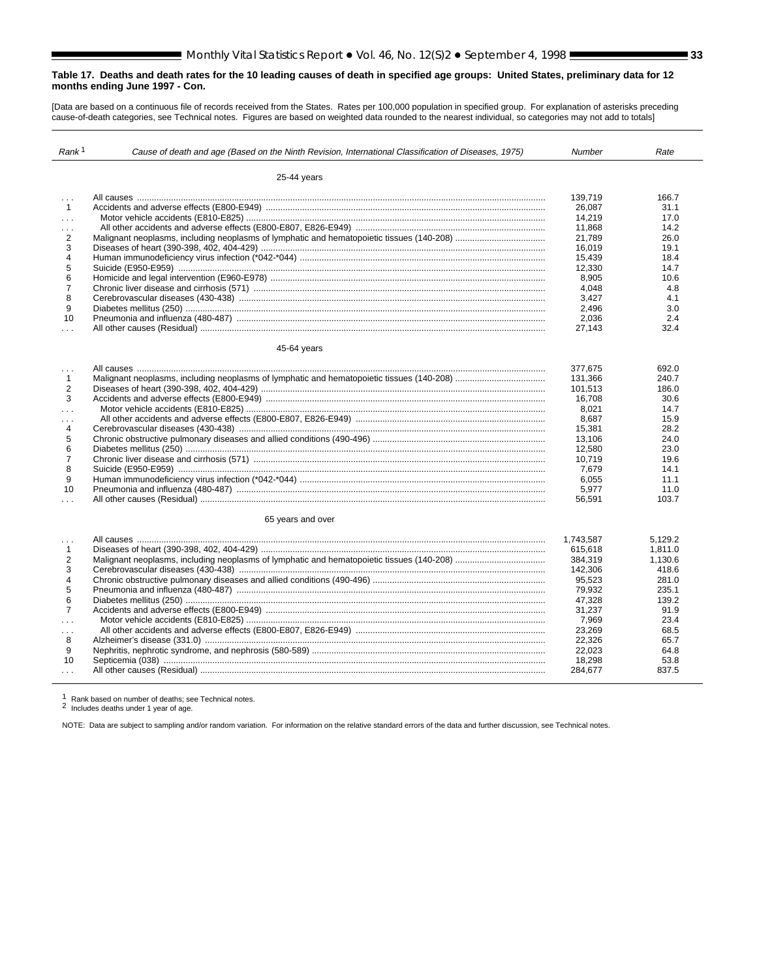#### **Table 17. Deaths and death rates for the 10 leading causes of death in specified age groups: United States, preliminary data for 12 months ending June 1997 - Con.**

[Data are based on a continuous file of records received from the States. Rates per 100,000 population in specified group. For explanation of asterisks preceding cause-of-death categories, see Technical notes. Figures are based on weighted data rounded to the nearest individual, so categories may not add to totals]

| Rank <sup>1</sup> | Cause of death and age (Based on the Ninth Revision, International Classification of Diseases, 1975) | <b>Number</b> | Rate    |
|-------------------|------------------------------------------------------------------------------------------------------|---------------|---------|
|                   | 25-44 years                                                                                          |               |         |
| $\sim 10$         |                                                                                                      | 139.719       | 166.7   |
| $\overline{1}$    |                                                                                                      | 26.087        | 31.1    |
| $\sim$ $\sim$     |                                                                                                      | 14,219        | 17.0    |
| $\cdots$          |                                                                                                      | 11.868        | 14.2    |
| 2                 |                                                                                                      | 21,789        | 26.0    |
| 3                 |                                                                                                      | 16.019        | 19.1    |
| $\overline{4}$    |                                                                                                      | 15,439        | 18.4    |
| 5                 |                                                                                                      | 12.330        | 14.7    |
| 6                 |                                                                                                      | 8,905         | 10.6    |
| $\overline{7}$    |                                                                                                      | 4.048         | 4.8     |
| 8                 |                                                                                                      | 3,427         | 4.1     |
| 9                 |                                                                                                      | 2,496         | 3.0     |
| 10                |                                                                                                      | 2,036         | 2.4     |
| $\cdots$          |                                                                                                      | 27,143        | 32.4    |
|                   |                                                                                                      |               |         |
|                   | 45-64 years                                                                                          |               |         |
| $\sim$ $\sim$     |                                                                                                      | 377,675       | 692.0   |
| $\mathbf{1}$      |                                                                                                      | 131,366       | 240.7   |
| 2                 |                                                                                                      | 101,513       | 186.0   |
| 3                 |                                                                                                      | 16.708        | 30.6    |
| $\cdots$          |                                                                                                      | 8.021         | 14.7    |
| .                 |                                                                                                      | 8,687         | 15.9    |
| $\overline{4}$    |                                                                                                      | 15.381        | 28.2    |
| 5                 |                                                                                                      | 13,106        | 24.0    |
| 6                 |                                                                                                      | 12.580        | 23.0    |
| $\overline{7}$    |                                                                                                      | 10,719        | 19.6    |
| 8                 |                                                                                                      | 7.679         | 14.1    |
| 9                 |                                                                                                      | 6.055         | 11.1    |
|                   |                                                                                                      |               | 11.0    |
| 10                |                                                                                                      | 5,977         |         |
| $\mathbf{r}$      |                                                                                                      | 56,591        | 103.7   |
|                   | 65 years and over                                                                                    |               |         |
| $\sim$ $\sim$     |                                                                                                      | 1.743.587     | 5.129.2 |
| $\mathbf{1}$      |                                                                                                      | 615,618       | 1,811.0 |
| $\mathbf{2}$      |                                                                                                      | 384.319       | 1.130.6 |
| 3                 |                                                                                                      | 142,306       | 418.6   |
| $\overline{4}$    |                                                                                                      | 95.523        | 281.0   |
| 5                 |                                                                                                      | 79,932        | 235.1   |
| 6                 |                                                                                                      |               | 139.2   |
| $\overline{7}$    |                                                                                                      | 47,328        | 91.9    |
|                   |                                                                                                      | 31,237        | 23.4    |
| $\cdots$          |                                                                                                      | 7,969         |         |
| $\cdots$          |                                                                                                      | 23,269        | 68.5    |
| 8                 |                                                                                                      | 22,326        | 65.7    |
| 9                 |                                                                                                      | 22.023        | 64.8    |
| 10                |                                                                                                      | 18,298        | 53.8    |
| $\sim$ $\sim$     |                                                                                                      | 284,677       | 837.5   |

1 Rank based on number of deaths; see Technical notes.<br>2 Includes deaths under 1 year of age.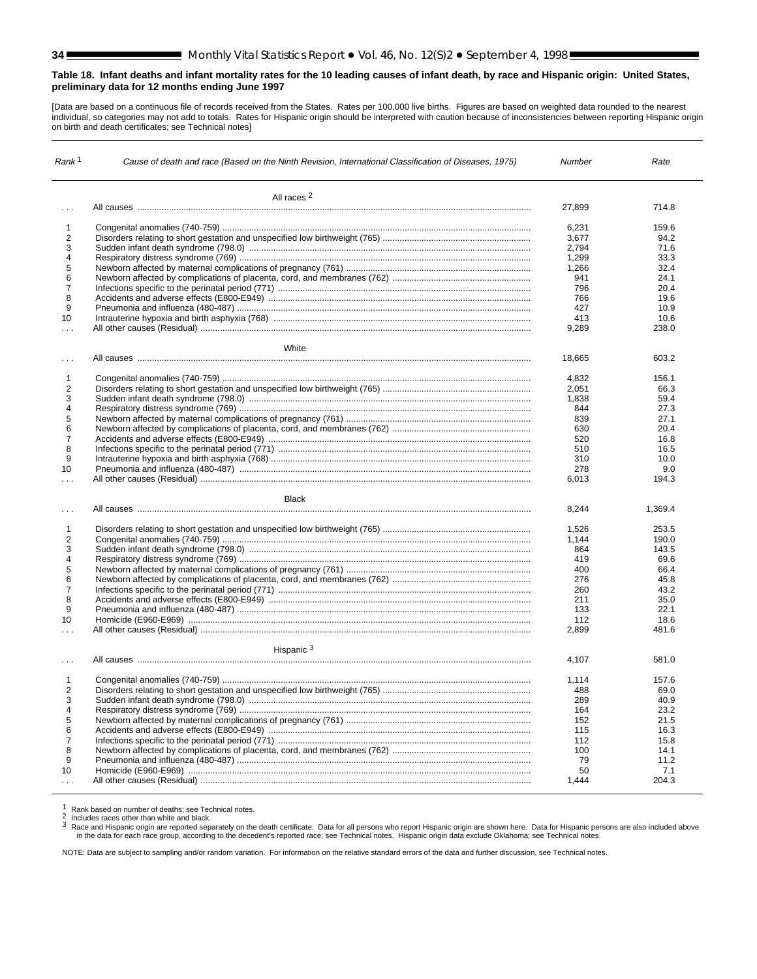#### <span id="page-33-0"></span>**Table 18. Infant deaths and infant mortality rates for the 10 leading causes of infant death, by race and Hispanic origin: United States, preliminary data for 12 months ending June 1997**

[Data are based on a continuous file of records received from the States. Rates per 100,000 live births. Figures are based on weighted data rounded to the nearest individual, so categories may not add to totals. Rates for Hispanic origin should be interpreted with caution because of inconsistencies between reporting Hispanic origin on birth and death certificates; see Technical notes]

| Rank <sup>1</sup>              | Cause of death and race (Based on the Ninth Revision, International Classification of Diseases, 1975) | Number         | Rate          |
|--------------------------------|-------------------------------------------------------------------------------------------------------|----------------|---------------|
|                                | All races <sup>2</sup>                                                                                |                |               |
| $\sim$ $\sim$ $\sim$           |                                                                                                       | 27,899         | 714.8         |
|                                |                                                                                                       |                |               |
| $\mathbf{1}$<br>$\overline{2}$ |                                                                                                       | 6,231<br>3.677 | 159.6<br>94.2 |
| 3                              |                                                                                                       |                | 71.6          |
|                                |                                                                                                       | 2,794          |               |
| $\overline{\mathbf{4}}$        |                                                                                                       | 1,299          | 33.3          |
| 5                              |                                                                                                       | 1,266          | 32.4          |
| 6                              |                                                                                                       | 941            | 24.1          |
| $\overline{7}$                 |                                                                                                       | 796            | 20.4          |
| 8                              |                                                                                                       | 766            | 19.6          |
| 9                              |                                                                                                       | 427            | 10.9          |
| 10                             |                                                                                                       | 413            | 10.6          |
| $\cdots$                       |                                                                                                       | 9,289          | 238.0         |
|                                | White                                                                                                 |                |               |
| $\ldots$                       |                                                                                                       | 18,665         | 603.2         |
| 1                              |                                                                                                       | 4.832          | 156.1         |
| $\overline{2}$                 |                                                                                                       | 2,051          | 66.3          |
| 3                              |                                                                                                       | 1,838          |               |
| 4                              |                                                                                                       |                | 59.4          |
|                                |                                                                                                       | 844            | 27.3          |
| 5                              |                                                                                                       | 839            | 27.1          |
| 6                              |                                                                                                       | 630            | 20.4          |
| $\overline{\mathcal{I}}$       |                                                                                                       | 520            | 16.8          |
| 8                              |                                                                                                       | 510            | 16.5          |
| 9                              |                                                                                                       | 310            | 10.0          |
| 10                             |                                                                                                       | 278            | 9.0           |
| $\sim$ $\sim$ $\sim$           |                                                                                                       | 6.013          | 194.3         |
|                                | <b>Black</b>                                                                                          |                |               |
| $\cdots$                       |                                                                                                       | 8,244          | 1,369.4       |
| $\mathbf{1}$                   |                                                                                                       | 1,526          | 253.5         |
| $\overline{2}$                 |                                                                                                       | 1.144          | 190.0         |
| 3                              |                                                                                                       | 864            | 143.5         |
| 4                              |                                                                                                       | 419            | 69.6          |
| 5                              |                                                                                                       | 400            | 66.4          |
| 6                              |                                                                                                       | 276            | 45.8          |
| $\overline{7}$                 |                                                                                                       | 260            | 43.2          |
| 8                              |                                                                                                       | 211            | 35.0          |
| 9                              |                                                                                                       | 133            | 22.1          |
| 10                             |                                                                                                       | 112            | 18.6          |
| $\ldots$                       |                                                                                                       | 2,899          | 481.6         |
|                                | Hispanic <sup>3</sup>                                                                                 |                |               |
|                                |                                                                                                       | 4,107          | 581.0         |
| $\mathbf{1}$                   |                                                                                                       | 1,114          | 157.6         |
| $\overline{2}$                 |                                                                                                       | 488            | 69.0          |
| 3                              |                                                                                                       | 289            | 40.9          |
| 4                              |                                                                                                       | 164            | 23.2          |
| 5                              |                                                                                                       | 152            | 21.5          |
| 6                              |                                                                                                       | 115            | 16.3          |
| $\overline{7}$                 |                                                                                                       | 112            | 15.8          |
|                                |                                                                                                       |                |               |
| 8                              |                                                                                                       | 100            | 14.1          |
| 9                              |                                                                                                       | 79             | 11.2          |
| 10                             |                                                                                                       | 50             | 7.1           |
|                                |                                                                                                       | 1,444          | 204.3         |

1 Rank based on number of deaths; see Technical notes.<br>2 Includes races other than white and black.<br>3 Race and Hispanic origin are reported separately on the death certificate. Data for all persons who report Hispanic orig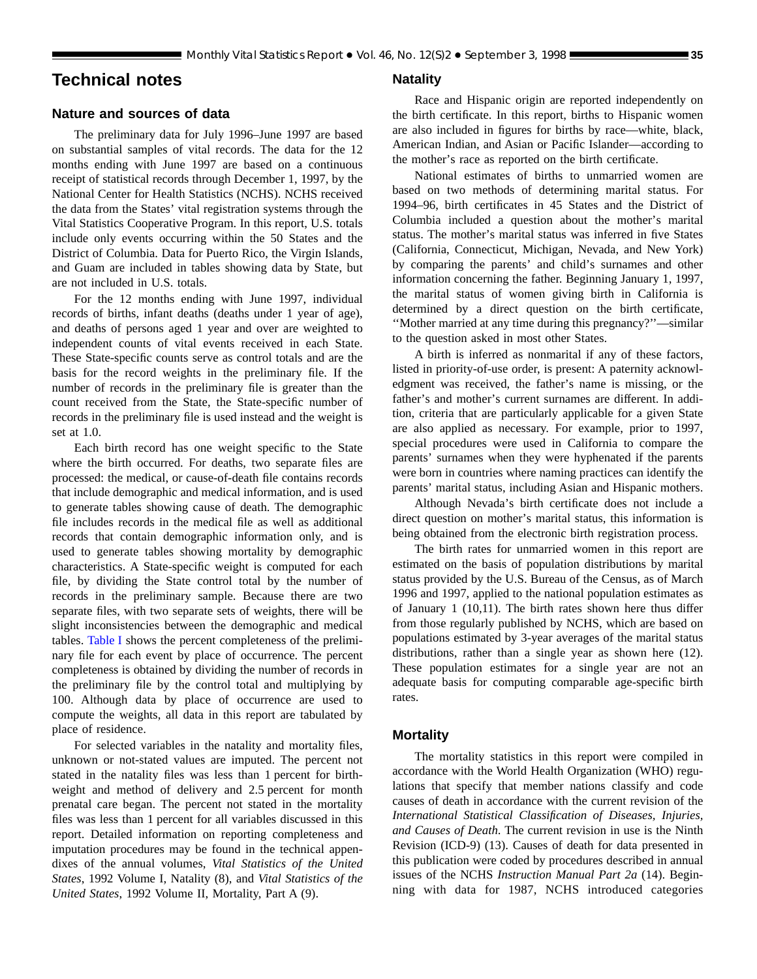## <span id="page-34-0"></span>**Technical notes**

#### **Nature and sources of data**

The preliminary data for July 1996–June 1997 are based on substantial samples of vital records. The data for the 12 months ending with June 1997 are based on a continuous receipt of statistical records through December 1, 1997, by the National Center for Health Statistics (NCHS). NCHS received the data from the States' vital registration systems through the Vital Statistics Cooperative Program. In this report, U.S. totals include only events occurring within the 50 States and the District of Columbia. Data for Puerto Rico, the Virgin Islands, and Guam are included in tables showing data by State, but are not included in U.S. totals.

For the 12 months ending with June 1997, individual records of births, infant deaths (deaths under 1 year of age), and deaths of persons aged 1 year and over are weighted to independent counts of vital events received in each State. These State-specific counts serve as control totals and are the basis for the record weights in the preliminary file. If the number of records in the preliminary file is greater than the count received from the State, the State-specific number of records in the preliminary file is used instead and the weight is set at 1.0.

Each birth record has one weight specific to the State where the birth occurred. For deaths, two separate files are processed: the medical, or cause-of-death file contains records that include demographic and medical information, and is used to generate tables showing cause of death. The demographic file includes records in the medical file as well as additional records that contain demographic information only, and is used to generate tables showing mortality by demographic characteristics. A State-specific weight is computed for each file, by dividing the State control total by the number of records in the preliminary sample. Because there are two separate files, with two separate sets of weights, there will be slight inconsistencies between the demographic and medical tables. [Table I](#page-35-0) shows the percent completeness of the preliminary file for each event by place of occurrence. The percent completeness is obtained by dividing the number of records in the preliminary file by the control total and multiplying by 100. Although data by place of occurrence are used to compute the weights, all data in this report are tabulated by place of residence.

For selected variables in the natality and mortality files, unknown or not-stated values are imputed. The percent not stated in the natality files was less than 1 percent for birthweight and method of delivery and 2.5 percent for month prenatal care began. The percent not stated in the mortality files was less than 1 percent for all variables discussed in this report. Detailed information on reporting completeness and imputation procedures may be found in the technical appendixes of the annual volumes, *Vital Statistics of the United States*, 1992 Volume I, Natality (8), and *Vital Statistics of the United States*, 1992 Volume II, Mortality, Part A (9).

#### **Natality**

Race and Hispanic origin are reported independently on the birth certificate. In this report, births to Hispanic women are also included in figures for births by race—white, black, American Indian, and Asian or Pacific Islander—according to the mother's race as reported on the birth certificate.

National estimates of births to unmarried women are based on two methods of determining marital status. For 1994–96, birth certificates in 45 States and the District of Columbia included a question about the mother's marital status. The mother's marital status was inferred in five States (California, Connecticut, Michigan, Nevada, and New York) by comparing the parents' and child's surnames and other information concerning the father. Beginning January 1, 1997, the marital status of women giving birth in California is determined by a direct question on the birth certificate, ''Mother married at any time during this pregnancy?''—similar to the question asked in most other States.

A birth is inferred as nonmarital if any of these factors, listed in priority-of-use order, is present: A paternity acknowledgment was received, the father's name is missing, or the father's and mother's current surnames are different. In addition, criteria that are particularly applicable for a given State are also applied as necessary. For example, prior to 1997, special procedures were used in California to compare the parents' surnames when they were hyphenated if the parents were born in countries where naming practices can identify the parents' marital status, including Asian and Hispanic mothers.

Although Nevada's birth certificate does not include a direct question on mother's marital status, this information is being obtained from the electronic birth registration process.

The birth rates for unmarried women in this report are estimated on the basis of population distributions by marital status provided by the U.S. Bureau of the Census, as of March 1996 and 1997, applied to the national population estimates as of January 1 (10,11). The birth rates shown here thus differ from those regularly published by NCHS, which are based on populations estimated by 3-year averages of the marital status distributions, rather than a single year as shown here (12). These population estimates for a single year are not an adequate basis for computing comparable age-specific birth rates.

## **Mortality**

The mortality statistics in this report were compiled in accordance with the World Health Organization (WHO) regulations that specify that member nations classify and code causes of death in accordance with the current revision of the *International Statistical Classification of Diseases, Injuries, and Causes of Death*. The current revision in use is the Ninth Revision (ICD-9) (13). Causes of death for data presented in this publication were coded by procedures described in annual issues of the NCHS *Instruction Manual Part 2a* (14). Beginning with data for 1987, NCHS introduced categories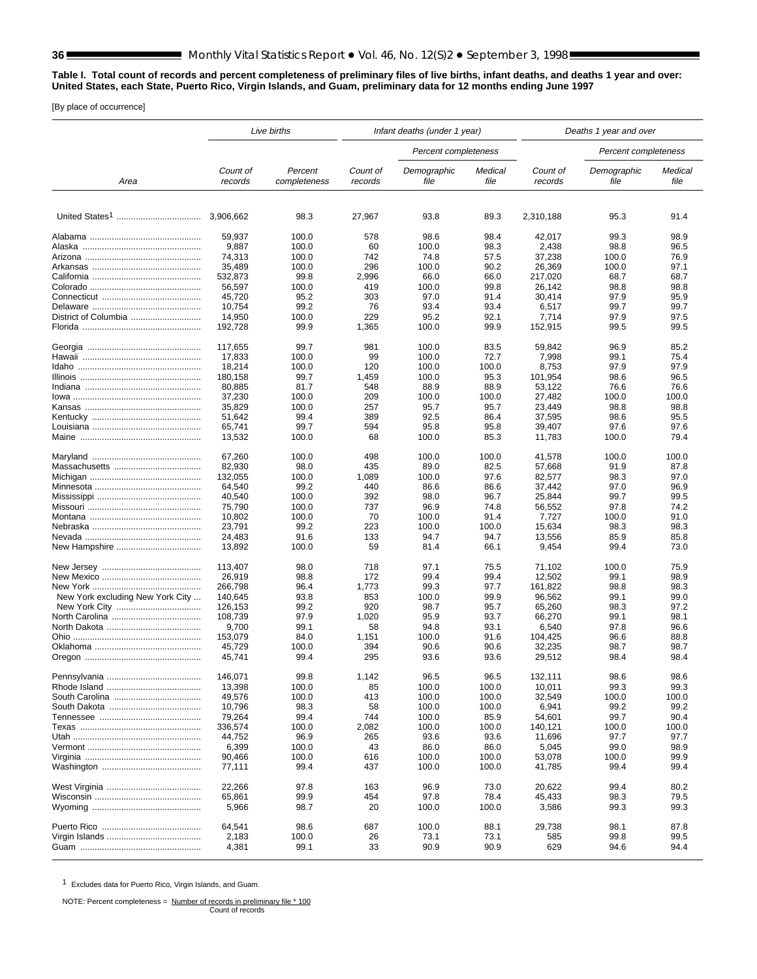#### <span id="page-35-0"></span>**Table I. Total count of records and percent completeness of preliminary files of live births, infant deaths, and deaths 1 year and over: United States, each State, Puerto Rico, Virgin Islands, and Guam, preliminary data for 12 months ending June 1997**

[By place of occurrence]

|                                  |                     | Live births             | Infant deaths (under 1 year) |                      | Deaths 1 year and over |                     |                      |                 |
|----------------------------------|---------------------|-------------------------|------------------------------|----------------------|------------------------|---------------------|----------------------|-----------------|
|                                  |                     |                         |                              | Percent completeness |                        |                     | Percent completeness |                 |
| Area                             | Count of<br>records | Percent<br>completeness | Count of<br>records          | Demographic<br>file  | Medical<br>file        | Count of<br>records | Demographic<br>file  | Medical<br>file |
|                                  |                     |                         |                              |                      |                        |                     |                      |                 |
|                                  |                     | 98.3                    | 27,967                       | 93.8                 | 89.3                   | 2,310,188           | 95.3                 | 91.4            |
|                                  | 59,937              | 100.0                   | 578                          | 98.6                 | 98.4                   | 42,017              | 99.3                 | 98.9            |
|                                  | 9,887               | 100.0                   | 60                           | 100.0                | 98.3                   | 2,438               | 98.8                 | 96.5            |
|                                  | 74,313              | 100.0                   | 742                          | 74.8                 | 57.5                   | 37,238              | 100.0                | 76.9            |
|                                  | 35,489              | 100.0                   | 296                          | 100.0                | 90.2                   | 26,369              | 100.0                | 97.1            |
|                                  | 532,873             | 99.8                    | 2,996                        | 66.0                 | 66.0                   | 217,020             | 68.7                 | 68.7            |
|                                  | 56,597              | 100.0                   | 419                          | 100.0                | 99.8                   | 26.142              | 98.8                 | 98.8            |
|                                  | 45,720              | 95.2                    | 303                          | 97.0                 | 91.4                   | 30,414              | 97.9                 | 95.9            |
|                                  | 10,754              | 99.2                    | 76                           | 93.4                 | 93.4                   | 6,517               | 99.7                 | 99.7            |
| District of Columbia             | 14,950              | 100.0                   | 229                          | 95.2                 | 92.1                   | 7,714               | 97.9                 | 97.5            |
|                                  | 192,728             | 99.9                    | 1,365                        | 100.0                | 99.9                   | 152,915             | 99.5                 | 99.5            |
|                                  |                     |                         |                              |                      |                        |                     |                      |                 |
|                                  | 117,655             | 99.7                    | 981                          | 100.0                | 83.5                   | 59,842              | 96.9                 | 85.2            |
|                                  | 17,833              | 100.0                   | 99                           | 100.0                | 72.7                   | 7,998               | 99.1                 | 75.4            |
|                                  | 18,214              | 100.0                   | 120                          | 100.0                | 100.0                  | 8,753               | 97.9                 | 97.9            |
|                                  | 180,158             | 99.7                    | 1,459                        | 100.0                | 95.3                   | 101,954             | 98.6                 | 96.5            |
|                                  | 80,885              | 81.7                    | 548                          | 88.9                 | 88.9                   | 53,122              | 76.6                 | 76.6            |
|                                  | 37,230              | 100.0                   | 209                          | 100.0                | 100.0                  | 27,482              | 100.0                | 100.0           |
|                                  | 35,829              | 100.0                   | 257                          | 95.7                 | 95.7                   | 23,449              | 98.8                 | 98.8            |
|                                  | 51,642              | 99.4                    | 389                          | 92.5                 | 86.4                   | 37,595              | 98.6                 | 95.5            |
|                                  | 65,741              | 99.7                    | 594                          | 95.8                 | 95.8                   | 39,407              | 97.6                 | 97.6            |
|                                  | 13,532              | 100.0                   | 68                           | 100.0                | 85.3                   | 11.783              | 100.0                | 79.4            |
|                                  | 67,260              | 100.0                   | 498                          | 100.0                | 100.0                  | 41,578              | 100.0                | 100.0           |
|                                  | 82,930              | 98.0                    | 435                          | 89.0                 | 82.5                   | 57,668              | 91.9                 | 87.8            |
|                                  |                     |                         |                              |                      |                        |                     |                      |                 |
|                                  | 132,055             | 100.0                   | 1,089                        | 100.0                | 97.6                   | 82,577              | 98.3                 | 97.0            |
|                                  | 64,540              | 99.2                    | 440                          | 86.6                 | 86.6                   | 37,442              | 97.0                 | 96.9            |
|                                  | 40,540              | 100.0                   | 392                          | 98.0                 | 96.7                   | 25,844              | 99.7                 | 99.5            |
|                                  | 75,790              | 100.0                   | 737                          | 96.9                 | 74.8                   | 56,552              | 97.8                 | 74.2            |
|                                  | 10,802              | 100.0                   | 70                           | 100.0                | 91.4                   | 7,727               | 100.0                | 91.0            |
|                                  | 23,791              | 99.2                    | 223                          | 100.0                | 100.0                  | 15,634              | 98.3                 | 98.3            |
|                                  | 24,483              | 91.6                    | 133                          | 94.7                 | 94.7                   | 13,556              | 85.9                 | 85.8            |
|                                  | 13,892              | 100.0                   | 59                           | 81.4                 | 66.1                   | 9,454               | 99.4                 | 73.0            |
|                                  | 113,407             | 98.0                    | 718                          | 97.1                 | 75.5                   | 71,102              | 100.0                | 75.9            |
|                                  | 26,919              | 98.8                    | 172                          | 99.4                 | 99.4                   | 12,502              | 99.1                 | 98.9            |
|                                  | 266,798             | 96.4                    | 1,773                        | 99.3                 | 97.7                   | 161,822             | 98.8                 | 98.3            |
| New York excluding New York City | 140,645             | 93.8                    | 853                          | 100.0                | 99.9                   | 96,562              | 99.1                 | 99.0            |
|                                  | 126,153             | 99.2                    | 920                          | 98.7                 | 95.7                   | 65,260              | 98.3                 | 97.2            |
|                                  | 108,739             | 97.9                    | 1,020                        | 95.9                 | 93.7                   | 66,270              | 99.1                 | 98.1            |
|                                  | 9,700               | 99.1                    | 58                           | 94.8                 | 93.1                   | 6,540               | 97.8                 | 96.6            |
|                                  | 153,079             | 84.0                    | 1,151                        | 100.0                | 91.6                   | 104.425             | 96.6                 | 88.8            |
|                                  | 45,729              | 100.0                   | 394                          | 90.6                 | 90.6                   | 32,235              | 98.7                 | 98.7            |
|                                  | 45.741              | 99.4                    | 295                          | 93.6                 | 93.6                   | 29,512              | 98.4                 | 98.4            |
|                                  | 146,071             | 99.8                    | 1,142                        | 96.5                 | 96.5                   | 132,111             | 98.6                 | 98.6            |
|                                  |                     | 100.0                   |                              | 100.0                |                        |                     | 99.3                 | 99.3            |
|                                  | 13,398<br>49,576    | 100.0                   | 85<br>413                    | 100.0                | 100.0<br>100.0         | 10,011<br>32,549    | 100.0                | 100.0           |
|                                  |                     |                         |                              |                      |                        |                     |                      |                 |
|                                  | 10,796              | 98.3                    | 58                           | 100.0                | 100.0                  | 6,941               | 99.2                 | 99.2            |
|                                  | 79,264              | 99.4                    | 744                          | 100.0                | 85.9                   | 54,601              | 99.7                 | 90.4            |
|                                  | 336,574             | 100.0                   | 2,082                        | 100.0                | 100.0                  | 140,121             | 100.0                | 100.0           |
|                                  | 44,752              | 96.9                    | 265                          | 93.6                 | 93.6                   | 11,696              | 97.7                 | 97.7            |
|                                  | 6,399               | 100.0                   | 43                           | 86.0                 | 86.0                   | 5,045               | 99.0                 | 98.9            |
|                                  | 90,466<br>77,111    | 100.0<br>99.4           | 616<br>437                   | 100.0<br>100.0       | 100.0<br>100.0         | 53,078<br>41,785    | 100.0<br>99.4        | 99.9<br>99.4    |
|                                  |                     |                         |                              |                      |                        |                     |                      |                 |
|                                  | 22,266              | 97.8                    | 163                          | 96.9                 | 73.0                   | 20,622              | 99.4                 | 80.2            |
|                                  | 65,861              | 99.9                    | 454                          | 97.8                 | 78.4                   | 45,433              | 98.3                 | 79.5            |
|                                  | 5,966               | 98.7                    | 20                           | 100.0                | 100.0                  | 3,586               | 99.3                 | 99.3            |
|                                  | 64,541              | 98.6                    | 687                          | 100.0                | 88.1                   | 29,738              | 98.1                 | 87.8            |
|                                  | 2,183               | 100.0                   | 26                           | 73.1                 | 73.1                   | 585                 | 99.8                 | 99.5            |
|                                  | 4,381               | 99.1                    | 33                           | 90.9                 | 90.9                   | 629                 | 94.6                 | 94.4            |

1 Excludes data for Puerto Rico, Virgin Islands, and Guam.

NOTE: Percent completeness = Number of records in preliminary file \* 100<br>Count of records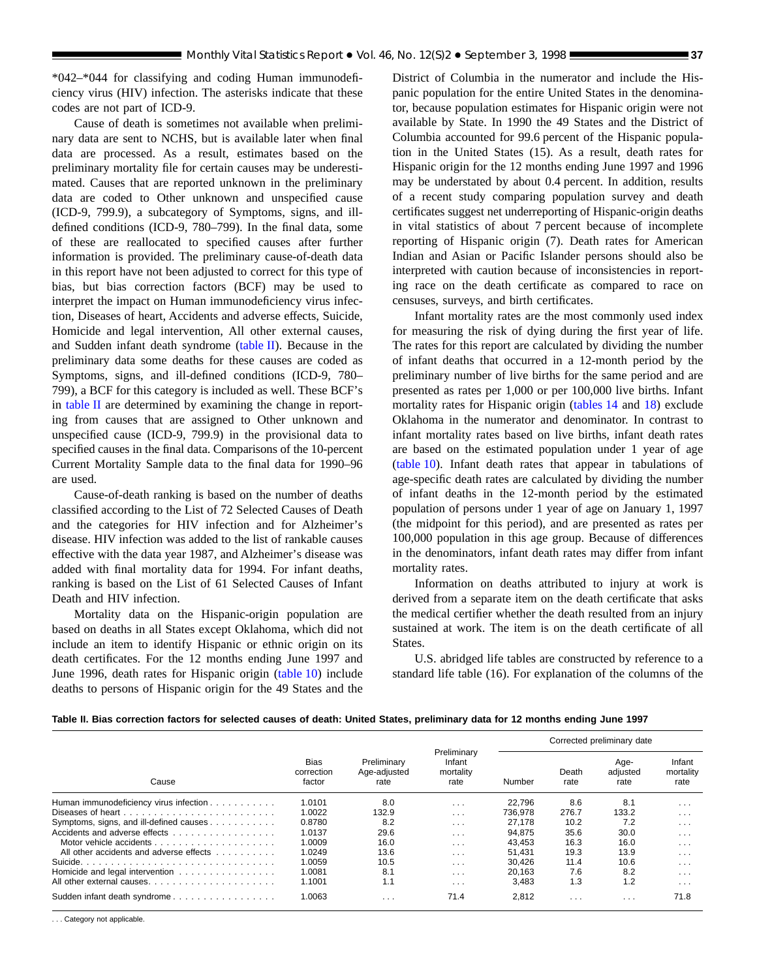<span id="page-36-0"></span>\*042–\*044 for classifying and coding Human immunodeficiency virus (HIV) infection. The asterisks indicate that these codes are not part of ICD-9.

Cause of death is sometimes not available when preliminary data are sent to NCHS, but is available later when final data are processed. As a result, estimates based on the preliminary mortality file for certain causes may be underestimated. Causes that are reported unknown in the preliminary data are coded to Other unknown and unspecified cause (ICD-9, 799.9), a subcategory of Symptoms, signs, and illdefined conditions (ICD-9, 780–799). In the final data, some of these are reallocated to specified causes after further information is provided. The preliminary cause-of-death data in this report have not been adjusted to correct for this type of bias, but bias correction factors (BCF) may be used to interpret the impact on Human immunodeficiency virus infection, Diseases of heart, Accidents and adverse effects, Suicide, Homicide and legal intervention, All other external causes, and Sudden infant death syndrome (table II). Because in the preliminary data some deaths for these causes are coded as Symptoms, signs, and ill-defined conditions (ICD-9, 780– 799), a BCF for this category is included as well. These BCF's in table II are determined by examining the change in reporting from causes that are assigned to Other unknown and unspecified cause (ICD-9, 799.9) in the provisional data to specified causes in the final data. Comparisons of the 10-percent Current Mortality Sample data to the final data for 1990–96 are used.

Cause-of-death ranking is based on the number of deaths classified according to the List of 72 Selected Causes of Death and the categories for HIV infection and for Alzheimer's disease. HIV infection was added to the list of rankable causes effective with the data year 1987, and Alzheimer's disease was added with final mortality data for 1994. For infant deaths, ranking is based on the List of 61 Selected Causes of Infant Death and HIV infection.

Mortality data on the Hispanic-origin population are based on deaths in all States except Oklahoma, which did not include an item to identify Hispanic or ethnic origin on its death certificates. For the 12 months ending June 1997 and June 1996, death rates for Hispanic or[igin \(table 10\) inc](#page-17-0)lude deaths to persons of Hispanic origin for the 49 States and the

District of Columbia in the numerator and include the Hispanic population for the entire United States in the denominator, because population estimates for Hispanic origin were not available by State. In 1990 the 49 States and the District of Columbia accounted for 99.6 percent of the Hispanic population in the United States (15). As a result, death rates for Hispanic origin for the 12 months ending June 1997 and 1996 may be understated by about 0.4 percent. In addition, results of a recent study comparing population survey and death certificates suggest net underreporting of Hispanic-origin deaths in vital statistics of about 7 percent because of incomplete reporting of Hispanic origin (7). Death rates for American Indian and Asian or Pacific Islander persons should also be interpreted with caution because of inconsistencies in reporting race on the death certificate as compared to race on censuses, surveys, and birth certificates.

Infant mortality rates are the most commonly used index for measuring the risk of dying during the first year of life. The rates for this report are calculated by dividing the number of infant deaths that occurred in a 12-month period by the preliminary number of live births for the same period and are presented as rates per 1,000 or per 100,000 live births. Infant mortality rates for Hispanic o[rigin \(tables 14](#page-27-0) and [18\) exc](#page-33-0)lude Oklahoma in the numerator and denominator. In contrast to infant mortality rates based on live births, infant death rates are based on the estimated population under 1 year of age [\(table 10\). In](#page-17-0)fant death rates that appear in tabulations of age-specific death rates are calculated by dividing the number of infant deaths in the 12-month period by the estimated population of persons under 1 year of age on January 1, 1997 (the midpoint for this period), and are presented as rates per 100,000 population in this age group. Because of differences in the denominators, infant death rates may differ from infant mortality rates.

Information on deaths attributed to injury at work is derived from a separate item on the death certificate that asks the medical certifier whether the death resulted from an injury sustained at work. The item is on the death certificate of all States.

U.S. abridged life tables are constructed by reference to a standard life table (16). For explanation of the columns of the

| Table II. Bias correction factors for selected causes of death: United States, preliminary data for 12 months ending June 1997 |  |  |  |  |  |  |  |  |  |  |  |  |  |  |  |  |
|--------------------------------------------------------------------------------------------------------------------------------|--|--|--|--|--|--|--|--|--|--|--|--|--|--|--|--|
|--------------------------------------------------------------------------------------------------------------------------------|--|--|--|--|--|--|--|--|--|--|--|--|--|--|--|--|

|                                         |                                     |                                     |                                            |         |               | Corrected preliminary date |                             |
|-----------------------------------------|-------------------------------------|-------------------------------------|--------------------------------------------|---------|---------------|----------------------------|-----------------------------|
| Cause                                   | <b>Bias</b><br>correction<br>factor | Preliminary<br>Age-adjusted<br>rate | Preliminary<br>Infant<br>mortality<br>rate | Number  | Death<br>rate | Age-<br>adjusted<br>rate   | Infant<br>mortality<br>rate |
| Human immunodeficiency virus infection  | 1.0101                              | 8.0                                 | $\cdot$ $\cdot$ $\cdot$                    | 22.796  | 8.6           | 8.1                        | $\cdot$ $\cdot$ $\cdot$     |
| Diseases of heart                       | 1.0022                              | 132.9                               | $\cdot$ $\cdot$ $\cdot$                    | 736.978 | 276.7         | 133.2                      | $\cdots$                    |
| Symptoms, signs, and ill-defined causes | 0.8780                              | 8.2                                 | $\sim$ $\sim$ $\sim$                       | 27.178  | 10.2          | 7.2                        | $\sim$ $\sim$ $\sim$        |
| Accidents and adverse effects           | 1.0137                              | 29.6                                | $\sim$ $\sim$ $\sim$                       | 94.875  | 35.6          | 30.0                       | $\cdots$                    |
|                                         | 1.0009                              | 16.0                                | $\cdots$                                   | 43.453  | 16.3          | 16.0                       | $\cdot$ $\cdot$ $\cdot$     |
| All other accidents and adverse effects | 1.0249                              | 13.6                                | $\cdots$                                   | 51.431  | 19.3          | 13.9                       | $\cdot$ $\cdot$ $\cdot$     |
|                                         | 1.0059                              | 10.5                                | $\cdot$ $\cdot$ $\cdot$                    | 30.426  | 11.4          | 10.6                       | $\cdots$                    |
| Homicide and legal intervention         | 1.0081                              | 8.1                                 | $\cdots$                                   | 20.163  | 7.6           | 8.2                        | $\cdots$                    |
|                                         | 1.1001                              | 1.1                                 | $\cdots$                                   | 3.483   | 1.3           | 1.2                        | $\cdots$                    |
| Sudden infant death syndrome            | 1.0063                              | $\cdots$                            | 71.4                                       | 2.812   | $\cdots$      | $\cdot$ $\cdot$ $\cdot$    | 71.8                        |

. . . Category not applicable.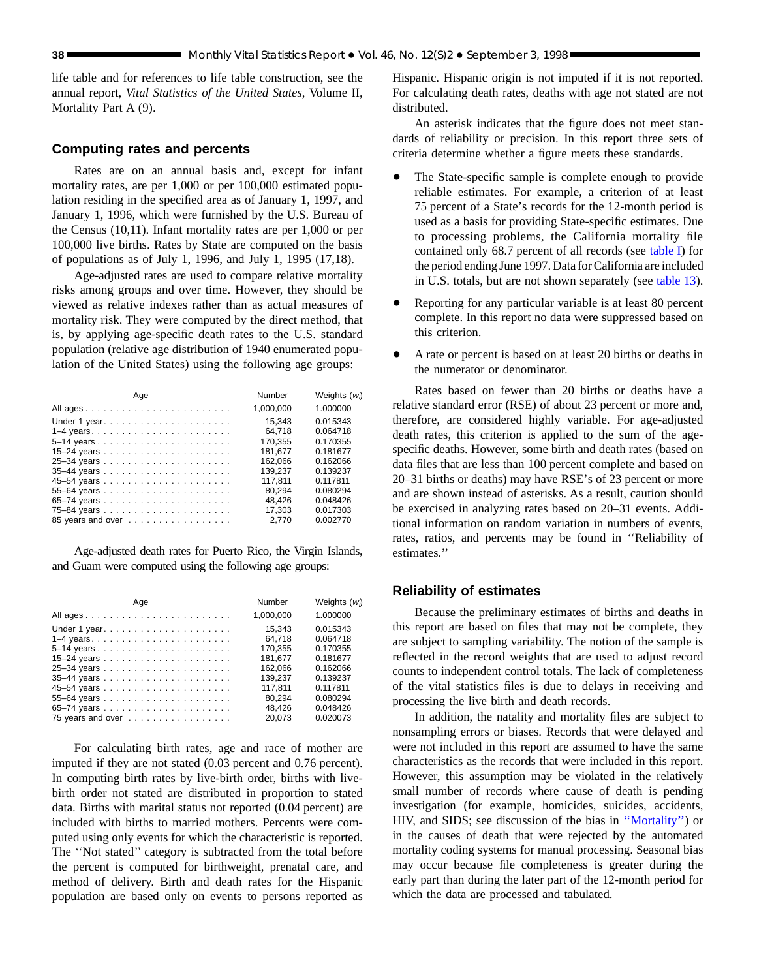<span id="page-37-0"></span>life table and for references to life table construction, see the annual report, *Vital Statistics of the United States*, Volume II, Mortality Part A (9).

## **Computing rates and percents**

Rates are on an annual basis and, except for infant mortality rates, are per 1,000 or per 100,000 estimated population residing in the specified area as of January 1, 1997, and January 1, 1996, which were furnished by the U.S. Bureau of the Census (10,11). Infant mortality rates are per 1,000 or per 100,000 live births. Rates by State are computed on the basis of populations as of July 1, 1996, and July 1, 1995 (17,18).

Age-adjusted rates are used to compare relative mortality risks among groups and over time. However, they should be viewed as relative indexes rather than as actual measures of mortality risk. They were computed by the direct method, that is, by applying age-specific death rates to the U.S. standard population (relative age distribution of 1940 enumerated population of the United States) using the following age groups:

| Age               | Number    | Weights $(w_i)$ |
|-------------------|-----------|-----------------|
| All ages          | 1,000,000 | 1.000000        |
| Under 1 year      | 15.343    | 0.015343        |
|                   | 64.718    | 0.064718        |
|                   | 170.355   | 0.170355        |
|                   | 181.677   | 0.181677        |
|                   | 162.066   | 0.162066        |
|                   | 139.237   | 0.139237        |
|                   | 117.811   | 0.117811        |
|                   | 80.294    | 0.080294        |
|                   | 48.426    | 0.048426        |
|                   | 17.303    | 0.017303        |
| 85 years and over | 2.770     | 0.002770        |

Age-adjusted death rates for Puerto Rico, the Virgin Islands, and Guam were computed using the following age groups:

| Age               | Number    | Weights $(w_i)$ |
|-------------------|-----------|-----------------|
|                   | 1,000,000 | 1.000000        |
| Under 1 year      | 15.343    | 0.015343        |
|                   | 64.718    | 0.064718        |
|                   | 170.355   | 0.170355        |
|                   | 181.677   | 0.181677        |
|                   | 162.066   | 0.162066        |
|                   | 139.237   | 0.139237        |
|                   | 117.811   | 0.117811        |
|                   | 80.294    | 0.080294        |
|                   | 48.426    | 0.048426        |
| 75 years and over | 20.073    | 0.020073        |

For calculating birth rates, age and race of mother are imputed if they are not stated (0.03 percent and 0.76 percent). In computing birth rates by live-birth order, births with livebirth order not stated are distributed in proportion to stated data. Births with marital status not reported (0.04 percent) are included with births to married mothers. Percents were computed using only events for which the characteristic is reported. The ''Not stated'' category is subtracted from the total before the percent is computed for birthweight, prenatal care, and method of delivery. Birth and death rates for the Hispanic population are based only on events to persons reported as Hispanic. Hispanic origin is not imputed if it is not reported. For calculating death rates, deaths with age not stated are not distributed.

An asterisk indicates that the figure does not meet standards of reliability or precision. In this report three sets of criteria determine whether a figure meets these standards.

- The State-specific sample is complete enough to provide reliable estimates. For example, a criterion of at least 75 percent of a State's records for the 12-month period is used as a basis for providing State-specific estimates. Due to processing problems, the California mortality file contained only 68.7 percent of all records (see [table I\) fo](#page-35-0)r the period ending June 1997. Data for California are included in U.S. totals, but are not shown separately (see [table 13\).](#page-26-0)
- Reporting for any particular variable is at least 80 percent complete. In this report no data were suppressed based on this criterion.
- A rate or percent is based on at least 20 births or deaths in the numerator or denominator.

Rates based on fewer than 20 births or deaths have a relative standard error (RSE) of about 23 percent or more and, therefore, are considered highly variable. For age-adjusted death rates, this criterion is applied to the sum of the agespecific deaths. However, some birth and death rates (based on data files that are less than 100 percent complete and based on 20–31 births or deaths) may have RSE's of 23 percent or more and are shown instead of asterisks. As a result, caution should be exercised in analyzing rates based on 20–31 events. Additional information on random variation in numbers of events, rates, ratios, and percents may be found in ''Reliability of estimates.''

## **Reliability of estimates**

Because the preliminary estimates of births and deaths in this report are based on files that may not be complete, they are subject to sampling variability. The notion of the sample is reflected in the record weights that are used to adjust record counts to independent control totals. The lack of completeness of the vital statistics files is due to delays in receiving and processing the live birth and death records.

In addition, the natality and mortality files are subject to nonsampling errors or biases. Records that were delayed and were not included in this report are assumed to have the same characteristics as the records that were included in this report. However, this assumption may be violated in the relatively small number of records where cause of death is pending investigation (for example, homicides, suicides, accidents, HIV, and SIDS; see discussion of the bias in [''Mortality''\) o](#page-34-0)r in the causes of death that were rejected by the automated mortality coding systems for manual processing. Seasonal bias may occur because file completeness is greater during the early part than during the later part of the 12-month period for which the data are processed and tabulated.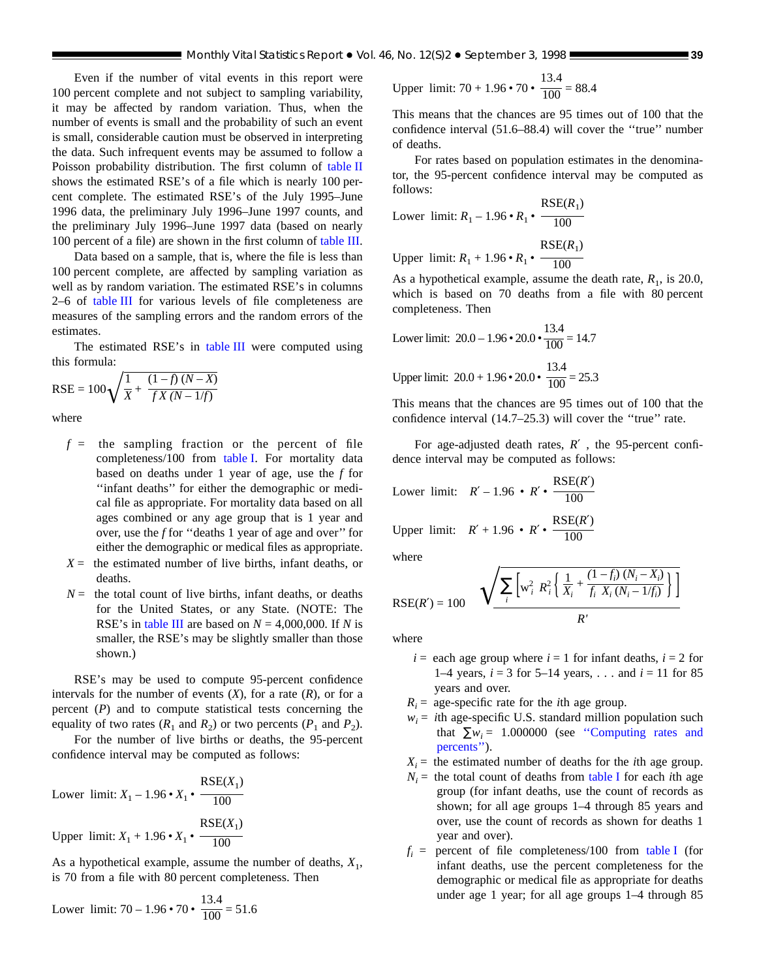Even if the number of vital events in this report were 100 percent complete and not subject to sampling variability, it may be affected by random variation. Thus, when the number of events is small and the probability of such an event is small, considerable caution must be observed in interpreting the data. Such infrequent events may be assumed to follow a Poisson probability distribution. The first column of [table II](#page-36-0) shows the estimated RSE's of a file which is nearly 100 percent complete. The estimated RSE's of the July 1995–June 1996 data, the preliminary July 1996–June 1997 counts, and the preliminary July 1996–June 1997 data (based on nearly 100 percent of a file) are shown in the first column of [table III.](#page-39-0)

Data based on a sample, that is, where the file is less than 100 percent complete, are affected by sampling variation as well as by random variation. The estimated RSE's in columns 2–6 of [table III](#page-39-0) for various levels of file completeness are measures of the sampling errors and the random errors of the estimates.

The estimated RSE's in [table III](#page-39-0) were computed using this formula:

$$
\text{RSE} = 100 \sqrt{\frac{1}{X} + \frac{(1 - f)(N - X)}{fX(N - 1/f)}}
$$

where

- $f =$  the sampling fraction or the percent of file completeness/100 from [table I. Fo](#page-35-0)r mortality data based on deaths under 1 year of age, use the *f* for ''infant deaths'' for either the demographic or medical file as appropriate. For mortality data based on all ages combined or any age group that is 1 year and over, use the *f* for ''deaths 1 year of age and over'' for either the demographic or medical files as appropriate.
- $X =$  the estimated number of live births, infant deaths, or deaths.
- $N =$  the total count of live births, infant deaths, or deaths for the United States, or any State. (NOTE: The RSE's in [table III](#page-39-0) are based on  $N = 4,000,000$ . If *N* is smaller, the RSE's may be slightly smaller than those shown.)

RSE's may be used to compute 95-percent confidence intervals for the number of events  $(X)$ , for a rate  $(R)$ , or for a percent (*P*) and to compute statistical tests concerning the equality of two rates  $(R_1 \text{ and } R_2)$  or two percents  $(P_1 \text{ and } P_2)$ .

For the number of live births or deaths, the 95-percent confidence interval may be computed as follows:

Lower limit: 
$$
X_1 - 1.96 \cdot X_1 \cdot \frac{\text{RSE}(X_1)}{100}
$$
  
Upper limit:  $X_1 + 1.96 \cdot X_1 \cdot \frac{\text{RSE}(X_1)}{100}$ 

As a hypothetical example, assume the number of deaths,  $X_1$ , is 70 from a file with 80 percent completeness. Then

Lower limit: 
$$
70 - 1.96 \cdot 70 \cdot \frac{13.4}{100} = 51.6
$$

Upper limit: 
$$
70 + 1.96 \cdot 70 \cdot \frac{13.4}{100} = 88.4
$$

This means that the chances are 95 times out of 100 that the confidence interval (51.6–88.4) will cover the ''true'' number of deaths.

For rates based on population estimates in the denominator, the 95-percent confidence interval may be computed as follows:

Lower limit: 
$$
R_1 - 1.96 \cdot R_1 \cdot \frac{\text{RSE}(R_1)}{100}
$$

Upper  $\text{limit: } R_1 + 1.96 \cdot R_1$  $RSE(R_1)$ 100

As a hypothetical example, assume the death rate,  $R_1$ , is 20.0, which is based on 70 deaths from a file with 80 percent completeness. Then

Lower limit: 
$$
20.0 - 1.96 \cdot 20.0 \cdot \frac{13.4}{100} = 14.7
$$

Upper limit: 
$$
20.0 + 1.96 \cdot 20.0 \cdot \frac{13.4}{100} = 25.3
$$

This means that the chances are 95 times out of 100 that the confidence interval (14.7–25.3) will cover the ''true'' rate.

For age-adjusted death rates, *R*′ , the 95-percent confidence interval may be computed as follows:

Lower limit: 
$$
R' - 1.96 \cdot R' \cdot \frac{\text{RSE}(R')}{100}
$$
  
Upper limit:  $R' + 1.96 \cdot R' \cdot \frac{\text{RSE}(R')}{100}$ 

where

where  
\n
$$
RSE(R') = 100 \quad \sqrt{\sum_{i} \left[ w_i^2 \ R_i^2 \left\{ \frac{1}{X_i} + \frac{(1 - f_i)(N_i - X_i)}{f_i \ X_i (N_i - 1/f_i)} \right\} \right]}
$$

where

 $i =$  each age group where  $i = 1$  for infant deaths,  $i = 2$  for 1–4 years,  $i = 3$  for 5–14 years, . . . and  $i = 11$  for 85 years and over.

 $R_i$  = age-specific rate for the *i*th age group.

 $w_i$  = *i*th age-specific U.S. standard million population such that  $\sum w_i = 1.000000$  (see "Computing rates and [percents''\).](#page-37-0)

 $X_i$  = the estimated number of deaths for the *i*th age group.

- $N_i$  = the total count of deaths from [table I](#page-35-0) for each *i*th age group (for infant deaths, use the count of records as shown; for all age groups 1–4 through 85 years and over, use the count of records as shown for deaths 1 year and over).
- $f_i$  = percent of file completeness/100 from [table I](#page-35-0) (for infant deaths, use the percent completeness for the demographic or medical file as appropriate for deaths under age 1 year; for all age groups 1–4 through 85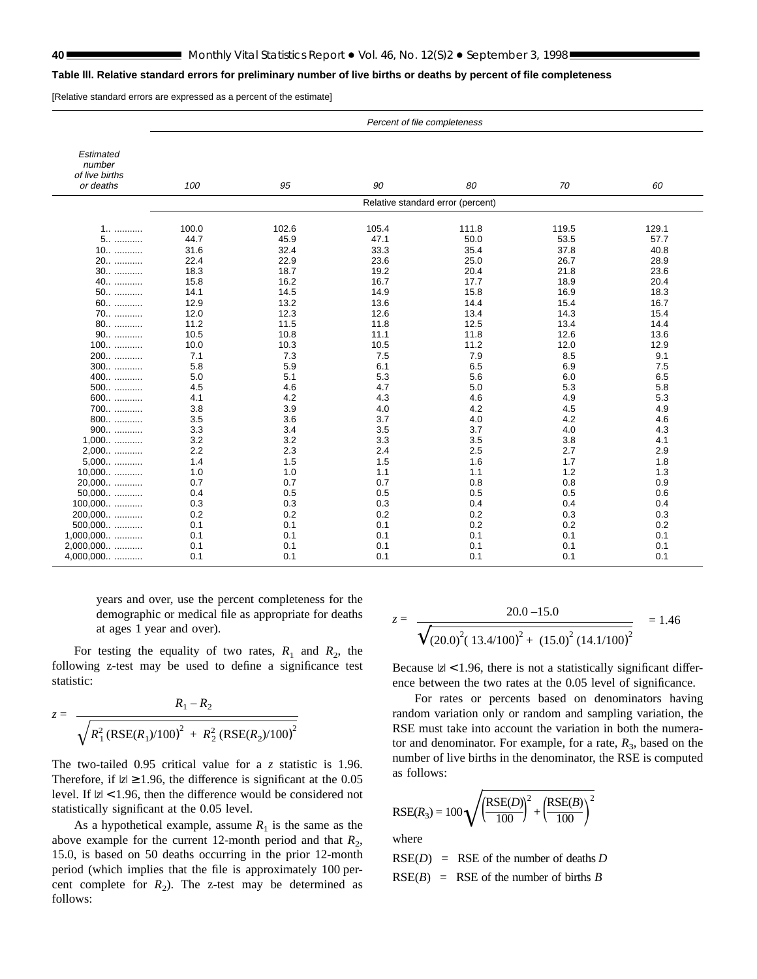#### <span id="page-39-0"></span>**Table lll. Relative standard errors for preliminary number of live births or deaths by percent of file completeness**

[Relative standard errors are expressed as a percent of the estimate]

|                                       | Percent of file completeness      |       |       |       |       |       |  |  |
|---------------------------------------|-----------------------------------|-------|-------|-------|-------|-------|--|--|
|                                       |                                   |       |       |       |       |       |  |  |
| Estimated<br>number<br>of live births |                                   |       |       |       |       |       |  |  |
| or deaths                             | 100                               | 95    | 90    | 80    | 70    | 60    |  |  |
|                                       | Relative standard error (percent) |       |       |       |       |       |  |  |
|                                       |                                   |       |       |       |       |       |  |  |
| 1                                     | 100.0                             | 102.6 | 105.4 | 111.8 | 119.5 | 129.1 |  |  |
| 5                                     | 44.7                              | 45.9  | 47.1  | 50.0  | 53.5  | 57.7  |  |  |
| $10$                                  | 31.6                              | 32.4  | 33.3  | 35.4  | 37.8  | 40.8  |  |  |
| 20                                    | 22.4                              | 22.9  | 23.6  | 25.0  | 26.7  | 28.9  |  |  |
| $30$                                  | 18.3                              | 18.7  | 19.2  | 20.4  | 21.8  | 23.6  |  |  |
| 40                                    | 15.8                              | 16.2  | 16.7  | 17.7  | 18.9  | 20.4  |  |  |
| 50                                    | 14.1                              | 14.5  | 14.9  | 15.8  | 16.9  | 18.3  |  |  |
| 60                                    | 12.9                              | 13.2  | 13.6  | 14.4  | 15.4  | 16.7  |  |  |
| 70                                    | 12.0                              | 12.3  | 12.6  | 13.4  | 14.3  | 15.4  |  |  |
| 80                                    | 11.2                              | 11.5  | 11.8  | 12.5  | 13.4  | 14.4  |  |  |
| 90                                    | 10.5                              | 10.8  | 11.1  | 11.8  | 12.6  | 13.6  |  |  |
| $100$                                 | 10.0                              | 10.3  | 10.5  | 11.2  | 12.0  | 12.9  |  |  |
| 200                                   | 7.1                               | 7.3   | 7.5   | 7.9   | 8.5   | 9.1   |  |  |
| 300                                   | 5.8                               | 5.9   | 6.1   | 6.5   | 6.9   | 7.5   |  |  |
| 400                                   | 5.0                               | 5.1   | 5.3   | 5.6   | 6.0   | 6.5   |  |  |
| 500                                   | 4.5                               | 4.6   | 4.7   | 5.0   | 5.3   | 5.8   |  |  |
| 600                                   | 4.1                               | 4.2   | 4.3   | 4.6   | 4.9   | 5.3   |  |  |
| 700                                   | 3.8                               | 3.9   | 4.0   | 4.2   | 4.5   | 4.9   |  |  |
| 800                                   | 3.5                               | 3.6   | 3.7   | 4.0   | 4.2   | 4.6   |  |  |
| 900                                   | 3.3                               | 3.4   | 3.5   | 3.7   | 4.0   | 4.3   |  |  |
| $1,000$                               | 3.2                               | 3.2   | 3.3   | 3.5   | 3.8   | 4.1   |  |  |
| 2,000                                 | 2.2                               | 2.3   | 2.4   | 2.5   | 2.7   | 2.9   |  |  |
| 5,000                                 | 1.4                               | 1.5   | 1.5   | 1.6   | 1.7   | 1.8   |  |  |
| 10,000                                | 1.0                               | 1.0   | 1.1   | 1.1   | 1.2   | 1.3   |  |  |
| 20,000                                | 0.7                               | 0.7   | 0.7   | 0.8   | 0.8   | 0.9   |  |  |
| 50,000                                | 0.4                               | 0.5   | 0.5   | 0.5   | 0.5   | 0.6   |  |  |
| 100,000                               | 0.3                               | 0.3   | 0.3   | 0.4   | 0.4   | 0.4   |  |  |
| 200,000                               | 0.2                               | 0.2   | 0.2   | 0.2   | 0.3   | 0.3   |  |  |
| $500,000$                             | 0.1                               | 0.1   | 0.1   | 0.2   | 0.2   | 0.2   |  |  |
| $1,000,000$                           | 0.1                               | 0.1   | 0.1   | 0.1   | 0.1   | 0.1   |  |  |
| 2,000,000                             | 0.1                               | 0.1   | 0.1   | 0.1   | 0.1   | 0.1   |  |  |
| 4,000,000                             | 0.1                               | 0.1   | 0.1   | 0.1   | 0.1   | 0.1   |  |  |

years and over, use the percent completeness for the demographic or medical file as appropriate for deaths at ages 1 year and over).

For testing the equality of two rates,  $R_1$  and  $R_2$ , the following z-test may be used to define a significance test statistic:

$$
z = \frac{R_1 - R_2}{\sqrt{R_1^2 \left(\text{RSE}(R_1)/100\right)^2 + R_2^2 \left(\text{RSE}(R_2)/100\right)^2}}
$$

The two-tailed 0.95 critical value for a *z* statistic is 1.96. Therefore, if  $|z| \ge 1.96$ , the difference is significant at the 0.05 level. If  $|z|$  < 1.96, then the difference would be considered not statistically significant at the 0.05 level.

As a hypothetical example, assume  $R_1$  is the same as the above example for the current 12-month period and that  $R_2$ , 15.0, is based on 50 deaths occurring in the prior 12-month period (which implies that the file is approximately 100 percent complete for  $R_2$ ). The z-test may be determined as follows:

$$
z = \frac{20.0 - 15.0}{\sqrt{(20.0)^2 (13.4/100)^2 + (15.0)^2 (14.1/100)^2}} = 1.46
$$

Because  $|z|$  < 1.96, there is not a statistically significant difference between the two rates at the 0.05 level of significance.

For rates or percents based on denominators having random variation only or random and sampling variation, the RSE must take into account the variation in both the numerator and denominator. For example, for a rate,  $R_3$ , based on the number of live births in the denominator, the RSE is computed as follows:

$$
RSE(R_3) = 100 \sqrt{\left(\frac{RSE(D)}{100}\right)^2 + \left(\frac{RSE(B)}{100}\right)^2}
$$

where

 $RSE(D) = RSE$  of the number of deaths *D*  $RSE(B) = RSE$  of the number of births *B*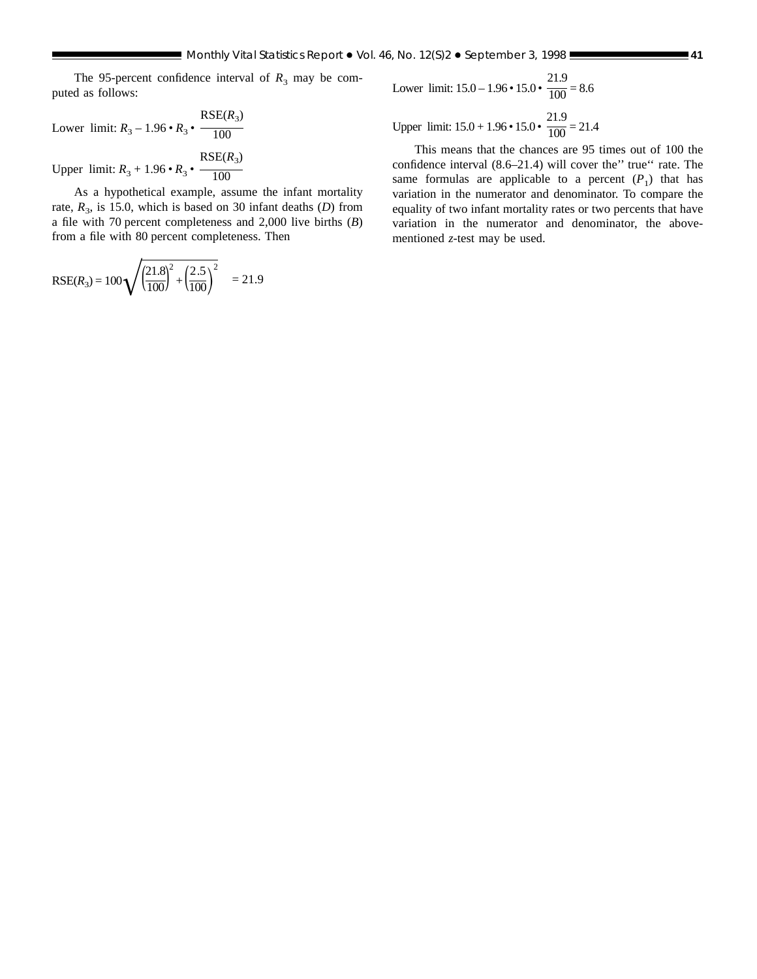The 95-percent confidence interval of  $R_3$  may be computed as follows:

Lower limit:  $R_3 - 1.96 \cdot R_3 \cdot$  $RSE(R_3)$ 100

Upper  $\text{limit: } R_3 + 1.96 \cdot R_3$  $RSE(R_3)$ 100

As a hypothetical example, assume the infant mortality rate,  $R_3$ , is 15.0, which is based on 30 infant deaths (*D*) from a file with 70 percent completeness and 2,000 live births (*B*) from a file with 80 percent completeness. Then

$$
RSE(R_3) = 100 \sqrt{\left(\frac{21.8}{100}\right)^2 + \left(\frac{2.5}{100}\right)^2} = 21.9
$$

Lower limit: 
$$
15.0 - 1.96 \cdot 15.0 \cdot \frac{21.9}{100} = 8.6
$$

Upper limit:  $15.0 + 1.96 \cdot 15.0 \cdot$ 21.9  $\frac{1}{100}$  = 21.4

This means that the chances are 95 times out of 100 the confidence interval (8.6–21.4) will cover the'' true'' rate. The same formulas are applicable to a percent  $(P_1)$  that has variation in the numerator and denominator. To compare the equality of two infant mortality rates or two percents that have variation in the numerator and denominator, the abovementioned *z*-test may be used.